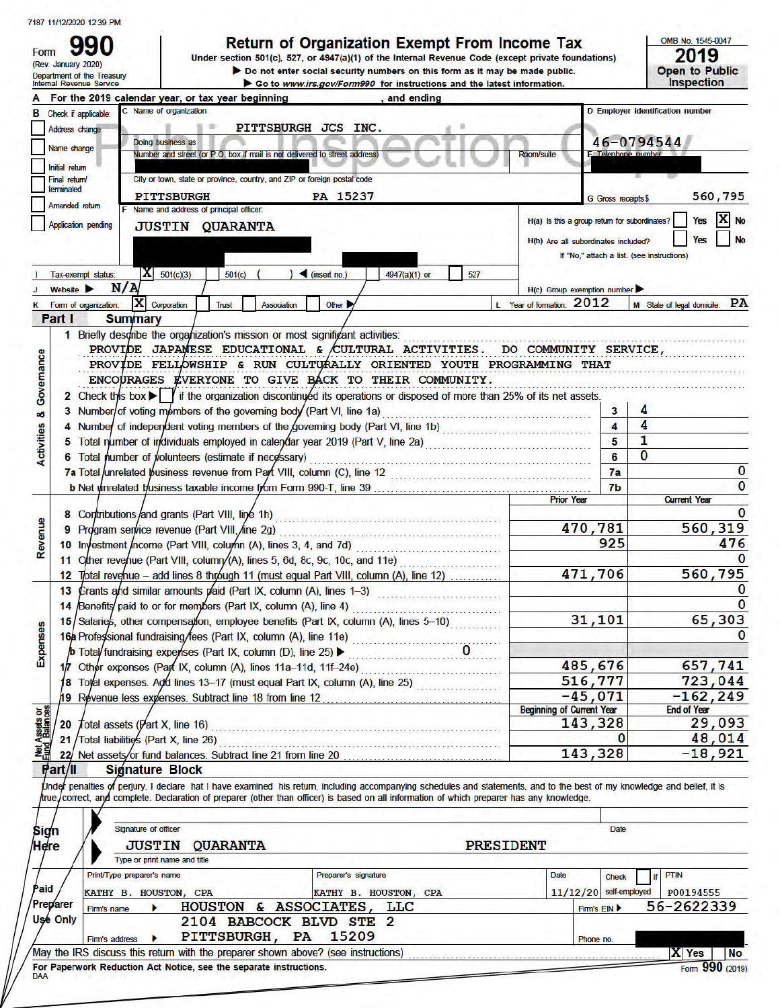| Form<br>(Rev. January 2020)<br>Department of the Treasury<br><b>Internal Revenue Service</b>                    |                                                                                                                                                                                                                          | Return of Organization Exempt From Income Tax<br>Under section 501(c), 527, or 4947(a)(1) of the Internal Revenue Code (except private foundations)<br>Do not enter social security numbers on this form as it may be made public.<br>Go to www.irs.gov/Form990 for instructions and the latest information.            |                                                                                                                                    | OMB No. 1545-0047<br>2019<br><b>Open to Public</b><br><b>Inspection</b> |
|-----------------------------------------------------------------------------------------------------------------|--------------------------------------------------------------------------------------------------------------------------------------------------------------------------------------------------------------------------|-------------------------------------------------------------------------------------------------------------------------------------------------------------------------------------------------------------------------------------------------------------------------------------------------------------------------|------------------------------------------------------------------------------------------------------------------------------------|-------------------------------------------------------------------------|
|                                                                                                                 | For the 2019 calendar year, or tax year beginning                                                                                                                                                                        | . and ending                                                                                                                                                                                                                                                                                                            |                                                                                                                                    |                                                                         |
| <b>B</b> Check if applicable:<br>Address change<br>Name change<br>Initial return<br>Final return/<br>terminated | Name of organization<br>Doing business as<br>Number and street (or P.O. box if mail is not delivered to street address)<br>City or town, state or province, country, and ZIP or foreign postal code<br><b>PITTSBURGH</b> | PITTSBURGH JCS INC.<br>PA 15237                                                                                                                                                                                                                                                                                         | F Telephone numbe<br>Room/suite<br>G Gross receipts \$                                                                             | <b>D</b> Employer identification number<br>46-0794544<br>560,795        |
| Amended return<br>Application pending                                                                           | F Name and address of principal officer:<br><b>JUSTIN QUARANTA</b>                                                                                                                                                       |                                                                                                                                                                                                                                                                                                                         | H(a) Is this a group return for subordinates?<br>H(b) Are all subordinates included?<br>If "No," attach a list. (see instructions) | Yes                                                                     |
| Tax-exempt status:                                                                                              | $X = 501(c)(3)$<br>501(c)                                                                                                                                                                                                | (insert no.)<br>4947(a)(1) or<br>527                                                                                                                                                                                                                                                                                    |                                                                                                                                    |                                                                         |
| N/A<br>Website <b>D</b>                                                                                         |                                                                                                                                                                                                                          |                                                                                                                                                                                                                                                                                                                         | $H(c)$ Group exemption number                                                                                                      |                                                                         |
| x<br>Form of organization:<br>Part I<br><b>Summary</b>                                                          | Corporation<br>Trust                                                                                                                                                                                                     | Association<br>Other D                                                                                                                                                                                                                                                                                                  | L Year of formation: 2012                                                                                                          | РA<br>M State of legal domicile:                                        |
| Governance<br>οö                                                                                                | 3 Number/of voting members of the governing body (Part VI, line 1a)                                                                                                                                                      | ENCOURAGES EVERYONE TO GIVE BACK TO THEIR COMMUNITY.<br>2 Check this box   if the organization discontinued its operations or disposed of more than 25% of its net assets.<br>4 Number of independent voting members of the Governing body (Part VI, line 1b)                                                           | 3<br>$\blacktriangle$                                                                                                              | 4<br>4                                                                  |
| Activities                                                                                                      |                                                                                                                                                                                                                          | 5 Total number of individuals employed in calendar year 2019 (Part V, line 2a)                                                                                                                                                                                                                                          | 5                                                                                                                                  | 1                                                                       |
|                                                                                                                 | 6 Total number of volunteers (estimate if necessary)                                                                                                                                                                     |                                                                                                                                                                                                                                                                                                                         | 6                                                                                                                                  | O                                                                       |
|                                                                                                                 | 7a Total unrelated pusiness revenue from Part VIII, column (C), line 12                                                                                                                                                  |                                                                                                                                                                                                                                                                                                                         | 7a                                                                                                                                 | 0                                                                       |
|                                                                                                                 |                                                                                                                                                                                                                          | <b>b</b> Net unrelated business taxable income from Form 990-T, line 39                                                                                                                                                                                                                                                 | 7 <sub>b</sub>                                                                                                                     | 0                                                                       |
|                                                                                                                 | 8 Contributions and grants (Part VIII, line 1h)                                                                                                                                                                          |                                                                                                                                                                                                                                                                                                                         | <b>Prior Year</b>                                                                                                                  | <b>Current Year</b><br>0                                                |
|                                                                                                                 | 9 Program service revenue (Part VIII, /ine 2g)                                                                                                                                                                           |                                                                                                                                                                                                                                                                                                                         | 470,781                                                                                                                            | 560,319                                                                 |
| Revenue                                                                                                         |                                                                                                                                                                                                                          | 10 Investment /ncome (Part VIII, column (A), lines 3, 4, and 7d)                                                                                                                                                                                                                                                        | 925                                                                                                                                | 476                                                                     |
|                                                                                                                 |                                                                                                                                                                                                                          | 11 Other revenue (Part VIII, column/(A), lines 5, 6d, 8c, 9c, 10c, and 11e)                                                                                                                                                                                                                                             |                                                                                                                                    |                                                                         |
|                                                                                                                 |                                                                                                                                                                                                                          | 12 Total revenue - add lines 8 through 11 (must equal Part VIII, column (A), line 12)                                                                                                                                                                                                                                   | 471,706                                                                                                                            | 560,795                                                                 |
|                                                                                                                 | 13 Grants and similar amounts paid (Part IX, column (A), lines 1-3)<br>14 Benefits paid to or for members (Part IX, column (A), line 4)                                                                                  |                                                                                                                                                                                                                                                                                                                         |                                                                                                                                    | $\mathbf{O}$                                                            |
|                                                                                                                 |                                                                                                                                                                                                                          | 15 Salaries, other compensation, employee benefits (Part IX, column (A), lines 5-10)                                                                                                                                                                                                                                    | 31,101                                                                                                                             | 65,303                                                                  |
| <b>Expenses</b>                                                                                                 |                                                                                                                                                                                                                          |                                                                                                                                                                                                                                                                                                                         |                                                                                                                                    |                                                                         |
|                                                                                                                 |                                                                                                                                                                                                                          | 16 Professional fundraising fees (Part IX, column (A), line 11e)<br>p Total fundraising experises (Part IX, column (D), line 25) >                                                                                                                                                                                      |                                                                                                                                    |                                                                         |
|                                                                                                                 | 1/7 Other expenses (Part IX, column (A), lines 11a-11d, 11f-24e)                                                                                                                                                         |                                                                                                                                                                                                                                                                                                                         | 485,676                                                                                                                            | 657,741                                                                 |
|                                                                                                                 |                                                                                                                                                                                                                          | 18 Total expenses. Add lines 13-17 (must equal Part IX, column (A), line 25)                                                                                                                                                                                                                                            | 516,777                                                                                                                            | 723,044                                                                 |
|                                                                                                                 | 19 Revenue less expenses. Subtract line 18 from line 12                                                                                                                                                                  |                                                                                                                                                                                                                                                                                                                         | $-45,071$<br><b>Beginning of Current Year</b>                                                                                      | $-162, 249$<br><b>End of Year</b>                                       |
| Assets or<br>1 Balances<br>20<br>Total assets ( $\sqrt{Part X}$ , line 16)                                      |                                                                                                                                                                                                                          |                                                                                                                                                                                                                                                                                                                         | 143,328                                                                                                                            | 29,093                                                                  |
| Total liabilities (Part X, line 26)<br>21                                                                       |                                                                                                                                                                                                                          |                                                                                                                                                                                                                                                                                                                         |                                                                                                                                    | 48,014                                                                  |
|                                                                                                                 | 22/ Net assets/or fund balances. Subtract line 21 from line 20                                                                                                                                                           |                                                                                                                                                                                                                                                                                                                         | 143,328                                                                                                                            | $-18,921$                                                               |
| Part/II<br><b>Signature Block</b><br>Signature of officer<br>Sign                                               |                                                                                                                                                                                                                          | Under penalties of perjury, I declare hat I have examined his return, including accompanying schedules and statements, and to the best of my knowledge and belief, it is<br>true / correct, and complete. Declaration of preparer (other than officer) is based on all information of which preparer has any knowledge. | <b>Date</b>                                                                                                                        |                                                                         |
| Here<br><b>JUSTIN</b>                                                                                           | <b>QUARANTA</b>                                                                                                                                                                                                          |                                                                                                                                                                                                                                                                                                                         | <b>PRESIDENT</b>                                                                                                                   |                                                                         |
|                                                                                                                 | Type or print name and title                                                                                                                                                                                             |                                                                                                                                                                                                                                                                                                                         |                                                                                                                                    |                                                                         |
| Print/Type preparer's name                                                                                      |                                                                                                                                                                                                                          | Preparer's signature                                                                                                                                                                                                                                                                                                    | <b>Date</b><br><b>Check</b>                                                                                                        | <b>PTIN</b>                                                             |
| Paid<br>KATHY B. HOUSTON, CPA<br><b>Preparer</b>                                                                |                                                                                                                                                                                                                          | KATHY B. HOUSTON, CPA                                                                                                                                                                                                                                                                                                   | 11/12/20 self-employed                                                                                                             | P00194555                                                               |
| Firm's name<br>Use Only                                                                                         |                                                                                                                                                                                                                          | HOUSTON & ASSOCIATES, LLC<br>2104 BABCOCK BLVD STE 2                                                                                                                                                                                                                                                                    | Firm's EIN                                                                                                                         | 56-2622339                                                              |
| Firm's address                                                                                                  | PITTSBURGH, PA                                                                                                                                                                                                           | 15209                                                                                                                                                                                                                                                                                                                   | Phone no.                                                                                                                          |                                                                         |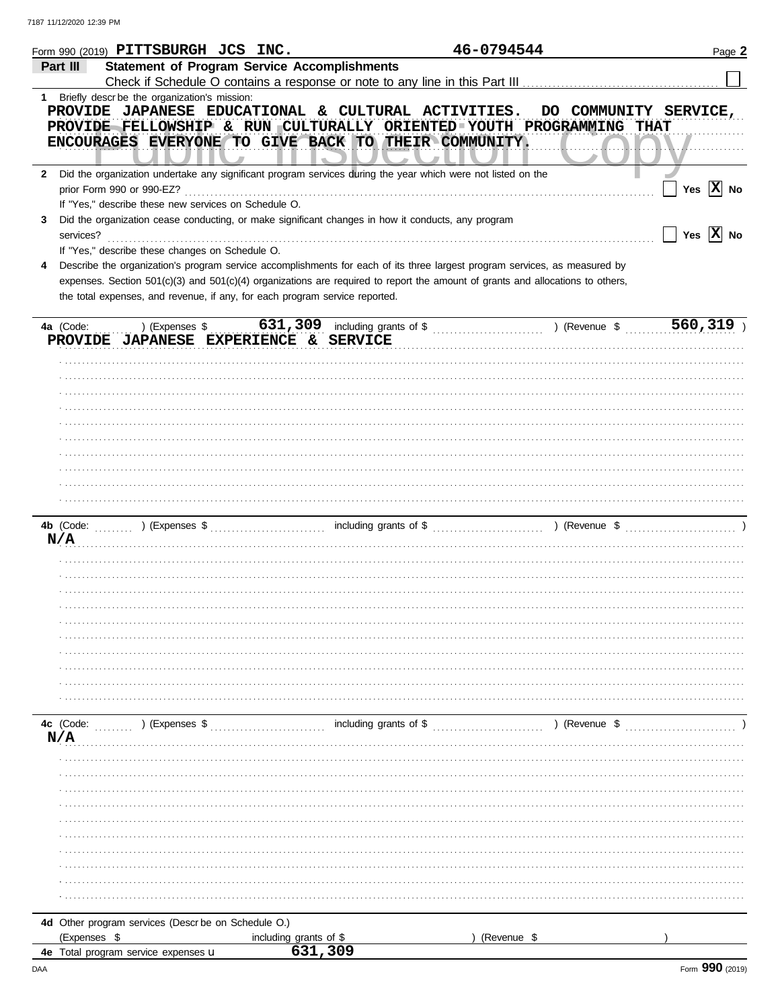| Form 990 (2019) PITTSBURGH JCS INC.                                                                                                                                                                                                                                                           |                        | 46-0794544                              | Page 2                               |
|-----------------------------------------------------------------------------------------------------------------------------------------------------------------------------------------------------------------------------------------------------------------------------------------------|------------------------|-----------------------------------------|--------------------------------------|
| <b>Statement of Program Service Accomplishments</b><br>Part III                                                                                                                                                                                                                               |                        |                                         |                                      |
| Briefly descr be the organization's mission:<br>1                                                                                                                                                                                                                                             |                        |                                         |                                      |
| PROVIDE JAPANESE EDUCATIONAL & CULTURAL ACTIVITIES.<br>PROVIDE FELLOWSHIP & RUN CULTURALLY ORIENTED YOUTH PROGRAMMING<br>ENCOURAGES EVERYONE TO GIVE BACK TO THEIR COMMUNITY.                                                                                                                 |                        |                                         | DO COMMUNITY SERVICE,<br><b>THAT</b> |
| 2 Did the organization undertake any significant program services during the year which were not listed on the                                                                                                                                                                                |                        |                                         |                                      |
| prior Form 990 or 990-EZ?                                                                                                                                                                                                                                                                     |                        |                                         | Yes $ \mathbf{X} $ No                |
| If "Yes," describe these new services on Schedule O.                                                                                                                                                                                                                                          |                        |                                         |                                      |
| Did the organization cease conducting, or make significant changes in how it conducts, any program<br>3                                                                                                                                                                                       |                        |                                         |                                      |
| services?                                                                                                                                                                                                                                                                                     |                        |                                         | Yes $\overline{X}$ No                |
| If "Yes," describe these changes on Schedule O.                                                                                                                                                                                                                                               |                        |                                         |                                      |
| Describe the organization's program service accomplishments for each of its three largest program services, as measured by<br>expenses. Section 501(c)(3) and 501(c)(4) organizations are required to report the amount of grants and allocations to others,                                  |                        |                                         |                                      |
| the total expenses, and revenue, if any, for each program service reported.                                                                                                                                                                                                                   |                        |                                         |                                      |
|                                                                                                                                                                                                                                                                                               |                        |                                         |                                      |
| 4a (Code:<br>) (Expenses \$<br>PROVIDE JAPANESE EXPERIENCE & SERVICE                                                                                                                                                                                                                          |                        | ) (Revenue \$                           | 560,319                              |
|                                                                                                                                                                                                                                                                                               |                        |                                         |                                      |
|                                                                                                                                                                                                                                                                                               |                        |                                         |                                      |
|                                                                                                                                                                                                                                                                                               |                        |                                         |                                      |
|                                                                                                                                                                                                                                                                                               |                        |                                         |                                      |
|                                                                                                                                                                                                                                                                                               |                        |                                         |                                      |
|                                                                                                                                                                                                                                                                                               |                        |                                         |                                      |
|                                                                                                                                                                                                                                                                                               |                        |                                         |                                      |
|                                                                                                                                                                                                                                                                                               |                        |                                         |                                      |
| 4b (Code:<br>) (Expenses $\frac{1}{2}$ (Expenses $\frac{1}{2}$ (Expenses $\frac{1}{2}$ (Expenses $\frac{1}{2}$ (Expenses $\frac{1}{2}$ (Expenses $\frac{1}{2}$ (Expenses $\frac{1}{2}$ (Expenses $\frac{1}{2}$ (Expenses $\frac{1}{2}$ (Expenses $\frac{1}{2}$ (Expenses $\frac{1}{2}$<br>N/A |                        | including grants of \$<br>) (Revenue \$ |                                      |
|                                                                                                                                                                                                                                                                                               |                        |                                         |                                      |
|                                                                                                                                                                                                                                                                                               |                        |                                         |                                      |
|                                                                                                                                                                                                                                                                                               |                        |                                         |                                      |
|                                                                                                                                                                                                                                                                                               |                        |                                         |                                      |
|                                                                                                                                                                                                                                                                                               |                        |                                         |                                      |
|                                                                                                                                                                                                                                                                                               |                        |                                         |                                      |
|                                                                                                                                                                                                                                                                                               |                        |                                         |                                      |
|                                                                                                                                                                                                                                                                                               |                        |                                         |                                      |
|                                                                                                                                                                                                                                                                                               |                        |                                         |                                      |
|                                                                                                                                                                                                                                                                                               |                        |                                         |                                      |
| 4c (Code:<br>) (Expenses \$                                                                                                                                                                                                                                                                   | including grants of \$ | ) (Revenue \$                           |                                      |
| N/A                                                                                                                                                                                                                                                                                           |                        |                                         |                                      |
|                                                                                                                                                                                                                                                                                               |                        |                                         |                                      |
|                                                                                                                                                                                                                                                                                               |                        |                                         |                                      |
|                                                                                                                                                                                                                                                                                               |                        |                                         |                                      |
|                                                                                                                                                                                                                                                                                               |                        |                                         |                                      |
|                                                                                                                                                                                                                                                                                               |                        |                                         |                                      |
|                                                                                                                                                                                                                                                                                               |                        |                                         |                                      |
|                                                                                                                                                                                                                                                                                               |                        |                                         |                                      |
|                                                                                                                                                                                                                                                                                               |                        |                                         |                                      |
|                                                                                                                                                                                                                                                                                               |                        |                                         |                                      |
|                                                                                                                                                                                                                                                                                               |                        |                                         |                                      |
| 4d Other program services (Descr be on Schedule O.)                                                                                                                                                                                                                                           |                        |                                         |                                      |
| (Expenses \$                                                                                                                                                                                                                                                                                  | including grants of \$ | (Revenue \$                             |                                      |
| 4e Total program service expenses u                                                                                                                                                                                                                                                           | 631,309                |                                         |                                      |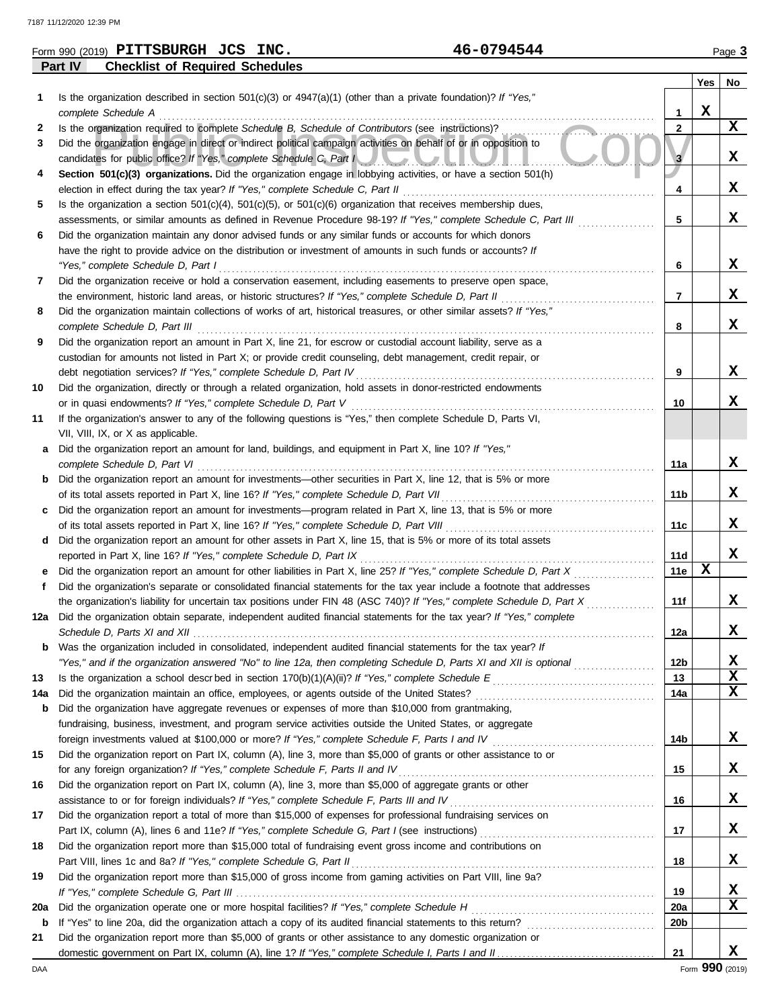| JCS<br><b>PITTSBURGH</b><br>Form 990 (2019)       | INC. | 46-0794544 |     | Page $3$ |
|---------------------------------------------------|------|------------|-----|----------|
| Part IV<br><b>Checklist of Required Schedules</b> |      |            |     |          |
|                                                   |      |            | Yes | No       |

|           |                                                                                                                                                                                         |                       | Yes | No          |
|-----------|-----------------------------------------------------------------------------------------------------------------------------------------------------------------------------------------|-----------------------|-----|-------------|
| 1         | Is the organization described in section $501(c)(3)$ or $4947(a)(1)$ (other than a private foundation)? If "Yes,"                                                                       |                       |     |             |
|           | complete Schedule A                                                                                                                                                                     | 1                     | X   |             |
| 2         | Is the organization required to complete Schedule B, Schedule of Contributors (see instructions)?                                                                                       | 2                     |     | $\mathbf x$ |
| 3         | Did the organization engage in direct or indirect political campaign activities on behalf of or in opposition to<br>candidates for public office? If "Yes," complete Schedule C, Part I | 3                     |     | х           |
| 4         | Section 501(c)(3) organizations. Did the organization engage in lobbying activities, or have a section 501(h)                                                                           |                       |     |             |
|           | election in effect during the tax year? If "Yes," complete Schedule C, Part II                                                                                                          | 4                     |     | X           |
| 5         | Is the organization a section $501(c)(4)$ , $501(c)(5)$ , or $501(c)(6)$ organization that receives membership dues,                                                                    |                       |     |             |
|           | assessments, or similar amounts as defined in Revenue Procedure 98-19? If "Yes," complete Schedule C, Part III                                                                          | 5                     |     | x           |
| 6         | Did the organization maintain any donor advised funds or any similar funds or accounts for which donors                                                                                 |                       |     |             |
|           | have the right to provide advice on the distribution or investment of amounts in such funds or accounts? If                                                                             |                       |     |             |
|           | "Yes," complete Schedule D, Part I                                                                                                                                                      | 6                     |     | x           |
| 7         | Did the organization receive or hold a conservation easement, including easements to preserve open space,                                                                               |                       |     |             |
|           | the environment, historic land areas, or historic structures? If "Yes," complete Schedule D, Part II                                                                                    | $\overline{7}$        |     | x           |
| 8         | Did the organization maintain collections of works of art, historical treasures, or other similar assets? If "Yes,"                                                                     |                       |     |             |
|           | complete Schedule D, Part III                                                                                                                                                           | 8                     |     | x           |
| 9         | Did the organization report an amount in Part X, line 21, for escrow or custodial account liability, serve as a                                                                         |                       |     |             |
|           | custodian for amounts not listed in Part X; or provide credit counseling, debt management, credit repair, or                                                                            |                       |     | x           |
| 10        | debt negotiation services? If "Yes," complete Schedule D, Part IV<br>Did the organization, directly or through a related organization, hold assets in donor-restricted endowments       | 9                     |     |             |
|           | or in quasi endowments? If "Yes," complete Schedule D, Part V                                                                                                                           | 10                    |     | x           |
| 11        | If the organization's answer to any of the following questions is "Yes," then complete Schedule D, Parts VI,                                                                            |                       |     |             |
|           | VII, VIII, IX, or X as applicable.                                                                                                                                                      |                       |     |             |
| a         | Did the organization report an amount for land, buildings, and equipment in Part X, line 10? If "Yes,"                                                                                  |                       |     |             |
|           | complete Schedule D, Part VI                                                                                                                                                            | 11a                   |     | X           |
| b         | Did the organization report an amount for investments—other securities in Part X, line 12, that is 5% or more                                                                           |                       |     |             |
|           | of its total assets reported in Part X, line 16? If "Yes," complete Schedule D, Part VII                                                                                                | 11b                   |     | x           |
|           | Did the organization report an amount for investments—program related in Part X, line 13, that is 5% or more                                                                            |                       |     |             |
|           |                                                                                                                                                                                         | 11c                   |     | x           |
| d         | Did the organization report an amount for other assets in Part X, line 15, that is 5% or more of its total assets                                                                       |                       |     |             |
|           | reported in Part X, line 16? If "Yes," complete Schedule D, Part IX                                                                                                                     | 11d                   |     | x           |
|           | Did the organization report an amount for other liabilities in Part X, line 25? If "Yes," complete Schedule D, Part X                                                                   | <b>11e</b>            | X   |             |
| f         | Did the organization's separate or consolidated financial statements for the tax year include a footnote that addresses                                                                 |                       |     |             |
|           | the organization's liability for uncertain tax positions under FIN 48 (ASC 740)? If "Yes," complete Schedule D, Part X                                                                  | 11f                   |     | x           |
| 12a       | Did the organization obtain separate, independent audited financial statements for the tax year? If "Yes," complete                                                                     |                       |     |             |
|           |                                                                                                                                                                                         | 12a                   |     | x           |
|           | Was the organization included in consolidated, independent audited financial statements for the tax year? If                                                                            |                       |     |             |
|           | "Yes," and if the organization answered "No" to line 12a, then completing Schedule D, Parts XI and XII is optional                                                                      | 12 <sub>b</sub><br>13 |     | x<br>X      |
| 13<br>14a |                                                                                                                                                                                         | 14a                   |     | $\mathbf x$ |
| b         | Did the organization have aggregate revenues or expenses of more than \$10,000 from grantmaking,                                                                                        |                       |     |             |
|           | fundraising, business, investment, and program service activities outside the United States, or aggregate                                                                               |                       |     |             |
|           |                                                                                                                                                                                         | 14b                   |     | X           |
| 15        | Did the organization report on Part IX, column (A), line 3, more than \$5,000 of grants or other assistance to or                                                                       |                       |     |             |
|           | for any foreign organization? If "Yes," complete Schedule F, Parts II and IV                                                                                                            | 15                    |     | X           |
| 16        | Did the organization report on Part IX, column (A), line 3, more than \$5,000 of aggregate grants or other                                                                              |                       |     |             |
|           | assistance to or for foreign individuals? If "Yes," complete Schedule F, Parts III and IV [[[[[[[[[[[[[[[[[[[                                                                           | 16                    |     | X           |
| 17        | Did the organization report a total of more than \$15,000 of expenses for professional fundraising services on                                                                          |                       |     |             |
|           |                                                                                                                                                                                         | 17                    |     | X           |
| 18        | Did the organization report more than \$15,000 total of fundraising event gross income and contributions on                                                                             |                       |     |             |
|           |                                                                                                                                                                                         | 18                    |     | X           |
| 19        | Did the organization report more than \$15,000 of gross income from gaming activities on Part VIII, line 9a?                                                                            |                       |     |             |
|           |                                                                                                                                                                                         | 19                    |     | х           |
| 20a       | Did the organization operate one or more hospital facilities? If "Yes," complete Schedule H                                                                                             | 20a                   |     | X           |
| b         |                                                                                                                                                                                         | 20 <sub>b</sub>       |     |             |
| 21        | Did the organization report more than \$5,000 of grants or other assistance to any domestic organization or                                                                             | 21                    |     | x           |
|           |                                                                                                                                                                                         |                       |     |             |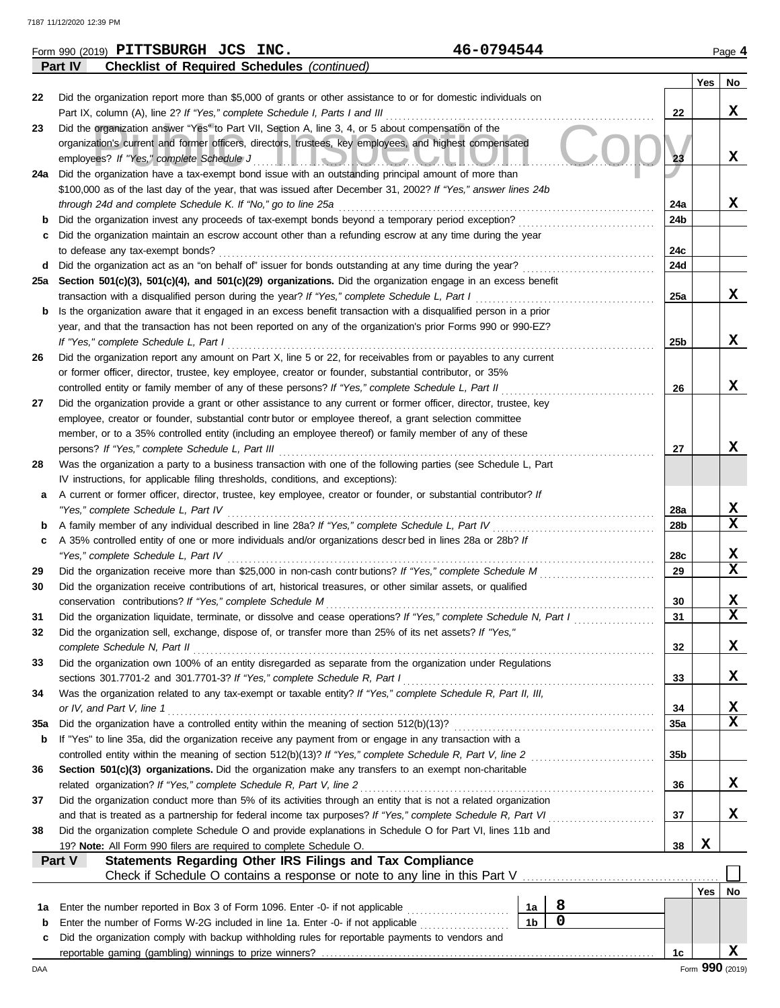|     | 46-0794544<br>Form 990 (2019) $PITTSBURGH$ $JCS$ $INC.$                                                            |                 |     | Page 4                  |
|-----|--------------------------------------------------------------------------------------------------------------------|-----------------|-----|-------------------------|
|     | <b>Checklist of Required Schedules (continued)</b><br>Part IV                                                      |                 |     |                         |
| 22  | Did the organization report more than \$5,000 of grants or other assistance to or for domestic individuals on      |                 | Yes | No                      |
|     | Part IX, column (A), line 2? If "Yes," complete Schedule I, Parts I and III                                        | 22              |     | X                       |
| 23  | Did the organization answer "Yes" to Part VII, Section A, line 3, 4, or 5 about compensation of the                |                 |     |                         |
|     | organization's current and former officers, directors, trustees, key employees, and highest compensated            |                 |     |                         |
|     | employees? If "Yes," complete Schedule J<br><u> III. IQMULANIN</u>                                                 | 23              |     | X                       |
|     | 24a Did the organization have a tax-exempt bond issue with an outstanding principal amount of more than            |                 |     |                         |
|     | \$100,000 as of the last day of the year, that was issued after December 31, 2002? If "Yes," answer lines 24b      |                 |     |                         |
|     | through 24d and complete Schedule K. If "No," go to line 25a                                                       | 24a             |     | X                       |
| b   | Did the organization invest any proceeds of tax-exempt bonds beyond a temporary period exception?                  | 24b             |     |                         |
| c   | Did the organization maintain an escrow account other than a refunding escrow at any time during the year          |                 |     |                         |
|     | to defease any tax-exempt bonds?                                                                                   | 24c             |     |                         |
|     | d Did the organization act as an "on behalf of" issuer for bonds outstanding at any time during the year?          | 24d             |     |                         |
|     | 25a Section 501(c)(3), 501(c)(4), and 501(c)(29) organizations. Did the organization engage in an excess benefit   |                 |     |                         |
|     | transaction with a disqualified person during the year? If "Yes," complete Schedule L, Part I                      | 25a             |     | x                       |
| b   | Is the organization aware that it engaged in an excess benefit transaction with a disqualified person in a prior   |                 |     |                         |
|     | year, and that the transaction has not been reported on any of the organization's prior Forms 990 or 990-EZ?       |                 |     |                         |
|     | If "Yes," complete Schedule L, Part I                                                                              | 25 <sub>b</sub> |     | X                       |
| 26  | Did the organization report any amount on Part X, line 5 or 22, for receivables from or payables to any current    |                 |     |                         |
|     | or former officer, director, trustee, key employee, creator or founder, substantial contributor, or 35%            |                 |     |                         |
|     | controlled entity or family member of any of these persons? If "Yes," complete Schedule L, Part II                 | 26              |     | X                       |
| 27  | Did the organization provide a grant or other assistance to any current or former officer, director, trustee, key  |                 |     |                         |
|     | employee, creator or founder, substantial contr butor or employee thereof, a grant selection committee             |                 |     |                         |
|     | member, or to a 35% controlled entity (including an employee thereof) or family member of any of these             |                 |     |                         |
|     | persons? If "Yes," complete Schedule L, Part III                                                                   | 27              |     | x                       |
| 28  | Was the organization a party to a business transaction with one of the following parties (see Schedule L, Part     |                 |     |                         |
|     | IV instructions, for applicable filing thresholds, conditions, and exceptions):                                    |                 |     |                         |
| a   | A current or former officer, director, trustee, key employee, creator or founder, or substantial contributor? If   |                 |     |                         |
|     | "Yes," complete Schedule L, Part IV                                                                                | 28a             |     | X                       |
| b   | A family member of any individual described in line 28a? If "Yes," complete Schedule L, Part IV                    | 28b             |     | $\mathbf x$             |
| c   | A 35% controlled entity of one or more individuals and/or organizations descr bed in lines 28a or 28b? If          |                 |     |                         |
|     | "Yes," complete Schedule L, Part IV                                                                                | 28c             |     | X                       |
| 29  | Did the organization receive more than \$25,000 in non-cash contributions? If "Yes," complete Schedule M           | 29              |     | $\mathbf x$             |
| 30  | Did the organization receive contributions of art, historical treasures, or other similar assets, or qualified     |                 |     |                         |
|     | conservation contributions? If "Yes," complete Schedule M                                                          | 30              |     | X                       |
| 31  | Did the organization liquidate, terminate, or dissolve and cease operations? If "Yes," complete Schedule N, Part I | 31              |     | $\overline{\mathbf{X}}$ |
| 32  | Did the organization sell, exchange, dispose of, or transfer more than 25% of its net assets? If "Yes,"            |                 |     |                         |
|     | complete Schedule N, Part II                                                                                       | 32              |     | X                       |
| 33  | Did the organization own 100% of an entity disregarded as separate from the organization under Regulations         |                 |     |                         |
|     | sections 301.7701-2 and 301.7701-3? If "Yes," complete Schedule R, Part I                                          | 33              |     | X                       |
| 34  | Was the organization related to any tax-exempt or taxable entity? If "Yes," complete Schedule R, Part II, III,     |                 |     |                         |
|     | or IV, and Part V, line 1                                                                                          | 34              |     | х                       |
| 35a | Did the organization have a controlled entity within the meaning of section 512(b)(13)?                            | 35a             |     | $\mathbf x$             |
| b   | If "Yes" to line 35a, did the organization receive any payment from or engage in any transaction with a            |                 |     |                         |
|     | controlled entity within the meaning of section 512(b)(13)? If "Yes," complete Schedule R, Part V, line 2          | 35b             |     |                         |
| 36  | Section 501(c)(3) organizations. Did the organization make any transfers to an exempt non-charitable               |                 |     |                         |
|     | related organization? If "Yes," complete Schedule R, Part V, line 2                                                | 36              |     | X                       |
| 37  | Did the organization conduct more than 5% of its activities through an entity that is not a related organization   |                 |     |                         |
|     | and that is treated as a partnership for federal income tax purposes? If "Yes," complete Schedule R, Part VI       | 37              |     | X                       |
| 38  | Did the organization complete Schedule O and provide explanations in Schedule O for Part VI, lines 11b and         |                 |     |                         |
|     | 19? Note: All Form 990 filers are required to complete Schedule O.                                                 | 38              | X   |                         |
|     | Statements Regarding Other IRS Filings and Tax Compliance<br>Part V                                                |                 |     |                         |
|     |                                                                                                                    |                 |     |                         |
|     |                                                                                                                    |                 | Yes | No                      |
| 1a  | 8<br>Enter the number reported in Box 3 of Form 1096. Enter -0- if not applicable<br>1a<br>$\mathbf 0$             |                 |     |                         |
| b   | 1 <sub>b</sub><br>Enter the number of Forms W-2G included in line 1a. Enter -0- if not applicable                  |                 |     |                         |
| c   | Did the organization comply with backup withholding rules for reportable payments to vendors and                   |                 |     | X                       |
|     |                                                                                                                    | 1c              |     |                         |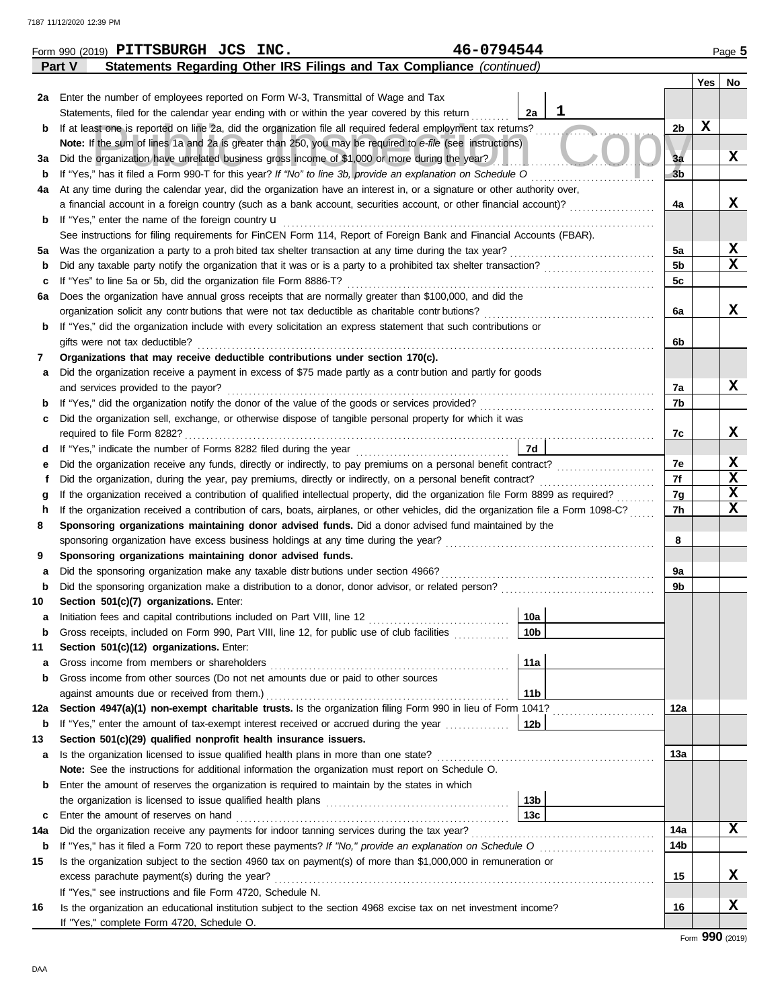|             | 46-0794544<br>Form 990 (2019) PITTSBURGH JCS INC.                                                                                                                                                                                      |                 |                      |             | Page 5      |
|-------------|----------------------------------------------------------------------------------------------------------------------------------------------------------------------------------------------------------------------------------------|-----------------|----------------------|-------------|-------------|
|             | Statements Regarding Other IRS Filings and Tax Compliance (continued)<br>Part V                                                                                                                                                        |                 |                      |             |             |
|             |                                                                                                                                                                                                                                        |                 |                      | Yes         | No          |
|             | 2a Enter the number of employees reported on Form W-3, Transmittal of Wage and Tax                                                                                                                                                     |                 |                      |             |             |
|             | Statements, filed for the calendar year ending with or within the year covered by this return                                                                                                                                          | 1<br>2a         |                      |             |             |
| b           | If at least one is reported on line 2a, did the organization file all required federal employment tax returns?                                                                                                                         |                 | 2 <sub>b</sub>       | $\mathbf x$ |             |
|             | Note: If the sum of lines 1a and 2a is greater than 250, you may be required to e-file (see instructions)                                                                                                                              |                 |                      |             | X           |
| За          | Did the organization have unrelated business gross income of \$1,000 or more during the year?                                                                                                                                          |                 | 3a<br>3 <sub>b</sub> |             |             |
| b<br>4a     | If "Yes," has it filed a Form 990-T for this year? If "No" to line 3b, provide an explanation on Schedule O<br>At any time during the calendar year, did the organization have an interest in, or a signature or other authority over, |                 |                      |             |             |
|             | a financial account in a foreign country (such as a bank account, securities account, or other financial account)?                                                                                                                     |                 | 4a                   |             | x           |
| b           | If "Yes," enter the name of the foreign country <b>u</b>                                                                                                                                                                               |                 |                      |             |             |
|             | See instructions for filing requirements for FinCEN Form 114, Report of Foreign Bank and Financial Accounts (FBAR).                                                                                                                    |                 |                      |             |             |
| 5а          | Was the organization a party to a proh bited tax shelter transaction at any time during the tax year?                                                                                                                                  |                 | 5a                   |             | X           |
| b           | Did any taxable party notify the organization that it was or is a party to a prohibited tax shelter transaction?                                                                                                                       |                 | 5 <sub>b</sub>       |             | $\mathbf x$ |
| с           | If "Yes" to line 5a or 5b, did the organization file Form 8886-T?                                                                                                                                                                      |                 | 5c                   |             |             |
| 6а          | Does the organization have annual gross receipts that are normally greater than \$100,000, and did the                                                                                                                                 |                 |                      |             |             |
|             | organization solicit any contr butions that were not tax deductible as charitable contr butions?                                                                                                                                       |                 | 6a                   |             | x           |
| b           | If "Yes," did the organization include with every solicitation an express statement that such contributions or                                                                                                                         |                 |                      |             |             |
|             | gifts were not tax deductible?                                                                                                                                                                                                         |                 | 6b                   |             |             |
| 7           | Organizations that may receive deductible contributions under section 170(c).                                                                                                                                                          |                 |                      |             |             |
| а           | Did the organization receive a payment in excess of \$75 made partly as a contr bution and partly for goods                                                                                                                            |                 |                      |             |             |
|             | and services provided to the payor?                                                                                                                                                                                                    |                 | 7a                   |             | X           |
| $\mathbf b$ | If "Yes," did the organization notify the donor of the value of the goods or services provided?<br>If "Yes," did the organization notify the donor of the value of the goods or services provided?                                     |                 | 7b                   |             |             |
| с           | Did the organization sell, exchange, or otherwise dispose of tangible personal property for which it was                                                                                                                               |                 |                      |             |             |
|             | required to file Form 8282?                                                                                                                                                                                                            |                 | 7c                   |             | X           |
| d           |                                                                                                                                                                                                                                        | 7d              |                      |             | X           |
| е           | Did the organization receive any funds, directly or indirectly, to pay premiums on a personal benefit contract?<br>Did the organization, during the year, pay premiums, directly or indirectly, on a personal benefit contract?        |                 | 7e<br>7f             |             | X           |
| g           | If the organization received a contribution of qualified intellectual property, did the organization file Form 8899 as required?                                                                                                       |                 | 7g                   |             | X           |
| h           | If the organization received a contribution of cars, boats, airplanes, or other vehicles, did the organization file a Form 1098-C?                                                                                                     |                 | 7h                   |             | X           |
| 8           | Sponsoring organizations maintaining donor advised funds. Did a donor advised fund maintained by the                                                                                                                                   |                 |                      |             |             |
|             |                                                                                                                                                                                                                                        |                 | 8                    |             |             |
| 9           | Sponsoring organizations maintaining donor advised funds.                                                                                                                                                                              |                 |                      |             |             |
| а           | Did the sponsoring organization make any taxable distrbutions under section 4966?                                                                                                                                                      |                 | 9a                   |             |             |
| b           |                                                                                                                                                                                                                                        |                 | 9b                   |             |             |
| 10          | Section 501(c)(7) organizations. Enter:                                                                                                                                                                                                |                 |                      |             |             |
|             | Initiation fees and capital contributions included on Part VIII, line 12 [11] [11] [11] [12] [11] [11] [12] [1                                                                                                                         | 10a             |                      |             |             |
| b           | Gross receipts, included on Form 990, Part VIII, line 12, for public use of club facilities                                                                                                                                            | 10 <sub>b</sub> |                      |             |             |
| 11          | Section 501(c)(12) organizations. Enter:                                                                                                                                                                                               |                 |                      |             |             |
| а           | Gross income from members or shareholders                                                                                                                                                                                              | 11a             |                      |             |             |
| b           | Gross income from other sources (Do not net amounts due or paid to other sources                                                                                                                                                       |                 |                      |             |             |
|             | against amounts due or received from them.)                                                                                                                                                                                            | 11 <sub>b</sub> |                      |             |             |
| 12a         | Section 4947(a)(1) non-exempt charitable trusts. Is the organization filing Form 990 in lieu of Form 1041?                                                                                                                             |                 | 12a                  |             |             |
| b           | If "Yes," enter the amount of tax-exempt interest received or accrued during the year                                                                                                                                                  | 12b             |                      |             |             |
| 13          | Section 501(c)(29) qualified nonprofit health insurance issuers.                                                                                                                                                                       |                 | 13a                  |             |             |
| а           | Is the organization licensed to issue qualified health plans in more than one state?<br>Note: See the instructions for additional information the organization must report on Schedule O.                                              |                 |                      |             |             |
| b           | Enter the amount of reserves the organization is required to maintain by the states in which                                                                                                                                           |                 |                      |             |             |
|             |                                                                                                                                                                                                                                        | 13b             |                      |             |             |
| c           | Enter the amount of reserves on hand                                                                                                                                                                                                   | 13 <sub>c</sub> |                      |             |             |
| 14a         | Did the organization receive any payments for indoor tanning services during the tax year?                                                                                                                                             |                 | 14a                  |             | X           |
| b           | If "Yes," has it filed a Form 720 to report these payments? If "No," provide an explanation on Schedule O                                                                                                                              |                 | 14b                  |             |             |
| 15          | Is the organization subject to the section 4960 tax on payment(s) of more than \$1,000,000 in remuneration or                                                                                                                          |                 |                      |             |             |
|             | excess parachute payment(s) during the year?                                                                                                                                                                                           |                 | 15                   |             | X           |
|             | If "Yes," see instructions and file Form 4720, Schedule N.                                                                                                                                                                             |                 |                      |             |             |
| 16          | Is the organization an educational institution subject to the section 4968 excise tax on net investment income?                                                                                                                        |                 | 16                   |             | X           |
|             | If "Yes," complete Form 4720, Schedule O.                                                                                                                                                                                              |                 |                      |             |             |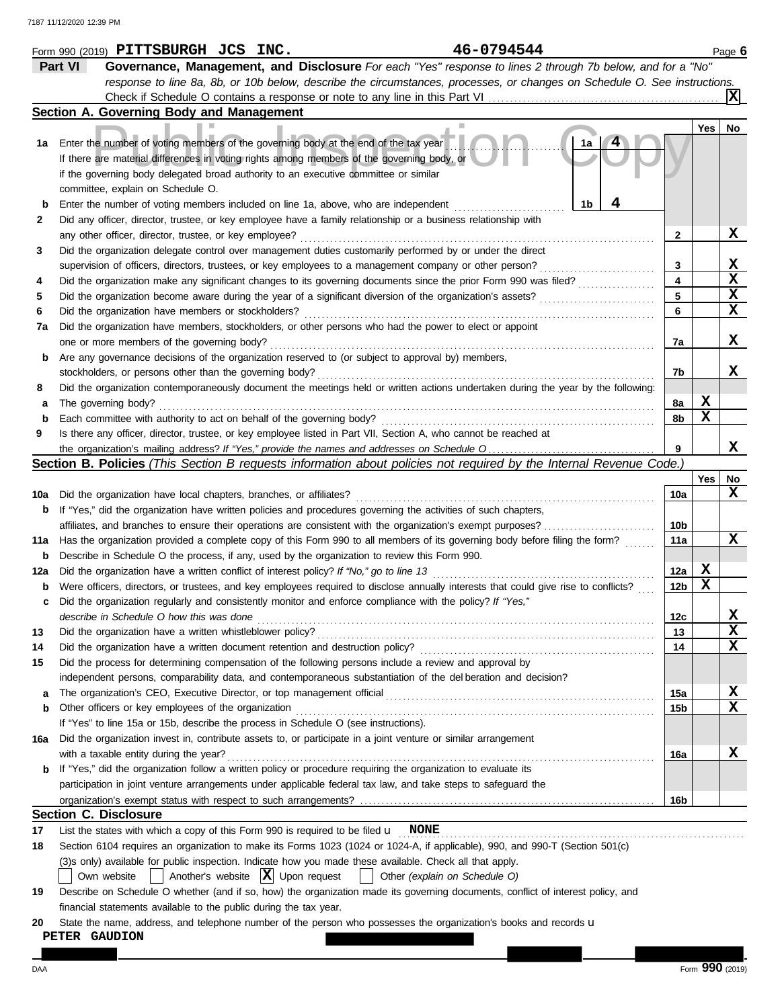|        | 46-0794544<br>Form 990 (2019) $\verb PITTSBURGH$ JCS INC.                                                                                                |                         |             | Page 6      |
|--------|----------------------------------------------------------------------------------------------------------------------------------------------------------|-------------------------|-------------|-------------|
|        | Part VI<br>Governance, Management, and Disclosure For each "Yes" response to lines 2 through 7b below, and for a "No"                                    |                         |             |             |
|        | response to line 8a, 8b, or 10b below, describe the circumstances, processes, or changes on Schedule O. See instructions.                                |                         |             |             |
|        |                                                                                                                                                          |                         |             | ΙXΙ         |
|        | Section A. Governing Body and Management                                                                                                                 |                         |             |             |
|        |                                                                                                                                                          |                         | Yes         | No          |
| 1a     | Enter the number of voting members of the governing body at the end of the tax year                                                                      |                         |             |             |
|        | If there are material differences in voting rights among members of the governing body, or                                                               |                         |             |             |
|        | if the governing body delegated broad authority to an executive committee or similar                                                                     |                         |             |             |
|        | committee, explain on Schedule O.                                                                                                                        |                         |             |             |
| b      | Enter the number of voting members included on line 1a, above, who are independent<br>1b                                                                 |                         |             |             |
| 2      | Did any officer, director, trustee, or key employee have a family relationship or a business relationship with                                           |                         |             |             |
|        | any other officer, director, trustee, or key employee?                                                                                                   | 2                       |             | x           |
| 3      | Did the organization delegate control over management duties customarily performed by or under the direct                                                |                         |             |             |
|        | supervision of officers, directors, trustees, or key employees to a management company or other person?                                                  | 3                       |             | х           |
| 4      | Did the organization make any significant changes to its governing documents since the prior Form 990 was filed?                                         | $\overline{\mathbf{4}}$ |             | X           |
| 5      | Did the organization become aware during the year of a significant diversion of the organization's assets?                                               | 5                       |             | $\mathbf x$ |
| 6      | Did the organization have members or stockholders?                                                                                                       | 6                       |             | X           |
| 7a     | Did the organization have members, stockholders, or other persons who had the power to elect or appoint                                                  |                         |             |             |
|        | one or more members of the governing body?                                                                                                               | 7a                      |             | X           |
| b      | Are any governance decisions of the organization reserved to (or subject to approval by) members,                                                        |                         |             |             |
|        | stockholders, or persons other than the governing body?                                                                                                  | 7b                      |             | x           |
| 8      | Did the organization contemporaneously document the meetings held or written actions undertaken during the year by the following:                        |                         | X           |             |
| а      | The governing body?<br>Each committee with authority to act on behalf of the governing body?                                                             | 8a<br>8b                | $\mathbf x$ |             |
| b<br>9 | Is there any officer, director, trustee, or key employee listed in Part VII, Section A, who cannot be reached at                                         |                         |             |             |
|        |                                                                                                                                                          | 9                       |             | x           |
|        | Section B. Policies (This Section B requests information about policies not required by the Internal Revenue Code.)                                      |                         |             |             |
|        |                                                                                                                                                          |                         | Yes         | No          |
| 10a l  | Did the organization have local chapters, branches, or affiliates?                                                                                       | 10a                     |             | x           |
| b      | If "Yes," did the organization have written policies and procedures governing the activities of such chapters,                                           |                         |             |             |
|        |                                                                                                                                                          | 10b                     |             |             |
| 11a    | Has the organization provided a complete copy of this Form 990 to all members of its governing body before filing the form?                              | 11a                     |             | X           |
| b      | Describe in Schedule O the process, if any, used by the organization to review this Form 990.                                                            |                         |             |             |
| 12a    | Did the organization have a written conflict of interest policy? If "No," go to line 13                                                                  | 12a                     | X           |             |
| b      | Were officers, directors, or trustees, and key employees required to disclose annually interests that could give rise to conflicts?                      | 12 <sub>b</sub>         | $\mathbf x$ |             |
| c      | Did the organization regularly and consistently monitor and enforce compliance with the policy? If "Yes,"                                                |                         |             |             |
|        | describe in Schedule O how this was done                                                                                                                 | 12c                     |             | X,          |
| 13     | Did the organization have a written whistleblower policy?                                                                                                | 13                      |             | $\mathbf x$ |
| 14     | Did the organization have a written document retention and destruction policy?                                                                           | 14                      |             | $\mathbf x$ |
| 15     | Did the process for determining compensation of the following persons include a review and approval by                                                   |                         |             |             |
|        | independent persons, comparability data, and contemporaneous substantiation of the del beration and decision?                                            |                         |             |             |
| а      |                                                                                                                                                          | 15a                     |             | X           |
| b      | Other officers or key employees of the organization                                                                                                      | 15b                     |             | $\mathbf x$ |
|        | If "Yes" to line 15a or 15b, describe the process in Schedule O (see instructions).                                                                      |                         |             |             |
| 16a    | Did the organization invest in, contribute assets to, or participate in a joint venture or similar arrangement                                           |                         |             | X           |
| b      | with a taxable entity during the year?<br>If "Yes," did the organization follow a written policy or procedure requiring the organization to evaluate its | 16a                     |             |             |
|        | participation in joint venture arrangements under applicable federal tax law, and take steps to safeguard the                                            |                         |             |             |
|        |                                                                                                                                                          | 16b                     |             |             |
|        | <b>Section C. Disclosure</b>                                                                                                                             |                         |             |             |
| 17     | List the states with which a copy of this Form 990 is required to be filed $\mathbf{u}$ NONE                                                             |                         |             |             |
| 18     | Section 6104 requires an organization to make its Forms 1023 (1024 or 1024-A, if applicable), 990, and 990-T (Section 501(c)                             |                         |             |             |
|        | (3) sonly) available for public inspection. Indicate how you made these available. Check all that apply.                                                 |                         |             |             |
|        | Another's website $ \mathbf{X} $ Upon request<br>Own website<br>Other (explain on Schedule O)                                                            |                         |             |             |
| 19     | Describe on Schedule O whether (and if so, how) the organization made its governing documents, conflict of interest policy, and                          |                         |             |             |
|        | financial statements available to the public during the tax year.                                                                                        |                         |             |             |
| 20     | State the name, address, and telephone number of the person who possesses the organization's books and records u                                         |                         |             |             |
|        | PETER GAUDION                                                                                                                                            |                         |             |             |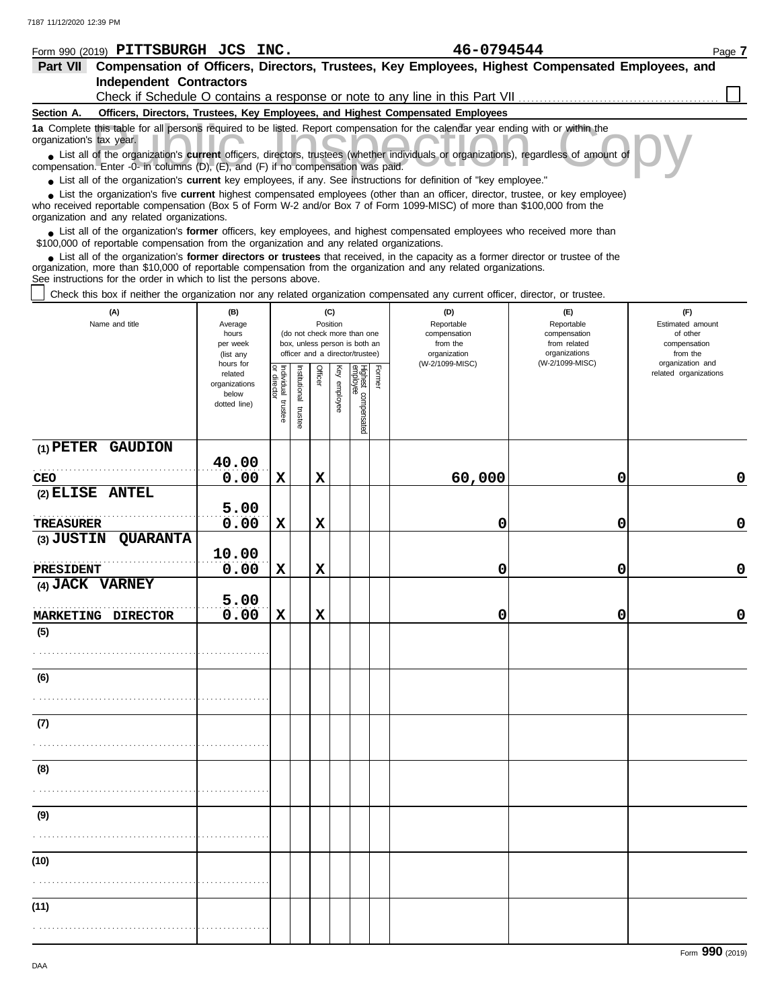| Form 990 (2019) PITTSBURGH JCS INC.                                                                                                                                                                                                                                                                                                                                                                                            |                                                                                                                                                                                                                                                                                                                                                                                                                                                                                                                                                                                                                                                                                           |                                      |                                                                                                                                                                                                                     |  |  | 46-0794544                                                                                       |                                                                                       | Page 7                                                                                                       |  |  |  |
|--------------------------------------------------------------------------------------------------------------------------------------------------------------------------------------------------------------------------------------------------------------------------------------------------------------------------------------------------------------------------------------------------------------------------------|-------------------------------------------------------------------------------------------------------------------------------------------------------------------------------------------------------------------------------------------------------------------------------------------------------------------------------------------------------------------------------------------------------------------------------------------------------------------------------------------------------------------------------------------------------------------------------------------------------------------------------------------------------------------------------------------|--------------------------------------|---------------------------------------------------------------------------------------------------------------------------------------------------------------------------------------------------------------------|--|--|--------------------------------------------------------------------------------------------------|---------------------------------------------------------------------------------------|--------------------------------------------------------------------------------------------------------------|--|--|--|
| Part VII                                                                                                                                                                                                                                                                                                                                                                                                                       |                                                                                                                                                                                                                                                                                                                                                                                                                                                                                                                                                                                                                                                                                           |                                      |                                                                                                                                                                                                                     |  |  | Compensation of Officers, Directors, Trustees, Key Employees, Highest Compensated Employees, and |                                                                                       |                                                                                                              |  |  |  |
| <b>Independent Contractors</b>                                                                                                                                                                                                                                                                                                                                                                                                 |                                                                                                                                                                                                                                                                                                                                                                                                                                                                                                                                                                                                                                                                                           |                                      |                                                                                                                                                                                                                     |  |  |                                                                                                  |                                                                                       |                                                                                                              |  |  |  |
|                                                                                                                                                                                                                                                                                                                                                                                                                                | Check if Schedule O contains a response or note to any line in this Part VII<br>Officers, Directors, Trustees, Key Employees, and Highest Compensated Employees<br>Section A.                                                                                                                                                                                                                                                                                                                                                                                                                                                                                                             |                                      |                                                                                                                                                                                                                     |  |  |                                                                                                  |                                                                                       |                                                                                                              |  |  |  |
| 1a Complete this table for all persons required to be listed. Report compensation for the calendar year ending with or within the<br>organization's tax year.<br>• List all of the organization's current officers, directors, trustees (whether individuals or organizations), regardless of amount of<br>compensation. Enter -0- in columns (D), (E), and (F) if no compensation was paid.                                   |                                                                                                                                                                                                                                                                                                                                                                                                                                                                                                                                                                                                                                                                                           |                                      |                                                                                                                                                                                                                     |  |  |                                                                                                  |                                                                                       |                                                                                                              |  |  |  |
| • List all of the organization's current key employees, if any. See instructions for definition of "key employee."<br>List the organization's five current highest compensated employees (other than an officer, director, trustee, or key employee)<br>who received reportable compensation (Box 5 of Form W-2 and/or Box 7 of Form 1099-MISC) of more than \$100,000 from the<br>organization and any related organizations. |                                                                                                                                                                                                                                                                                                                                                                                                                                                                                                                                                                                                                                                                                           |                                      |                                                                                                                                                                                                                     |  |  |                                                                                                  |                                                                                       |                                                                                                              |  |  |  |
|                                                                                                                                                                                                                                                                                                                                                                                                                                | • List all of the organization's former officers, key employees, and highest compensated employees who received more than<br>\$100,000 of reportable compensation from the organization and any related organizations.<br>• List all of the organization's former directors or trustees that received, in the capacity as a former director or trustee of the<br>organization, more than \$10,000 of reportable compensation from the organization and any related organizations.<br>See instructions for the order in which to list the persons above.<br>Check this box if neither the organization nor any related organization compensated any current officer, director, or trustee. |                                      |                                                                                                                                                                                                                     |  |  |                                                                                                  |                                                                                       |                                                                                                              |  |  |  |
| (A)<br>Name and title                                                                                                                                                                                                                                                                                                                                                                                                          | (B)<br>Average<br>hours<br>per week<br>(list any<br>hours for<br>related<br>organizations<br>below<br>dotted line)                                                                                                                                                                                                                                                                                                                                                                                                                                                                                                                                                                        | Individual<br>or director<br>trustee | (C)<br>Position<br>(do not check more than one<br>box, unless person is both an<br>officer and a director/trustee)<br>Institutional trustee<br>Officer<br>Highest compensated<br>employee<br>Former<br>Key employee |  |  | (D)<br>Reportable<br>compensation<br>from the<br>organization<br>(W-2/1099-MISC)                 | (E)<br>Reportable<br>compensation<br>from related<br>organizations<br>(W-2/1099-MISC) | (F)<br>Estimated amount<br>of other<br>compensation<br>from the<br>organization and<br>related organizations |  |  |  |
| <b>GAUDION</b><br>$(1)$ PETER                                                                                                                                                                                                                                                                                                                                                                                                  | <b>40 00</b>                                                                                                                                                                                                                                                                                                                                                                                                                                                                                                                                                                                                                                                                              |                                      |                                                                                                                                                                                                                     |  |  |                                                                                                  |                                                                                       |                                                                                                              |  |  |  |

|                     |       |             | ¢ |             | $\Xi$ |        |             |             |
|---------------------|-------|-------------|---|-------------|-------|--------|-------------|-------------|
| (1) PETER GAUDION   |       |             |   |             |       |        |             |             |
|                     | 40.00 |             |   |             |       |        |             |             |
| ${\tt CEO}$         | 0.00  | $\mathbf x$ |   | $\mathbf x$ |       | 60,000 | 0           | $\mathbf 0$ |
| $(2)$ ELISE ANTEL   |       |             |   |             |       |        |             |             |
|                     | 5.00  |             |   |             |       |        |             |             |
| <b>TREASURER</b>    | 0.00  | $\mathbf x$ |   | $\mathbf x$ |       | 0      | $\mathbf 0$ | $\mathbf 0$ |
| (3) JUSTIN QUARANTA |       |             |   |             |       |        |             |             |
|                     | 10.00 |             |   |             |       |        |             |             |
| PRESIDENT           | 0.00  | $\mathbf x$ |   | $\mathbf x$ |       | 0      | $\mathbf 0$ | $\mathbf 0$ |
| (4) JACK VARNEY     |       |             |   |             |       |        |             |             |
|                     | 5.00  |             |   |             |       |        |             |             |
| MARKETING DIRECTOR  | 0.00  | $\mathbf x$ |   | $\mathbf x$ |       | 0      | 0           | $\mathbf 0$ |
| (5)                 |       |             |   |             |       |        |             |             |
|                     |       |             |   |             |       |        |             |             |
| (6)                 |       |             |   |             |       |        |             |             |
|                     |       |             |   |             |       |        |             |             |
| (7)                 |       |             |   |             |       |        |             |             |
|                     |       |             |   |             |       |        |             |             |
| (8)                 |       |             |   |             |       |        |             |             |
|                     |       |             |   |             |       |        |             |             |
| (9)                 |       |             |   |             |       |        |             |             |
|                     |       |             |   |             |       |        |             |             |
| (10)                |       |             |   |             |       |        |             |             |
|                     |       |             |   |             |       |        |             |             |
| (11)                |       |             |   |             |       |        |             |             |
|                     |       |             |   |             |       |        |             |             |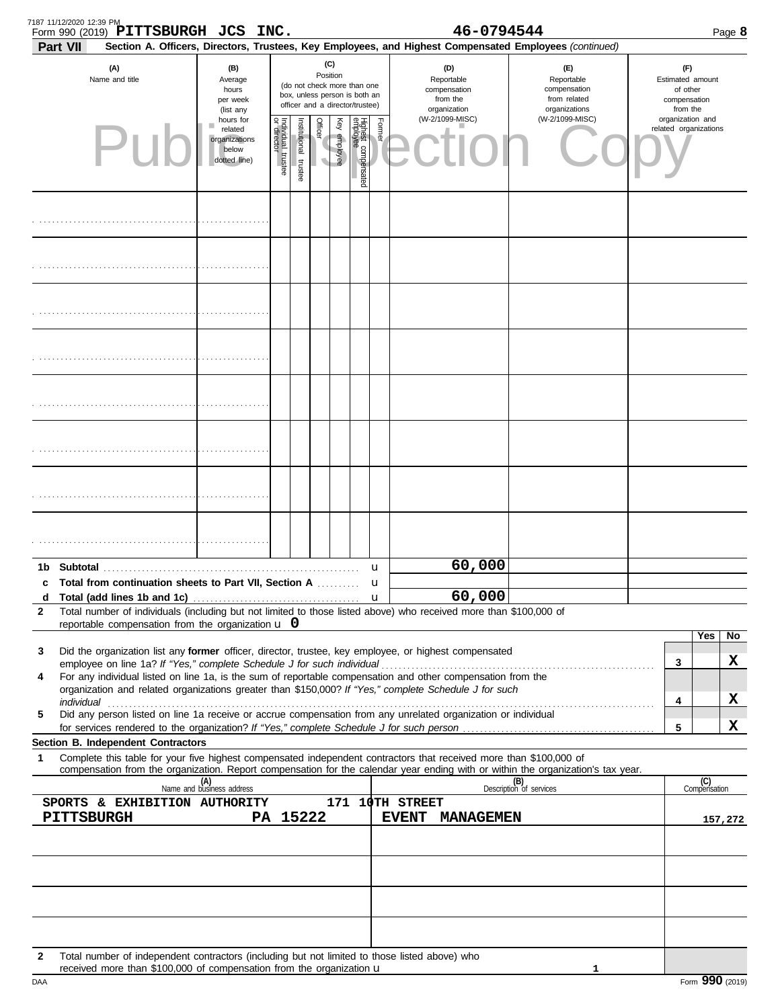| 7187 11/12/2020 12:39 PM<br>Part VII | Form 990 (2019) PITTSBURGH JCS INC.                                                                             |                                                                |                                   |                       |                                                                                                                    |              |                                 |        | 46-0794544<br>Section A. Officers, Directors, Trustees, Key Employees, and Highest Compensated Employees (continued) |                                                                                                                                                                    |                                                                 |                     | Page 8 |
|--------------------------------------|-----------------------------------------------------------------------------------------------------------------|----------------------------------------------------------------|-----------------------------------|-----------------------|--------------------------------------------------------------------------------------------------------------------|--------------|---------------------------------|--------|----------------------------------------------------------------------------------------------------------------------|--------------------------------------------------------------------------------------------------------------------------------------------------------------------|-----------------------------------------------------------------|---------------------|--------|
|                                      | (A)<br>Name and title                                                                                           | (B)<br>Average<br>hours<br>per week<br>(list any               |                                   |                       | (C)<br>Position<br>(do not check more than one<br>box, unless person is both an<br>officer and a director/trustee) |              |                                 |        | (D)<br>Reportable<br>compensation<br>from the<br>organization                                                        | (E)<br>Reportable<br>compensation<br>from related<br>organizations                                                                                                 | (F)<br>Estimated amount<br>of other<br>compensation<br>from the |                     |        |
|                                      |                                                                                                                 | hours for<br>related<br>organizations<br>below<br>dotted line) | Individual trustee<br>or director | Institutional trustee | Officer                                                                                                            | Key employee | Highest compensated<br>employee | Former | (W-2/1099-MISC)                                                                                                      | (W-2/1099-MISC)                                                                                                                                                    | organization and<br>related organizations                       |                     |        |
|                                      |                                                                                                                 |                                                                |                                   |                       |                                                                                                                    |              |                                 |        |                                                                                                                      |                                                                                                                                                                    |                                                                 |                     |        |
|                                      |                                                                                                                 |                                                                |                                   |                       |                                                                                                                    |              |                                 |        |                                                                                                                      |                                                                                                                                                                    |                                                                 |                     |        |
|                                      |                                                                                                                 |                                                                |                                   |                       |                                                                                                                    |              |                                 |        |                                                                                                                      |                                                                                                                                                                    |                                                                 |                     |        |
|                                      |                                                                                                                 |                                                                |                                   |                       |                                                                                                                    |              |                                 |        |                                                                                                                      |                                                                                                                                                                    |                                                                 |                     |        |
|                                      |                                                                                                                 |                                                                |                                   |                       |                                                                                                                    |              |                                 |        |                                                                                                                      |                                                                                                                                                                    |                                                                 |                     |        |
|                                      |                                                                                                                 |                                                                |                                   |                       |                                                                                                                    |              |                                 |        |                                                                                                                      |                                                                                                                                                                    |                                                                 |                     |        |
|                                      |                                                                                                                 |                                                                |                                   |                       |                                                                                                                    |              |                                 |        |                                                                                                                      |                                                                                                                                                                    |                                                                 |                     |        |
|                                      |                                                                                                                 |                                                                |                                   |                       |                                                                                                                    |              |                                 |        |                                                                                                                      |                                                                                                                                                                    |                                                                 |                     |        |
|                                      | Total from continuation sheets to Part VII, Section A                                                           |                                                                |                                   |                       |                                                                                                                    |              |                                 | u<br>u | 60,000                                                                                                               |                                                                                                                                                                    |                                                                 |                     |        |
|                                      |                                                                                                                 |                                                                |                                   |                       |                                                                                                                    |              |                                 | u      | 60,000                                                                                                               |                                                                                                                                                                    |                                                                 |                     |        |
| 2                                    |                                                                                                                 |                                                                |                                   |                       |                                                                                                                    |              |                                 |        | Total number of individuals (including but not limited to those listed above) who received more than \$100,000 of    |                                                                                                                                                                    |                                                                 |                     |        |
|                                      | reportable compensation from the organization $\mathbf u$ 0                                                     |                                                                |                                   |                       |                                                                                                                    |              |                                 |        |                                                                                                                      |                                                                                                                                                                    |                                                                 | Yes                 | No.    |
| 3                                    |                                                                                                                 |                                                                |                                   |                       |                                                                                                                    |              |                                 |        | Did the organization list any former officer, director, trustee, key employee, or highest compensated                |                                                                                                                                                                    | 3                                                               |                     | X      |
| 4                                    |                                                                                                                 |                                                                |                                   |                       |                                                                                                                    |              |                                 |        | For any individual listed on line 1a, is the sum of reportable compensation and other compensation from the          |                                                                                                                                                                    |                                                                 |                     |        |
|                                      |                                                                                                                 |                                                                |                                   |                       |                                                                                                                    |              |                                 |        | organization and related organizations greater than \$150,000? If "Yes," complete Schedule J for such                |                                                                                                                                                                    | 4                                                               |                     | X      |
| 5                                    | individual communications and contact the contact of the contact of the contact of the contact of the contact o |                                                                |                                   |                       |                                                                                                                    |              |                                 |        | Did any person listed on line 1a receive or accrue compensation from any unrelated organization or individual        |                                                                                                                                                                    |                                                                 |                     |        |
|                                      |                                                                                                                 |                                                                |                                   |                       |                                                                                                                    |              |                                 |        |                                                                                                                      |                                                                                                                                                                    | 5                                                               |                     | X      |
| 1                                    | Section B. Independent Contractors                                                                              |                                                                |                                   |                       |                                                                                                                    |              |                                 |        | Complete this table for your five highest compensated independent contractors that received more than \$100,000 of   |                                                                                                                                                                    |                                                                 |                     |        |
|                                      |                                                                                                                 |                                                                |                                   |                       |                                                                                                                    |              |                                 |        |                                                                                                                      | compensation from the organization. Report compensation for the calendar year ending with or within the organization's tax year.<br>(B)<br>Description of services |                                                                 | (C)<br>Compensation |        |
|                                      | SPORTS & EXHIBITION AUTHORITY                                                                                   | (A)<br>Name and business address                               |                                   |                       |                                                                                                                    |              |                                 |        | 171 10TH STREET                                                                                                      |                                                                                                                                                                    |                                                                 |                     |        |
| <b>PITTSBURGH</b>                    |                                                                                                                 |                                                                | PA 15222                          |                       |                                                                                                                    |              |                                 |        | <b>EVENT</b><br><b>MANAGEMEN</b>                                                                                     |                                                                                                                                                                    |                                                                 | 157,272             |        |
|                                      |                                                                                                                 |                                                                |                                   |                       |                                                                                                                    |              |                                 |        |                                                                                                                      |                                                                                                                                                                    |                                                                 |                     |        |
|                                      |                                                                                                                 |                                                                |                                   |                       |                                                                                                                    |              |                                 |        |                                                                                                                      |                                                                                                                                                                    |                                                                 |                     |        |
|                                      |                                                                                                                 |                                                                |                                   |                       |                                                                                                                    |              |                                 |        |                                                                                                                      |                                                                                                                                                                    |                                                                 |                     |        |
|                                      |                                                                                                                 |                                                                |                                   |                       |                                                                                                                    |              |                                 |        |                                                                                                                      |                                                                                                                                                                    |                                                                 |                     |        |
|                                      |                                                                                                                 |                                                                |                                   |                       |                                                                                                                    |              |                                 |        |                                                                                                                      |                                                                                                                                                                    |                                                                 |                     |        |
| $\mathbf{2}$                         | Total number of independent contractors (including but not limited to those listed above) who                   |                                                                |                                   |                       |                                                                                                                    |              |                                 |        |                                                                                                                      |                                                                                                                                                                    |                                                                 |                     |        |
|                                      | received more than \$100,000 of compensation from the organization u                                            |                                                                |                                   |                       |                                                                                                                    |              |                                 |        |                                                                                                                      | 1                                                                                                                                                                  |                                                                 |                     |        |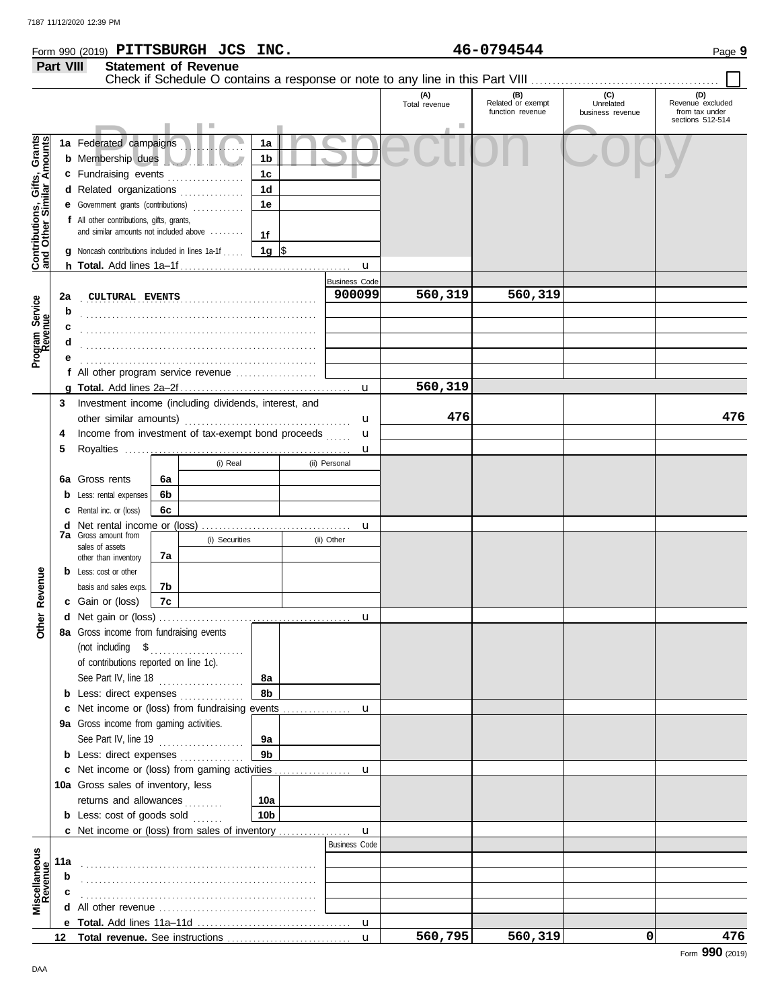**Part VIII Statement of Revenue**

## Check if Schedule O contains a response or note to any line in this Part VIII **(A) (B) (C) (D)** Total revenue Related or exempt Unrelated Revenue excluded function revenue business revenue from tax under sections 512-514 Public Inspection Copy Gifts, Grants<br>illar Amounts **Contributions, Gifts, Grants and Other Similar Amounts 1a** Federated campaigns **. . . . . . . . . . . . 1a 1b b** Membership dues . . . . . . . . . . . . . . . . . . . **1c c** Fundraising events **. . . . . . . . . . . . . .** . . **1d d** Related organizations . . . . . . . . . . . . . Contributions,<br>and Other Simi **1e e** Government grants (contributions) . . . . . . . . . . . . **f** All other contributions, gifts, grants, and similar amounts not included above ........ **1f 1g** l¢ **g** Noncash contributions included in lines 1a-1f . . . . . u **h Total.** Add lines 1a–1f . . . . . . . . . . . . . . . . . . . . . . . . . . . . . . . . . . . . . . . . Business Code . . . . . . . . . . . . . . . . . . . . . . . . . . . . . . . . . . . . . . . . . . . . . . . . . . . . . . . **CULTURAL EVENTS 900099 560,319 560,319 2a** Program Service<br>Revenue **Program Service b** . . . . . . . . . . . . . . . . . . . . . . . . . . . . . . . . . . . . . . . . . . . . . . . . . . . . . . . **c** . . . . . . . . . . . . . . . . . . . . . . . . . . . . . . . . . . . . . . . . . . . . . . . . . . . . . . . **d** . . . . . . . . . . . . . . . . . . . . . . . . . . . . . . . . . . . . . . . . . . . . . . . . . . . . . . . **e** . . . . . . . . . . . . . . . . . . . . . . . . . . . . . . . . . . . . . . . . . . . . . . . . . . . . . . . **f** All other program service revenue . . . . . . . . . . . . . . . . . . . **560,319 g Total.** Add lines 2a–2f . . . . . . . . . . . . . . . . . . . . . . . . . . . . . . . . . . . . . . . . u **3** Investment income (including dividends, interest, and **476 476** other similar amounts) . . . . . . . . . . . . . . . . . . . . . . . . . . . . . . . . . . . . . . . u Income from investment of tax-exempt bond proceeds **4** u **5** Royalties ..... u (i) Real (ii) Personal **6a 6a** Gross rents **6b b** Less: rental expenses **6c c** Rental inc. or (loss) **d** Net rental income or (loss) . . . . . . . . . . . . . . . . . . . . . . . . . . . . . . . . . . . u **7a** Gross amount from (i) Securities (ii) Other sales of assets **7a** other than inventory **Other Revenue b** Less: cost or other **Other Revenue** basis and sales exps. **7b 7c c** Gain or (loss) **d** u Net gain or (loss) . . . . . . . . . . . . . . . . . . . . . . . . . . . . . . . . . . . . . . . . . . . . . **8a** Gross income from fundraising events (not including \$ . . . . . . . . . . . . . . . . . . . . . . of contributions reported on line 1c). See Part IV, line 18 . . . . . . . . . . . . . . . . . . . . **8a 8b b** Less: direct expenses . . . . . . . . . . . . . u **c** Net income or (loss) from fundraising events ................ **9a** Gross income from gaming activities. See Part IV, line 19 . . . . . . . . . . . . . . . . . . . . **9a 9b b** Less: direct expenses ............... u Net income or (loss) from gaming activities . . . . . . . . . . . . . . . . . . **c** 10a Gross sales of inventory, less returns and allowances ......... **10a 10b b** Less: cost of goods sold  $\ldots$ Net income or (loss) from sales of inventory . . . . . . . . . . . . . . . . . **c** u Business Code **Revenue Miscellaneous 11a** . . . . . . . . . . . . . . . . . . . . . . . . . . . . . . . . . . . . . . . . . . . . . . . . . . . . . . . **b c d** All other revenue . . . . . . . . . . . . . . . . . . . . . . . . . . . . . . . . . . . . . **e Total.** Add lines 11a–11d . . . . . . . . . . . . . . . . . . . . . . . . . . . . . . . . . . . . u **560,795 560,319 0 476 Total revenue.** See instructions **12** u

| Form 990 (2019) $PITTSBURGH$ | INC.<br>JCS | 0794544-، | Page. |
|------------------------------|-------------|-----------|-------|
|                              |             |           |       |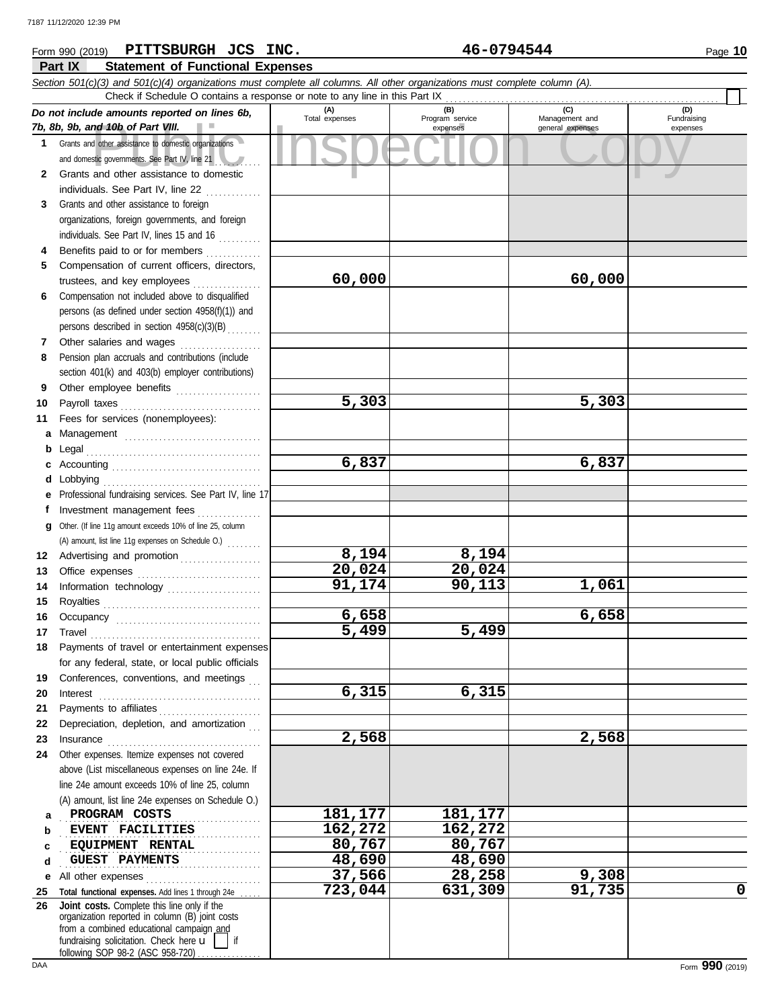## **Part IX Statement of Functional Expenses** Form 990 (2019) Page **10 PITTSBURGH JCS INC. 46-0794544**

|              | Section 501(c)(3) and 501(c)(4) organizations must complete all columns. All other organizations must complete column (A).<br>Check if Schedule O contains a response or note to any line in this Part IX                      |                       |                 |                  |             |
|--------------|--------------------------------------------------------------------------------------------------------------------------------------------------------------------------------------------------------------------------------|-----------------------|-----------------|------------------|-------------|
|              |                                                                                                                                                                                                                                |                       | (B)             | (C)              | (D)         |
|              | Do not include amounts reported on lines 6b,<br>7b, 8b, 9b, and 10b of Part VIII.                                                                                                                                              | (A)<br>Total expenses | Program service | Management and   | Fundraising |
|              | 1 Grants and other assistance to domestic organizations                                                                                                                                                                        |                       | expenses        | general expenses | expenses    |
|              | and domestic governments. See Part IV, line 21                                                                                                                                                                                 |                       |                 |                  |             |
| $\mathbf{2}$ | Grants and other assistance to domestic                                                                                                                                                                                        |                       |                 |                  |             |
|              | individuals. See Part IV, line 22                                                                                                                                                                                              |                       |                 |                  |             |
| 3            | Grants and other assistance to foreign                                                                                                                                                                                         |                       |                 |                  |             |
|              | organizations, foreign governments, and foreign                                                                                                                                                                                |                       |                 |                  |             |
|              | individuals. See Part IV, lines 15 and 16                                                                                                                                                                                      |                       |                 |                  |             |
| 4            | Benefits paid to or for members                                                                                                                                                                                                |                       |                 |                  |             |
| 5            | Compensation of current officers, directors,                                                                                                                                                                                   |                       |                 |                  |             |
|              | trustees, and key employees<br>.                                                                                                                                                                                               | 60,000                |                 | 60,000           |             |
| 6            | Compensation not included above to disqualified                                                                                                                                                                                |                       |                 |                  |             |
|              | persons (as defined under section 4958(f)(1)) and                                                                                                                                                                              |                       |                 |                  |             |
|              | persons described in section 4958(c)(3)(B)                                                                                                                                                                                     |                       |                 |                  |             |
| 7            | Other salaries and wages                                                                                                                                                                                                       |                       |                 |                  |             |
| 8            | Pension plan accruals and contributions (include                                                                                                                                                                               |                       |                 |                  |             |
|              | section 401(k) and 403(b) employer contributions)                                                                                                                                                                              |                       |                 |                  |             |
| 9            | Other employee benefits                                                                                                                                                                                                        |                       |                 |                  |             |
| 10           |                                                                                                                                                                                                                                | 5,303                 |                 | 5,303            |             |
| 11           | Fees for services (nonemployees):                                                                                                                                                                                              |                       |                 |                  |             |
| а            | Management                                                                                                                                                                                                                     |                       |                 |                  |             |
| b            |                                                                                                                                                                                                                                |                       |                 |                  |             |
|              |                                                                                                                                                                                                                                | 6,837                 |                 | 6,837            |             |
| d            |                                                                                                                                                                                                                                |                       |                 |                  |             |
| е            | Professional fundraising services. See Part IV, line 17                                                                                                                                                                        |                       |                 |                  |             |
| f            | Investment management fees<br>Other. (If line 11g amount exceeds 10% of line 25, column                                                                                                                                        |                       |                 |                  |             |
| g            | (A) amount, list line 11g expenses on Schedule O.)                                                                                                                                                                             |                       |                 |                  |             |
| 12           | Advertising and promotion                                                                                                                                                                                                      | 8,194                 | 8,194           |                  |             |
| 13           |                                                                                                                                                                                                                                | 20,024                | 20,024          |                  |             |
| 14           |                                                                                                                                                                                                                                | 91,174                | 90,113          | 1,061            |             |
| 15           |                                                                                                                                                                                                                                |                       |                 |                  |             |
| 16           |                                                                                                                                                                                                                                | 6,658                 |                 | 6,658            |             |
| 17           |                                                                                                                                                                                                                                | 5,499                 | 5,499           |                  |             |
| 18           | Payments of travel or entertainment expenses                                                                                                                                                                                   |                       |                 |                  |             |
|              | for any federal, state, or local public officials                                                                                                                                                                              |                       |                 |                  |             |
| 19           | Conferences, conventions, and meetings                                                                                                                                                                                         |                       |                 |                  |             |
| 20           |                                                                                                                                                                                                                                | 6,315                 | 6,315           |                  |             |
| 21           | Payments to affiliates                                                                                                                                                                                                         |                       |                 |                  |             |
| 22           | Depreciation, depletion, and amortization                                                                                                                                                                                      |                       |                 |                  |             |
| 23           | Insurance with the continuum of the continuum of the continuum of the continuum of the continuum of the continuum of the continuum of the continuum of the continuum of the continuum of the continuum of the continuum of the | 2,568                 |                 | 2,568            |             |
| 24           | Other expenses. Itemize expenses not covered                                                                                                                                                                                   |                       |                 |                  |             |
|              | above (List miscellaneous expenses on line 24e. If                                                                                                                                                                             |                       |                 |                  |             |
|              | line 24e amount exceeds 10% of line 25, column                                                                                                                                                                                 |                       |                 |                  |             |
|              | (A) amount, list line 24e expenses on Schedule O.)<br>PROGRAM COSTS                                                                                                                                                            | 181,177               | 181,177         |                  |             |
| а<br>b       | EVENT FACILITIES                                                                                                                                                                                                               | 162,272               | 162,272         |                  |             |
| c            | EQUIPMENT RENTAL                                                                                                                                                                                                               | 80,767                | 80,767          |                  |             |
| d            | GUEST PAYMENTS                                                                                                                                                                                                                 | 48,690                | 48,690          |                  |             |
| е            | All other expenses                                                                                                                                                                                                             | 37,566                | 28,258          | 9,308            |             |
| 25           | Total functional expenses. Add lines 1 through 24e                                                                                                                                                                             | 723,044               | 631,309         | 91,735           | 0           |
| 26           | Joint costs. Complete this line only if the                                                                                                                                                                                    |                       |                 |                  |             |
|              | organization reported in column (B) joint costs<br>from a combined educational campaign and                                                                                                                                    |                       |                 |                  |             |
|              | fundraising solicitation. Check here u<br>$\overline{\phantom{a}}$ if                                                                                                                                                          |                       |                 |                  |             |
|              | following SOP 98-2 (ASC 958-720)                                                                                                                                                                                               |                       |                 |                  |             |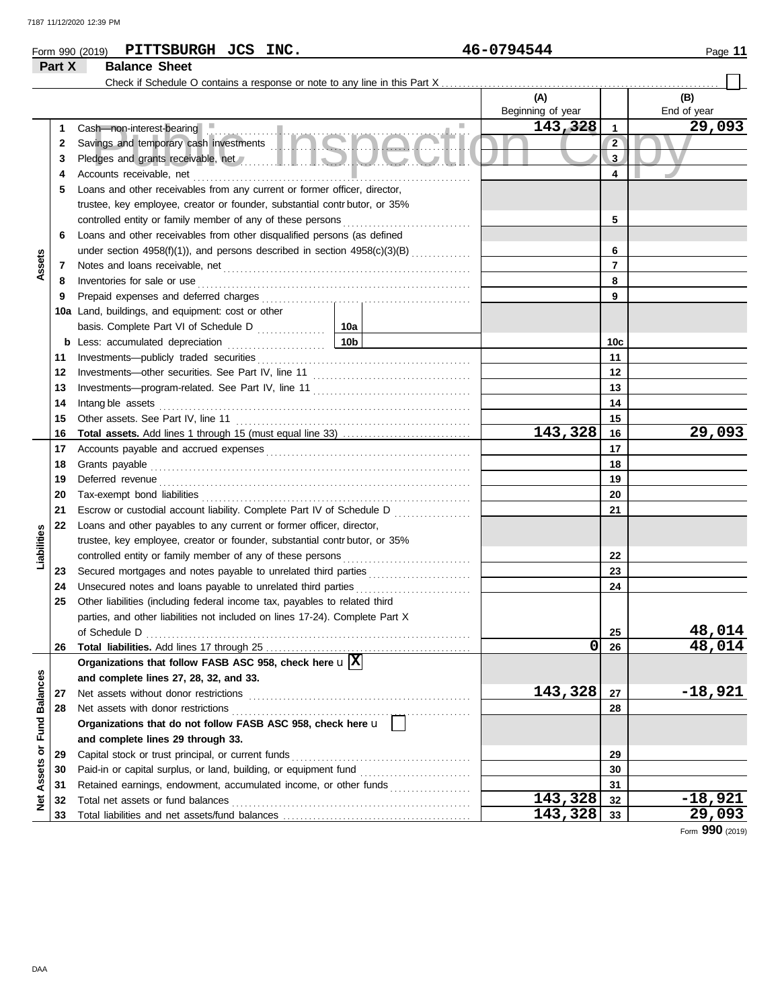|                                  | PITTSBURGH JCS INC.                                                            | 46-0794544        |   | Page 11     |
|----------------------------------|--------------------------------------------------------------------------------|-------------------|---|-------------|
|                                  | <b>Balance Sheet</b>                                                           |                   |   |             |
|                                  |                                                                                |                   |   |             |
|                                  |                                                                                | (A)               |   | (B)         |
|                                  |                                                                                | Beginning of year |   | End of year |
|                                  | m<br>Cash-non-interest-bearing                                                 | 143,328           |   | 29,093      |
|                                  | Savings and temporary cash investments                                         |                   |   |             |
| 3                                | Pledges and grants receivable, net                                             |                   |   |             |
| 4                                | Accounts receivable, net                                                       |                   |   |             |
| 5                                | Loans and other receivables from any current or former officer, director,      |                   |   |             |
|                                  | trustee, key employee, creator or founder, substantial contributor, or 35%     |                   |   |             |
|                                  | controlled entity or family member of any of these persons                     |                   | 5 |             |
| 6                                | Loans and other receivables from other disqualified persons (as defined        |                   |   |             |
| Form 990 (2019)<br>Part X<br>ets | under section $4958(f)(1)$ ), and persons described in section $4958(c)(3)(B)$ |                   | 6 |             |
|                                  |                                                                                |                   |   |             |

|             |    | trustee, key employee, creator or founder, substantial contributor, or 35%                                                                                                                                                           |                           |         |                 |                 |
|-------------|----|--------------------------------------------------------------------------------------------------------------------------------------------------------------------------------------------------------------------------------------|---------------------------|---------|-----------------|-----------------|
|             |    | controlled entity or family member of any of these persons                                                                                                                                                                           |                           | 5       |                 |                 |
|             | 6  | Loans and other receivables from other disqualified persons (as defined                                                                                                                                                              |                           |         |                 |                 |
|             |    | under section 4958(f)(1)), and persons described in section 4958(c)(3)(B)                                                                                                                                                            |                           | 6       |                 |                 |
| Assets      | 7  |                                                                                                                                                                                                                                      |                           |         | $\overline{7}$  |                 |
|             | 8  | Inventories for sale or use <i>communication</i> and the state of the state or use of the state of the state of the state of the state of the state of the state of the state of the state of the state of the state of the state o  |                           |         | 8               |                 |
|             | 9  |                                                                                                                                                                                                                                      |                           |         | 9               |                 |
|             |    | <b>10a</b> Land, buildings, and equipment: cost or other                                                                                                                                                                             |                           |         |                 |                 |
|             |    |                                                                                                                                                                                                                                      |                           |         |                 |                 |
|             | b  | Less: accumulated depreciation                                                                                                                                                                                                       | 10b                       |         | 10 <sub>c</sub> |                 |
|             | 11 |                                                                                                                                                                                                                                      |                           |         | 11              |                 |
|             | 12 |                                                                                                                                                                                                                                      |                           |         | 12              |                 |
|             | 13 |                                                                                                                                                                                                                                      |                           |         | 13              |                 |
|             | 14 | Intang ble assets                                                                                                                                                                                                                    |                           |         | 14              |                 |
|             | 15 |                                                                                                                                                                                                                                      |                           |         | 15              |                 |
|             | 16 |                                                                                                                                                                                                                                      |                           | 143,328 | 16              | 29,093          |
|             | 17 |                                                                                                                                                                                                                                      |                           | 17      |                 |                 |
|             | 18 | Grants payable                                                                                                                                                                                                                       |                           |         | 18              |                 |
|             | 19 | Deferred revenue <b>contract and the contract of the contract of the contract of the contract of the contract of the contract of the contract of the contract of the contract of the contract of the contract of the contract of</b> |                           | 19      |                 |                 |
|             | 20 |                                                                                                                                                                                                                                      |                           | 20      |                 |                 |
|             | 21 | Escrow or custodial account liability. Complete Part IV of Schedule D                                                                                                                                                                |                           | 21      |                 |                 |
|             | 22 | Loans and other payables to any current or former officer, director,                                                                                                                                                                 |                           |         |                 |                 |
| Liabilities |    | trustee, key employee, creator or founder, substantial contributor, or 35%                                                                                                                                                           |                           |         |                 |                 |
|             |    | controlled entity or family member of any of these persons                                                                                                                                                                           |                           |         | 22              |                 |
|             | 23 | Secured mortgages and notes payable to unrelated third parties                                                                                                                                                                       |                           |         | 23              |                 |
|             | 24 | Unsecured notes and loans payable to unrelated third parties                                                                                                                                                                         |                           |         | 24              |                 |
|             | 25 | Other liabilities (including federal income tax, payables to related third                                                                                                                                                           |                           |         |                 |                 |
|             |    | parties, and other liabilities not included on lines 17-24). Complete Part X                                                                                                                                                         |                           |         |                 |                 |
|             |    |                                                                                                                                                                                                                                      |                           |         | 25              | 48,014          |
|             | 26 |                                                                                                                                                                                                                                      |                           | 0       | 26              | 48,014          |
|             |    | Organizations that follow FASB ASC 958, check here $\mathbf{u} \mathbf{X}$                                                                                                                                                           |                           |         |                 |                 |
| Balances    |    | and complete lines 27, 28, 32, and 33.                                                                                                                                                                                               |                           |         |                 |                 |
|             | 27 | Net assets without donor restrictions                                                                                                                                                                                                |                           | 143,328 | 27              | $-18,921$       |
|             | 28 |                                                                                                                                                                                                                                      | والمتمام والمتحدث والمتنا |         | 28              |                 |
| Fund        |    | Organizations that do not follow FASB ASC 958, check here u                                                                                                                                                                          |                           |         |                 |                 |
|             |    | and complete lines 29 through 33.                                                                                                                                                                                                    |                           |         |                 |                 |
| ŏ           | 29 | Capital stock or trust principal, or current funds                                                                                                                                                                                   |                           |         | 29              |                 |
| Assets      | 30 |                                                                                                                                                                                                                                      |                           |         | 30              |                 |
|             | 31 | Retained earnings, endowment, accumulated income, or other funds                                                                                                                                                                     |                           |         | 31              |                 |
| ğ           | 32 | Total net assets or fund balances                                                                                                                                                                                                    |                           | 143,328 | 32              | $-18,921$       |
|             | 33 |                                                                                                                                                                                                                                      |                           | 143,328 | 33              | 29,093          |
|             |    |                                                                                                                                                                                                                                      |                           |         |                 | Form 990 (2019) |

DAA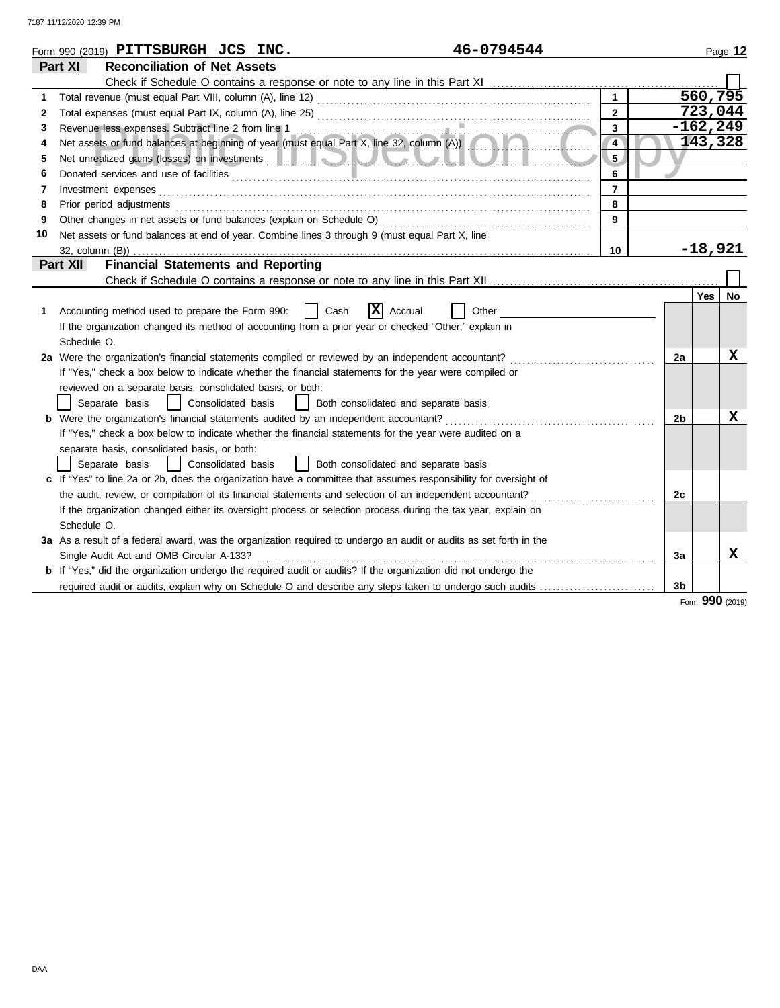|    | 46-0794544<br>Form 990 (2019) PITTSBURGH JCS INC.                                                                                               |                |                |             | Page 12 |
|----|-------------------------------------------------------------------------------------------------------------------------------------------------|----------------|----------------|-------------|---------|
|    | <b>Reconciliation of Net Assets</b><br>Part XI                                                                                                  |                |                |             |         |
|    |                                                                                                                                                 |                |                |             |         |
|    |                                                                                                                                                 | $\overline{1}$ |                | 560, 795    |         |
| 2  |                                                                                                                                                 | $\overline{2}$ |                | 723,044     |         |
| 3  | Revenue less expenses. Subtract line 2 from line 1                                                                                              | 3              |                | $-162, 249$ |         |
| 4  | Revenue less expenses. Subtract line 2 from line 1<br>Net assets or fund balances at beginning of year (must equal Part X, line 32, column (A)) | $\overline{4}$ |                | 143,328     |         |
| 5  | Net unrealized gains (losses) on investments <b>Alternative and Container and Container and Container and Container</b>                         | 5              |                |             |         |
| 6  |                                                                                                                                                 | 6              |                |             |         |
| 7  | Investment expenses                                                                                                                             | $\overline{7}$ |                |             |         |
| 8  | Prior period adjustments                                                                                                                        | 8              |                |             |         |
| 9  | Other changes in net assets or fund balances (explain on Schedule O)                                                                            | 9              |                |             |         |
| 10 | Net assets or fund balances at end of year. Combine lines 3 through 9 (must equal Part X, line                                                  |                |                |             |         |
|    |                                                                                                                                                 | 10             |                | $-18,921$   |         |
|    | <b>Financial Statements and Reporting</b><br>Part XII                                                                                           |                |                |             |         |
|    |                                                                                                                                                 |                |                |             |         |
|    |                                                                                                                                                 |                |                | Yes         | No      |
| 1  | $\overline{\mathbf{X}}$ Accrual<br>Cash<br>Accounting method used to prepare the Form 990:<br>Other                                             |                |                |             |         |
|    | If the organization changed its method of accounting from a prior year or checked "Other," explain in                                           |                |                |             |         |
|    | Schedule O.                                                                                                                                     |                |                |             |         |
|    | 2a Were the organization's financial statements compiled or reviewed by an independent accountant?                                              |                | 2a             |             | x       |
|    | If "Yes," check a box below to indicate whether the financial statements for the year were compiled or                                          |                |                |             |         |
|    | reviewed on a separate basis, consolidated basis, or both:                                                                                      |                |                |             |         |
|    | Separate basis<br>Consolidated basis<br>Both consolidated and separate basis                                                                    |                |                |             |         |
|    | <b>b</b> Were the organization's financial statements audited by an independent accountant?                                                     |                | 2 <sub>b</sub> |             | x       |
|    | If "Yes," check a box below to indicate whether the financial statements for the year were audited on a                                         |                |                |             |         |
|    | separate basis, consolidated basis, or both:                                                                                                    |                |                |             |         |
|    | Consolidated basis<br>Separate basis<br>Both consolidated and separate basis<br>$\mathbf{1}$                                                    |                |                |             |         |
|    | c If "Yes" to line 2a or 2b, does the organization have a committee that assumes responsibility for oversight of                                |                |                |             |         |
|    | the audit, review, or compilation of its financial statements and selection of an independent accountant?                                       |                | 2c             |             |         |
|    | If the organization changed either its oversight process or selection process during the tax year, explain on                                   |                |                |             |         |
|    | Schedule O.                                                                                                                                     |                |                |             |         |
|    | 3a As a result of a federal award, was the organization required to undergo an audit or audits as set forth in the                              |                |                |             |         |
|    | Single Audit Act and OMB Circular A-133?                                                                                                        |                | За             |             | x       |
|    | <b>b</b> If "Yes," did the organization undergo the required audit or audits? If the organization did not undergo the                           |                |                |             |         |
|    |                                                                                                                                                 |                | 3b             |             |         |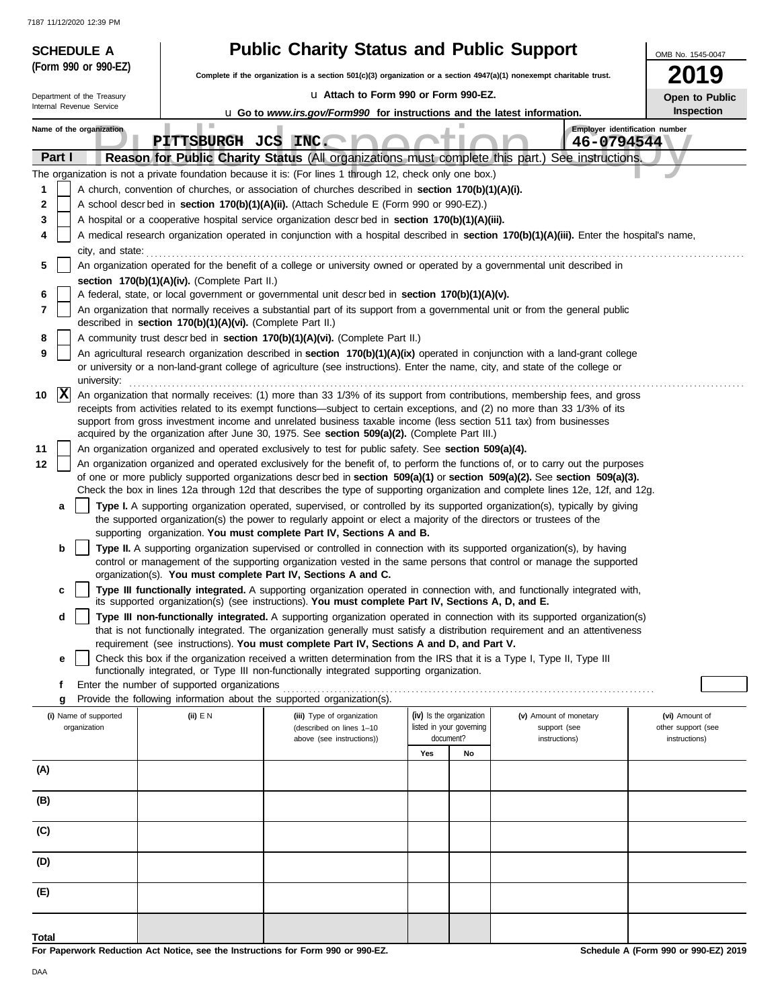| <b>SCHEDULE A</b>                |                                                                                                                                                                                                                                                     | <b>Public Charity Status and Public Support</b><br>OMB No. 1545-0047                                                                                                                                                                                            |                                       |                               |                                      |  |  |  |  |  |  |  |
|----------------------------------|-----------------------------------------------------------------------------------------------------------------------------------------------------------------------------------------------------------------------------------------------------|-----------------------------------------------------------------------------------------------------------------------------------------------------------------------------------------------------------------------------------------------------------------|---------------------------------------|-------------------------------|--------------------------------------|--|--|--|--|--|--|--|
| (Form 990 or 990-EZ)             |                                                                                                                                                                                                                                                     | 2019<br>Complete if the organization is a section 501(c)(3) organization or a section 4947(a)(1) nonexempt charitable trust.                                                                                                                                    |                                       |                               |                                      |  |  |  |  |  |  |  |
| Department of the Treasury       |                                                                                                                                                                                                                                                     | La Attach to Form 990 or Form 990-EZ.<br>Open to Public                                                                                                                                                                                                         |                                       |                               |                                      |  |  |  |  |  |  |  |
| Internal Revenue Service         |                                                                                                                                                                                                                                                     | <b>u</b> Go to www.irs.gov/Form990 for instructions and the latest information.                                                                                                                                                                                 |                                       |                               | Inspection                           |  |  |  |  |  |  |  |
| Name of the organization         | $\sim$<br>PITTSBURGH JCS INC.                                                                                                                                                                                                                       |                                                                                                                                                                                                                                                                 |                                       | 46-0794544                    | Employer identification number       |  |  |  |  |  |  |  |
| Part I                           |                                                                                                                                                                                                                                                     | Reason for Public Charity Status (All organizations must complete this part.) See instructions.                                                                                                                                                                 |                                       |                               |                                      |  |  |  |  |  |  |  |
|                                  |                                                                                                                                                                                                                                                     | The organization is not a private foundation because it is: (For lines 1 through 12, check only one box.)                                                                                                                                                       |                                       |                               |                                      |  |  |  |  |  |  |  |
| 1                                |                                                                                                                                                                                                                                                     | A church, convention of churches, or association of churches described in <b>section 170(b)(1)(A)(i).</b>                                                                                                                                                       |                                       |                               |                                      |  |  |  |  |  |  |  |
| 2                                | A school descr bed in section 170(b)(1)(A)(ii). (Attach Schedule E (Form 990 or 990-EZ).)                                                                                                                                                           |                                                                                                                                                                                                                                                                 |                                       |                               |                                      |  |  |  |  |  |  |  |
| 4                                | A hospital or a cooperative hospital service organization descrbed in section 170(b)(1)(A)(iii).<br>3<br>A medical research organization operated in conjunction with a hospital described in section 170(b)(1)(A)(iii). Enter the hospital's name, |                                                                                                                                                                                                                                                                 |                                       |                               |                                      |  |  |  |  |  |  |  |
| city, and state:                 |                                                                                                                                                                                                                                                     |                                                                                                                                                                                                                                                                 |                                       |                               |                                      |  |  |  |  |  |  |  |
| 5                                |                                                                                                                                                                                                                                                     | An organization operated for the benefit of a college or university owned or operated by a governmental unit described in                                                                                                                                       |                                       |                               |                                      |  |  |  |  |  |  |  |
|                                  | section 170(b)(1)(A)(iv). (Complete Part II.)                                                                                                                                                                                                       |                                                                                                                                                                                                                                                                 |                                       |                               |                                      |  |  |  |  |  |  |  |
| 6                                |                                                                                                                                                                                                                                                     | A federal, state, or local government or governmental unit described in section 170(b)(1)(A)(v).                                                                                                                                                                |                                       |                               |                                      |  |  |  |  |  |  |  |
| 7                                | described in section 170(b)(1)(A)(vi). (Complete Part II.)                                                                                                                                                                                          | An organization that normally receives a substantial part of its support from a governmental unit or from the general public                                                                                                                                    |                                       |                               |                                      |  |  |  |  |  |  |  |
| 8                                |                                                                                                                                                                                                                                                     | A community trust descr bed in section 170(b)(1)(A)(vi). (Complete Part II.)                                                                                                                                                                                    |                                       |                               |                                      |  |  |  |  |  |  |  |
| 9                                |                                                                                                                                                                                                                                                     | An agricultural research organization described in section 170(b)(1)(A)(ix) operated in conjunction with a land-grant college<br>or university or a non-land-grant college of agriculture (see instructions). Enter the name, city, and state of the college or |                                       |                               |                                      |  |  |  |  |  |  |  |
| university:<br>$ {\bf x} $<br>10 |                                                                                                                                                                                                                                                     | An organization that normally receives: (1) more than 33 1/3% of its support from contributions, membership fees, and gross                                                                                                                                     |                                       |                               |                                      |  |  |  |  |  |  |  |
|                                  |                                                                                                                                                                                                                                                     | receipts from activities related to its exempt functions—subject to certain exceptions, and (2) no more than 33 1/3% of its                                                                                                                                     |                                       |                               |                                      |  |  |  |  |  |  |  |
|                                  |                                                                                                                                                                                                                                                     | support from gross investment income and unrelated business taxable income (less section 511 tax) from businesses                                                                                                                                               |                                       |                               |                                      |  |  |  |  |  |  |  |
| 11                               |                                                                                                                                                                                                                                                     | acquired by the organization after June 30, 1975. See section 509(a)(2). (Complete Part III.)<br>An organization organized and operated exclusively to test for public safety. See section 509(a)(4).                                                           |                                       |                               |                                      |  |  |  |  |  |  |  |
| 12                               |                                                                                                                                                                                                                                                     | An organization organized and operated exclusively for the benefit of, to perform the functions of, or to carry out the purposes                                                                                                                                |                                       |                               |                                      |  |  |  |  |  |  |  |
|                                  |                                                                                                                                                                                                                                                     | of one or more publicly supported organizations descrbed in section 509(a)(1) or section 509(a)(2). See section 509(a)(3).                                                                                                                                      |                                       |                               |                                      |  |  |  |  |  |  |  |
|                                  |                                                                                                                                                                                                                                                     | Check the box in lines 12a through 12d that describes the type of supporting organization and complete lines 12e, 12f, and 12g.                                                                                                                                 |                                       |                               |                                      |  |  |  |  |  |  |  |
| a                                |                                                                                                                                                                                                                                                     | Type I. A supporting organization operated, supervised, or controlled by its supported organization(s), typically by giving<br>the supported organization(s) the power to regularly appoint or elect a majority of the directors or trustees of the             |                                       |                               |                                      |  |  |  |  |  |  |  |
|                                  |                                                                                                                                                                                                                                                     | supporting organization. You must complete Part IV, Sections A and B.                                                                                                                                                                                           |                                       |                               |                                      |  |  |  |  |  |  |  |
| b                                |                                                                                                                                                                                                                                                     | Type II. A supporting organization supervised or controlled in connection with its supported organization(s), by having                                                                                                                                         |                                       |                               |                                      |  |  |  |  |  |  |  |
|                                  |                                                                                                                                                                                                                                                     | control or management of the supporting organization vested in the same persons that control or manage the supported<br>organization(s). You must complete Part IV, Sections A and C.                                                                           |                                       |                               |                                      |  |  |  |  |  |  |  |
| c                                |                                                                                                                                                                                                                                                     | Type III functionally integrated. A supporting organization operated in connection with, and functionally integrated with,                                                                                                                                      |                                       |                               |                                      |  |  |  |  |  |  |  |
|                                  |                                                                                                                                                                                                                                                     | its supported organization(s) (see instructions). You must complete Part IV, Sections A, D, and E.                                                                                                                                                              |                                       |                               |                                      |  |  |  |  |  |  |  |
| d                                |                                                                                                                                                                                                                                                     | Type III non-functionally integrated. A supporting organization operated in connection with its supported organization(s)<br>that is not functionally integrated. The organization generally must satisfy a distribution requirement and an attentiveness       |                                       |                               |                                      |  |  |  |  |  |  |  |
|                                  |                                                                                                                                                                                                                                                     | requirement (see instructions). You must complete Part IV, Sections A and D, and Part V.                                                                                                                                                                        |                                       |                               |                                      |  |  |  |  |  |  |  |
| е                                |                                                                                                                                                                                                                                                     | Check this box if the organization received a written determination from the IRS that it is a Type I, Type II, Type III                                                                                                                                         |                                       |                               |                                      |  |  |  |  |  |  |  |
| f                                | Enter the number of supported organizations                                                                                                                                                                                                         | functionally integrated, or Type III non-functionally integrated supporting organization.                                                                                                                                                                       |                                       |                               |                                      |  |  |  |  |  |  |  |
| g                                |                                                                                                                                                                                                                                                     | Provide the following information about the supported organization(s).                                                                                                                                                                                          |                                       |                               |                                      |  |  |  |  |  |  |  |
| (i) Name of supported            | (ii) $E N$                                                                                                                                                                                                                                          | (iii) Type of organization                                                                                                                                                                                                                                      | (iv) Is the organization              | (v) Amount of monetary        | (vi) Amount of                       |  |  |  |  |  |  |  |
| organization                     |                                                                                                                                                                                                                                                     | (described on lines 1-10<br>above (see instructions))                                                                                                                                                                                                           | listed in your governing<br>document? | support (see<br>instructions) | other support (see<br>instructions)  |  |  |  |  |  |  |  |
|                                  |                                                                                                                                                                                                                                                     |                                                                                                                                                                                                                                                                 | Yes<br>No                             |                               |                                      |  |  |  |  |  |  |  |
| (A)                              |                                                                                                                                                                                                                                                     |                                                                                                                                                                                                                                                                 |                                       |                               |                                      |  |  |  |  |  |  |  |
| (B)                              |                                                                                                                                                                                                                                                     |                                                                                                                                                                                                                                                                 |                                       |                               |                                      |  |  |  |  |  |  |  |
|                                  |                                                                                                                                                                                                                                                     |                                                                                                                                                                                                                                                                 |                                       |                               |                                      |  |  |  |  |  |  |  |
| (C)                              |                                                                                                                                                                                                                                                     |                                                                                                                                                                                                                                                                 |                                       |                               |                                      |  |  |  |  |  |  |  |
| (D)                              |                                                                                                                                                                                                                                                     |                                                                                                                                                                                                                                                                 |                                       |                               |                                      |  |  |  |  |  |  |  |
| (E)                              |                                                                                                                                                                                                                                                     |                                                                                                                                                                                                                                                                 |                                       |                               |                                      |  |  |  |  |  |  |  |
|                                  |                                                                                                                                                                                                                                                     |                                                                                                                                                                                                                                                                 |                                       |                               |                                      |  |  |  |  |  |  |  |
| Total                            |                                                                                                                                                                                                                                                     | For Panorwork Poduction Act Notice, soo the Instructions for Form 000 or 000-F7                                                                                                                                                                                 |                                       |                               | Schodule A (Form 000 or 000-F7) 2010 |  |  |  |  |  |  |  |

**For Paperwork Reduction Act Notice, see the Instructions for Form 990 or 990-EZ.**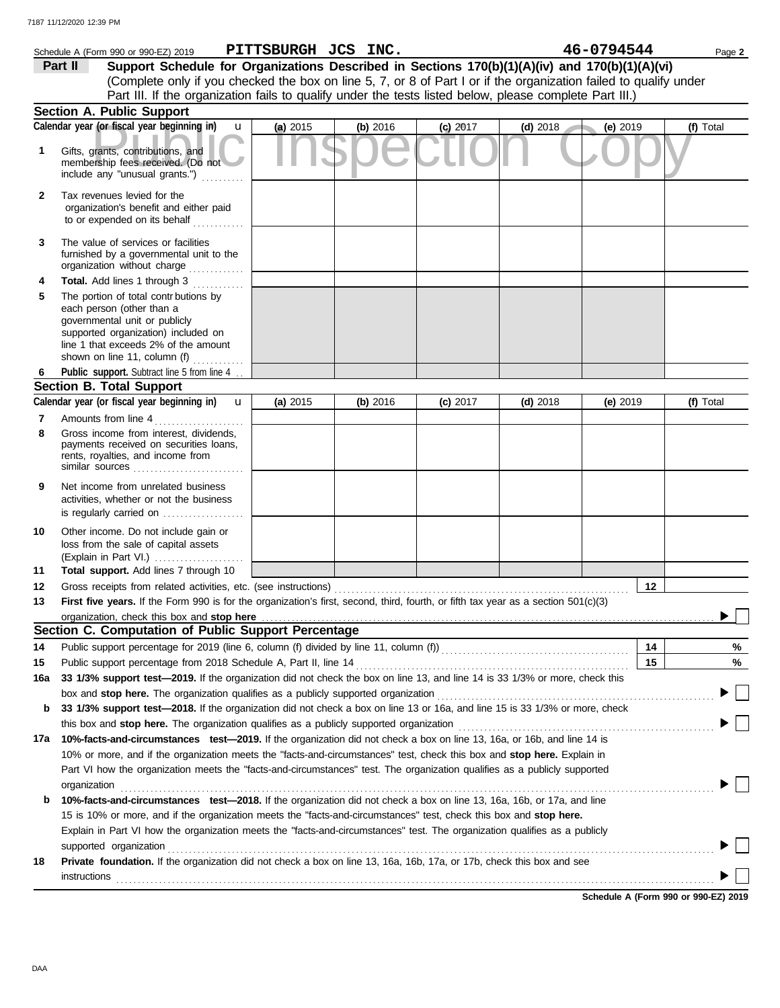|              | Schedule A (Form 990 or 990-EZ) 2019                                                                                                                                                                                           | PITTSBURGH JCS INC. |          |            |            | 46-0794544 | Page 2    |
|--------------|--------------------------------------------------------------------------------------------------------------------------------------------------------------------------------------------------------------------------------|---------------------|----------|------------|------------|------------|-----------|
|              | Support Schedule for Organizations Described in Sections 170(b)(1)(A)(iv) and 170(b)(1)(A)(vi)<br>Part II                                                                                                                      |                     |          |            |            |            |           |
|              | (Complete only if you checked the box on line 5, 7, or 8 of Part I or if the organization failed to qualify under                                                                                                              |                     |          |            |            |            |           |
|              | Part III. If the organization fails to qualify under the tests listed below, please complete Part III.)                                                                                                                        |                     |          |            |            |            |           |
|              | Section A. Public Support                                                                                                                                                                                                      |                     |          |            |            |            |           |
|              | Calendar year (or fiscal year beginning in)<br>$\mathbf{u}$                                                                                                                                                                    | (a) 2015            | (b) 2016 | $(c)$ 2017 | $(d)$ 2018 | (e) 2019   | (f) Total |
| 1            | Gifts, grants, contributions, and<br>membership fees received. (Do not<br>include any "unusual grants.")                                                                                                                       |                     |          |            |            |            |           |
| $\mathbf{2}$ | Tax revenues levied for the<br>organization's benefit and either paid<br>to or expended on its behalf                                                                                                                          |                     |          |            |            |            |           |
| 3            | The value of services or facilities<br>furnished by a governmental unit to the<br>organization without charge                                                                                                                  |                     |          |            |            |            |           |
| 4            | Total. Add lines 1 through 3                                                                                                                                                                                                   |                     |          |            |            |            |           |
| 5            | The portion of total contr butions by<br>each person (other than a<br>governmental unit or publicly<br>supported organization) included on<br>line 1 that exceeds 2% of the amount<br>shown on line 11, column (f) $\ldots$    |                     |          |            |            |            |           |
| 6            | Public support. Subtract line 5 from line 4.                                                                                                                                                                                   |                     |          |            |            |            |           |
|              | <b>Section B. Total Support</b>                                                                                                                                                                                                |                     |          |            |            |            |           |
|              | Calendar year (or fiscal year beginning in)<br>$\mathbf{u}$                                                                                                                                                                    | (a) 2015            | (b) 2016 | $(c)$ 2017 | $(d)$ 2018 | (e) $2019$ | (f) Total |
| 7            | Amounts from line 4 [11] [11] [11] Amounts from line 4                                                                                                                                                                         |                     |          |            |            |            |           |
| 8            | Gross income from interest, dividends,<br>payments received on securities loans,<br>rents, royalties, and income from                                                                                                          |                     |          |            |            |            |           |
| 9            | Net income from unrelated business<br>activities, whether or not the business<br>is regularly carried on                                                                                                                       |                     |          |            |            |            |           |
| 10<br>11     | Other income. Do not include gain or<br>loss from the sale of capital assets<br>Total support. Add lines 7 through 10                                                                                                          |                     |          |            |            |            |           |
| 12           |                                                                                                                                                                                                                                |                     |          |            |            | 12         |           |
| 13           | First five years. If the Form 990 is for the organization's first, second, third, fourth, or fifth tax year as a section 501(c)(3)                                                                                             |                     |          |            |            |            |           |
|              | organization, check this box and stop here                                                                                                                                                                                     |                     |          |            |            |            |           |
|              | Section C. Computation of Public Support Percentage                                                                                                                                                                            |                     |          |            |            |            |           |
| 14           | Public support percentage for 2019 (line 6, column (f) divided by line 11, column (f)) [[[[[[[[[[[[[[[[[[[[[[                                                                                                                  |                     |          |            |            | 14         | %         |
| 15           |                                                                                                                                                                                                                                |                     |          |            |            | 15         | %         |
| 16a          | 33 1/3% support test-2019. If the organization did not check the box on line 13, and line 14 is 33 1/3% or more, check this                                                                                                    |                     |          |            |            |            |           |
|              | box and stop here. The organization qualifies as a publicly supported organization [11] content content content or the organization [11] content of step here. The organization content of step and step here are step and ste |                     |          |            |            |            |           |
| b            | 33 1/3% support test-2018. If the organization did not check a box on line 13 or 16a, and line 15 is 33 1/3% or more, check                                                                                                    |                     |          |            |            |            |           |
|              |                                                                                                                                                                                                                                |                     |          |            |            |            |           |
| 17а          | 10%-facts-and-circumstances test-2019. If the organization did not check a box on line 13, 16a, or 16b, and line 14 is                                                                                                         |                     |          |            |            |            |           |
|              | 10% or more, and if the organization meets the "facts-and-circumstances" test, check this box and stop here. Explain in                                                                                                        |                     |          |            |            |            |           |
|              | Part VI how the organization meets the "facts-and-circumstances" test. The organization qualifies as a publicly supported                                                                                                      |                     |          |            |            |            |           |
|              | organization                                                                                                                                                                                                                   |                     |          |            |            |            |           |
| b            | 10%-facts-and-circumstances test-2018. If the organization did not check a box on line 13, 16a, 16b, or 17a, and line                                                                                                          |                     |          |            |            |            |           |
|              | 15 is 10% or more, and if the organization meets the "facts-and-circumstances" test, check this box and stop here.                                                                                                             |                     |          |            |            |            |           |
|              | Explain in Part VI how the organization meets the "facts-and-circumstances" test. The organization qualifies as a publicly                                                                                                     |                     |          |            |            |            |           |
|              | supported organization                                                                                                                                                                                                         |                     |          |            |            |            |           |
| 18           | Private foundation. If the organization did not check a box on line 13, 16a, 16b, 17a, or 17b, check this box and see                                                                                                          |                     |          |            |            |            |           |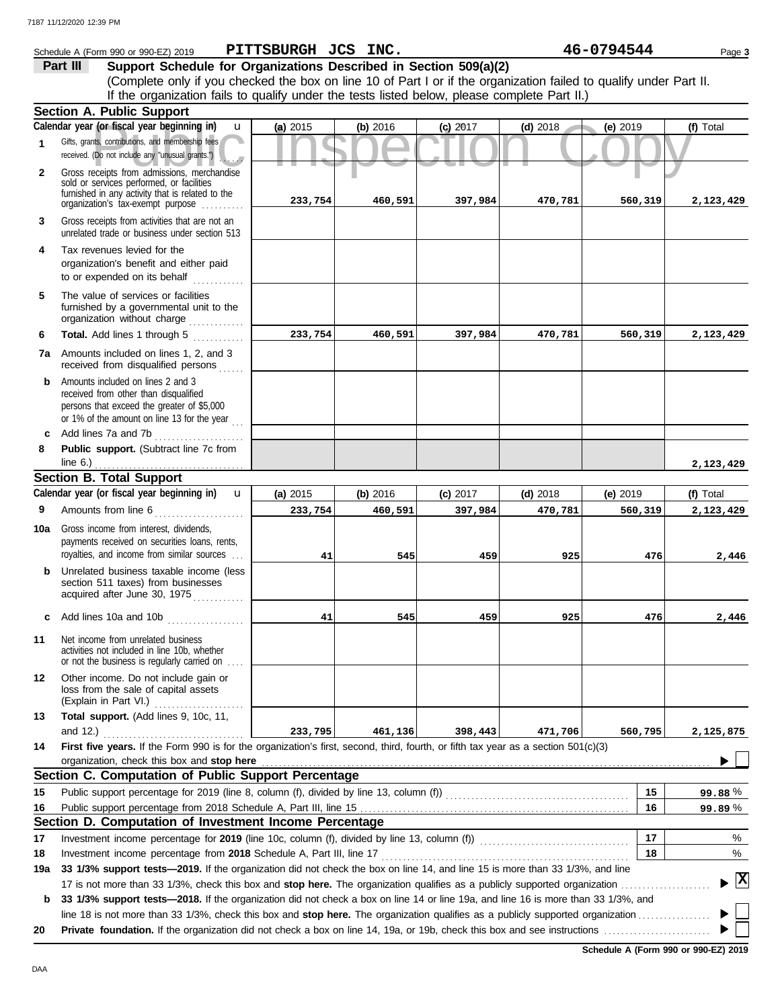|              | Support Schedule for Organizations Described in Section 509(a)(2)<br>Part III                                                                                                                                                                                                                                                                                             |          |          |            |            |            |                |
|--------------|---------------------------------------------------------------------------------------------------------------------------------------------------------------------------------------------------------------------------------------------------------------------------------------------------------------------------------------------------------------------------|----------|----------|------------|------------|------------|----------------|
|              | (Complete only if you checked the box on line 10 of Part I or if the organization failed to qualify under Part II.                                                                                                                                                                                                                                                        |          |          |            |            |            |                |
|              | If the organization fails to qualify under the tests listed below, please complete Part II.)                                                                                                                                                                                                                                                                              |          |          |            |            |            |                |
|              | <b>Section A. Public Support</b>                                                                                                                                                                                                                                                                                                                                          |          |          |            |            |            |                |
|              | Calendar year (or fiscal year beginning in)<br>$\mathbf{u}$                                                                                                                                                                                                                                                                                                               | (a) 2015 | (b) 2016 | $(c)$ 2017 | $(d)$ 2018 | $(e)$ 2019 | (f) Total      |
| $\mathbf{1}$ | Gifts, grants, contributions, and membership fees<br>received. (Do not include any "unusual grants.")                                                                                                                                                                                                                                                                     |          |          |            |            |            |                |
| $\mathbf{2}$ | Gross receipts from admissions, merchandise<br>sold or services performed, or facilities<br>furnished in any activity that is related to the<br>organization's fax-exempt purpose                                                                                                                                                                                         | 233,754  | 460,591  | 397,984    | 470,781    | 560,319    | 2,123,429      |
| 3            | Gross receipts from activities that are not an<br>unrelated trade or business under section 513                                                                                                                                                                                                                                                                           |          |          |            |            |            |                |
| 4            | Tax revenues levied for the<br>organization's benefit and either paid<br>to or expended on its behalf                                                                                                                                                                                                                                                                     |          |          |            |            |            |                |
| 5            | The value of services or facilities<br>furnished by a governmental unit to the<br>organization without charge with an area with an area with a contract of the contract of the contract of the contract of the contract of the contract of the contract of the contract of the contract of the contract of the c                                                          |          |          |            |            |            |                |
| 6            | Total. Add lines 1 through 5                                                                                                                                                                                                                                                                                                                                              | 233,754  | 460,591  | 397,984    | 470,781    | 560,319    | 2,123,429      |
|              | <b>7a</b> Amounts included on lines 1, 2, and 3<br>received from disqualified persons                                                                                                                                                                                                                                                                                     |          |          |            |            |            |                |
| b            | Amounts included on lines 2 and 3<br>received from other than disqualified<br>persons that exceed the greater of \$5,000<br>or 1% of the amount on line 13 for the year $\ldots$                                                                                                                                                                                          |          |          |            |            |            |                |
| c            | Add lines 7a and 7b<br>.                                                                                                                                                                                                                                                                                                                                                  |          |          |            |            |            |                |
| 8            | Public support. (Subtract line 7c from                                                                                                                                                                                                                                                                                                                                    |          |          |            |            |            |                |
|              | line $6.$ )                                                                                                                                                                                                                                                                                                                                                               |          |          |            |            |            | 2,123,429      |
|              | <b>Section B. Total Support</b>                                                                                                                                                                                                                                                                                                                                           |          |          |            |            |            |                |
|              | Calendar year (or fiscal year beginning in)<br>$\mathbf{u}$                                                                                                                                                                                                                                                                                                               | (a) 2015 | (b) 2016 | $(c)$ 2017 | $(d)$ 2018 | (e) 2019   | (f) Total      |
| 9            | Amounts from line 6                                                                                                                                                                                                                                                                                                                                                       | 233,754  | 460,591  | 397,984    | 470,781    | 560,319    | 2,123,429      |
| 10a          | Gross income from interest, dividends,<br>payments received on securities loans, rents,<br>royalties, and income from similar sources                                                                                                                                                                                                                                     | 41       | 545      | 459        | 925        | 476        | 2,446          |
| b            | Unrelated business taxable income (less<br>section 511 taxes) from businesses<br>acquired after June 30, 1975                                                                                                                                                                                                                                                             |          |          |            |            |            |                |
|              | c Add lines 10a and 10b $\ldots$                                                                                                                                                                                                                                                                                                                                          | 41       | 545      | 459        | 925        | 476        | 2,446          |
| 11           | Net income from unrelated business<br>activities not included in line 10b, whether<br>or not the business is regularly carried on                                                                                                                                                                                                                                         |          |          |            |            |            |                |
| 12           | Other income. Do not include gain or<br>loss from the sale of capital assets<br>(Explain in Part VI.)<br>.                                                                                                                                                                                                                                                                |          |          |            |            |            |                |
| 13           | Total support. (Add lines 9, 10c, 11,                                                                                                                                                                                                                                                                                                                                     |          |          |            |            |            |                |
|              | and 12.) $\frac{1}{2}$                                                                                                                                                                                                                                                                                                                                                    | 233,795  | 461,136  | 398,443    | 471,706    | 560,795    | 2,125,875      |
| 14           | First five years. If the Form 990 is for the organization's first, second, third, fourth, or fifth tax year as a section 501(c)(3)<br>organization, check this box and stop here <b>construction</b> and construction of the construction of the state of the construction of the construction of the construction of the construction of the construction of the constru |          |          |            |            |            |                |
|              | Section C. Computation of Public Support Percentage                                                                                                                                                                                                                                                                                                                       |          |          |            |            |            |                |
| 15           |                                                                                                                                                                                                                                                                                                                                                                           |          |          |            |            | 15         | 99.88%         |
| 16           |                                                                                                                                                                                                                                                                                                                                                                           |          |          |            |            | 16         | 99.89%         |
|              | Section D. Computation of Investment Income Percentage                                                                                                                                                                                                                                                                                                                    |          |          |            |            |            |                |
| 17           |                                                                                                                                                                                                                                                                                                                                                                           |          |          |            |            | 17         | %              |
| 18           | Investment income percentage from 2018 Schedule A, Part III, line 17                                                                                                                                                                                                                                                                                                      |          |          |            |            | 18         | %              |
| 19a          | 33 1/3% support tests—2019. If the organization did not check the box on line 14, and line 15 is more than 33 1/3%, and line                                                                                                                                                                                                                                              |          |          |            |            |            |                |
|              |                                                                                                                                                                                                                                                                                                                                                                           |          |          |            |            |            | $ \mathbf{x} $ |
| b            | 33 1/3% support tests—2018. If the organization did not check a box on line 14 or line 19a, and line 16 is more than 33 1/3%, and                                                                                                                                                                                                                                         |          |          |            |            |            |                |
|              |                                                                                                                                                                                                                                                                                                                                                                           |          |          |            |            |            |                |
| 20           |                                                                                                                                                                                                                                                                                                                                                                           |          |          |            |            |            |                |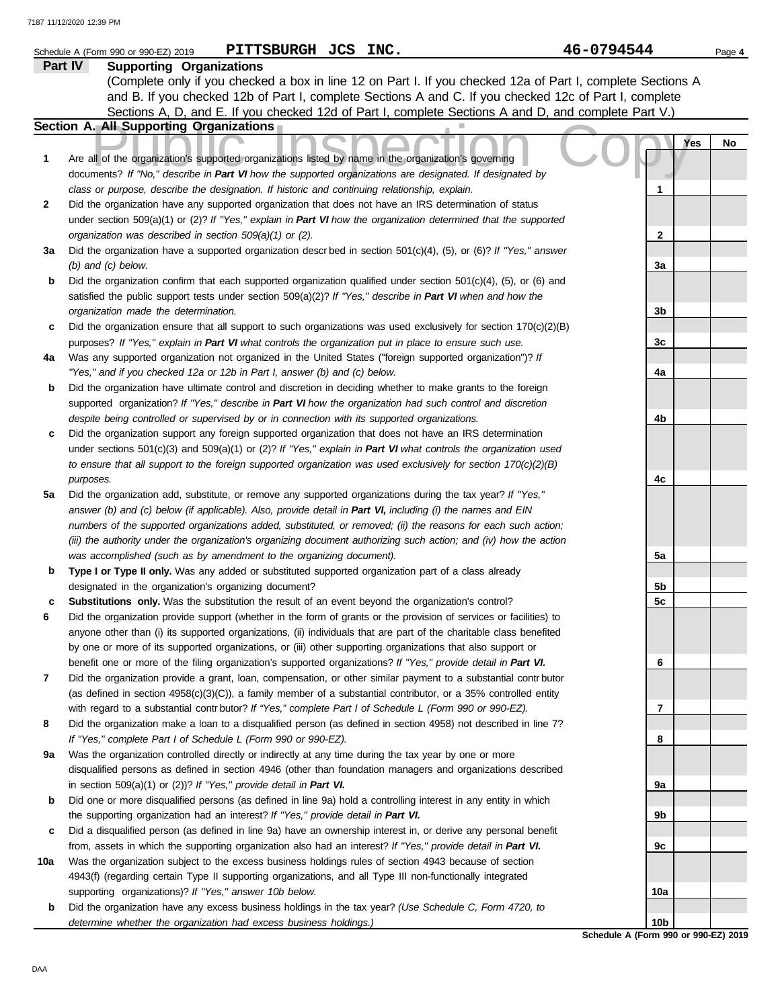|     | PITTSBURGH JCS INC.<br>Schedule A (Form 990 or 990-EZ) 2019                                                                                                                                                                        | 46-0794544                           | Page 4 |
|-----|------------------------------------------------------------------------------------------------------------------------------------------------------------------------------------------------------------------------------------|--------------------------------------|--------|
|     | Part IV<br><b>Supporting Organizations</b>                                                                                                                                                                                         |                                      |        |
|     | (Complete only if you checked a box in line 12 on Part I. If you checked 12a of Part I, complete Sections A                                                                                                                        |                                      |        |
|     | and B. If you checked 12b of Part I, complete Sections A and C. If you checked 12c of Part I, complete                                                                                                                             |                                      |        |
|     | Sections A, D, and E. If you checked 12d of Part I, complete Sections A and D, and complete Part V.)                                                                                                                               |                                      |        |
|     | Section A. All Supporting Organizations                                                                                                                                                                                            |                                      |        |
|     |                                                                                                                                                                                                                                    | Yes                                  | No     |
| 1   | Are all of the organization's supported organizations listed by name in the organization's governing                                                                                                                               |                                      |        |
|     | documents? If "No," describe in Part VI how the supported organizations are designated. If designated by<br>class or purpose, describe the designation. If historic and continuing relationship, explain.                          | 1                                    |        |
| 2   | Did the organization have any supported organization that does not have an IRS determination of status                                                                                                                             |                                      |        |
|     | under section 509(a)(1) or (2)? If "Yes," explain in Part VI how the organization determined that the supported                                                                                                                    |                                      |        |
|     | organization was described in section $509(a)(1)$ or (2).                                                                                                                                                                          | $\mathbf{2}$                         |        |
| За  | Did the organization have a supported organization descrbed in section $501(c)(4)$ , (5), or (6)? If "Yes," answer                                                                                                                 |                                      |        |
|     | $(b)$ and $(c)$ below.                                                                                                                                                                                                             | 3a                                   |        |
| b   | Did the organization confirm that each supported organization qualified under section $501(c)(4)$ , (5), or (6) and                                                                                                                |                                      |        |
|     | satisfied the public support tests under section 509(a)(2)? If "Yes," describe in Part VI when and how the                                                                                                                         |                                      |        |
|     | organization made the determination.                                                                                                                                                                                               | 3b                                   |        |
| c   | Did the organization ensure that all support to such organizations was used exclusively for section $170(c)(2)(B)$                                                                                                                 |                                      |        |
|     | purposes? If "Yes," explain in Part VI what controls the organization put in place to ensure such use.                                                                                                                             | 3 <sub>c</sub>                       |        |
| 4a  | Was any supported organization not organized in the United States ("foreign supported organization")? If                                                                                                                           |                                      |        |
|     | "Yes," and if you checked 12a or 12b in Part I, answer (b) and (c) below.                                                                                                                                                          | 4a                                   |        |
| b   | Did the organization have ultimate control and discretion in deciding whether to make grants to the foreign                                                                                                                        |                                      |        |
|     | supported organization? If "Yes," describe in Part VI how the organization had such control and discretion                                                                                                                         |                                      |        |
|     | despite being controlled or supervised by or in connection with its supported organizations.                                                                                                                                       | 4b                                   |        |
| c   | Did the organization support any foreign supported organization that does not have an IRS determination                                                                                                                            |                                      |        |
|     | under sections $501(c)(3)$ and $509(a)(1)$ or (2)? If "Yes," explain in Part VI what controls the organization used                                                                                                                |                                      |        |
|     | to ensure that all support to the foreign supported organization was used exclusively for section $170(c)(2)(B)$                                                                                                                   |                                      |        |
|     | purposes.                                                                                                                                                                                                                          | 4c                                   |        |
| 5a  | Did the organization add, substitute, or remove any supported organizations during the tax year? If "Yes,"                                                                                                                         |                                      |        |
|     | answer (b) and (c) below (if applicable). Also, provide detail in Part VI, including (i) the names and EIN                                                                                                                         |                                      |        |
|     | numbers of the supported organizations added, substituted, or removed; (ii) the reasons for each such action;<br>(iii) the authority under the organization's organizing document authorizing such action; and (iv) how the action |                                      |        |
|     | was accomplished (such as by amendment to the organizing document).                                                                                                                                                                | 5a                                   |        |
| b   | Type I or Type II only. Was any added or substituted supported organization part of a class already                                                                                                                                |                                      |        |
|     | designated in the organization's organizing document?                                                                                                                                                                              | 5b                                   |        |
| c   | <b>Substitutions only.</b> Was the substitution the result of an event beyond the organization's control?                                                                                                                          | 5c                                   |        |
| 6   | Did the organization provide support (whether in the form of grants or the provision of services or facilities) to                                                                                                                 |                                      |        |
|     | anyone other than (i) its supported organizations, (ii) individuals that are part of the charitable class benefited                                                                                                                |                                      |        |
|     | by one or more of its supported organizations, or (iii) other supporting organizations that also support or                                                                                                                        |                                      |        |
|     | benefit one or more of the filing organization's supported organizations? If "Yes," provide detail in Part VI.                                                                                                                     | 6                                    |        |
| 7   | Did the organization provide a grant, loan, compensation, or other similar payment to a substantial contributor                                                                                                                    |                                      |        |
|     | (as defined in section $4958(c)(3)(C)$ ), a family member of a substantial contributor, or a 35% controlled entity                                                                                                                 |                                      |        |
|     | with regard to a substantial contr butor? If "Yes," complete Part I of Schedule L (Form 990 or 990-EZ).                                                                                                                            | 7                                    |        |
| 8   | Did the organization make a loan to a disqualified person (as defined in section 4958) not described in line 7?                                                                                                                    |                                      |        |
|     | If "Yes," complete Part I of Schedule L (Form 990 or 990-EZ).                                                                                                                                                                      | 8                                    |        |
| 9а  | Was the organization controlled directly or indirectly at any time during the tax year by one or more                                                                                                                              |                                      |        |
|     | disqualified persons as defined in section 4946 (other than foundation managers and organizations described                                                                                                                        |                                      |        |
|     | in section 509(a)(1) or (2))? If "Yes," provide detail in Part VI.                                                                                                                                                                 | 9a                                   |        |
| b   | Did one or more disqualified persons (as defined in line 9a) hold a controlling interest in any entity in which                                                                                                                    |                                      |        |
|     | the supporting organization had an interest? If "Yes," provide detail in Part VI.                                                                                                                                                  | 9b                                   |        |
| c   | Did a disqualified person (as defined in line 9a) have an ownership interest in, or derive any personal benefit                                                                                                                    |                                      |        |
| 10a | from, assets in which the supporting organization also had an interest? If "Yes," provide detail in Part VI.<br>Was the organization subject to the excess business holdings rules of section 4943 because of section              | 9c                                   |        |
|     | 4943(f) (regarding certain Type II supporting organizations, and all Type III non-functionally integrated                                                                                                                          |                                      |        |
|     | supporting organizations)? If "Yes," answer 10b below.                                                                                                                                                                             | 10a                                  |        |
| b   | Did the organization have any excess business holdings in the tax year? (Use Schedule C, Form 4720, to                                                                                                                             |                                      |        |
|     | determine whether the organization had excess business holdings.)                                                                                                                                                                  | 10b                                  |        |
|     |                                                                                                                                                                                                                                    | Cahadula A (Farm 000 ar 000 EZ) 2040 |        |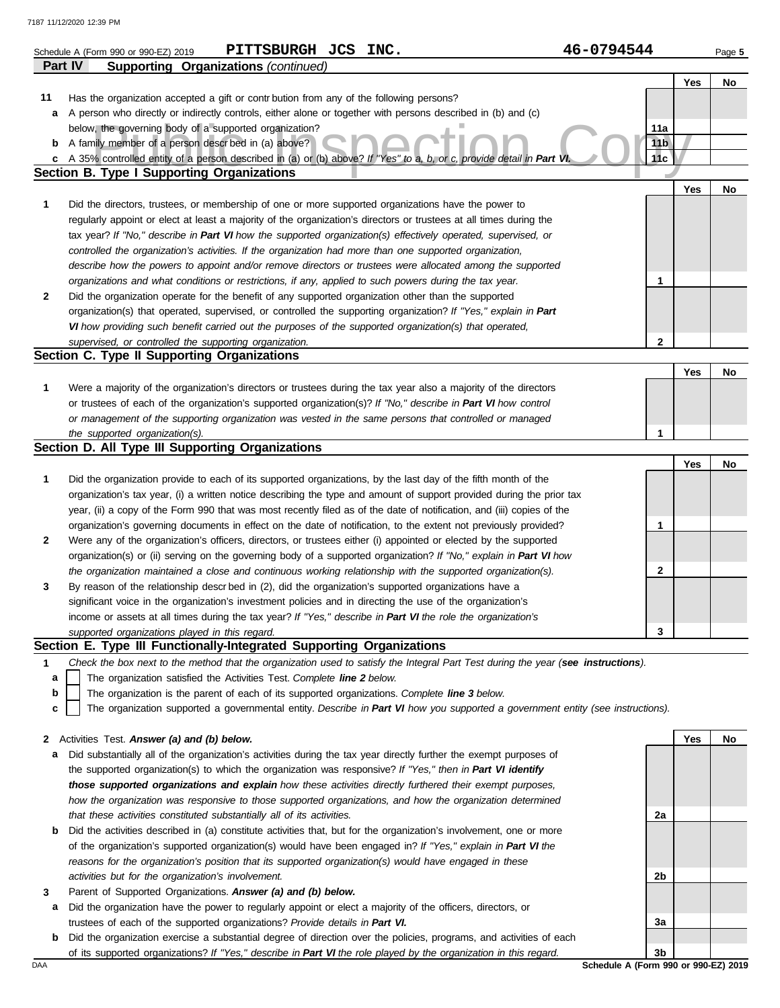|              | PITTSBURGH JCS INC.<br>Schedule A (Form 990 or 990-EZ) 2019                                                                                                                                                                            | 46-0794544             |     | Page 5 |
|--------------|----------------------------------------------------------------------------------------------------------------------------------------------------------------------------------------------------------------------------------------|------------------------|-----|--------|
| Part IV      | <b>Supporting Organizations (continued)</b>                                                                                                                                                                                            |                        |     |        |
|              |                                                                                                                                                                                                                                        |                        | Yes | No     |
| 11           | Has the organization accepted a gift or contribution from any of the following persons?                                                                                                                                                |                        |     |        |
| а            | A person who directly or indirectly controls, either alone or together with persons described in (b) and (c)                                                                                                                           |                        |     |        |
| b            | below, the governing body of a supported organization?<br>A family member of a person descr bed in (a) above?                                                                                                                          | 11a<br>11 <sub>b</sub> |     |        |
| c            | A 35% controlled entity of a person described in (a) or (b) above? If "Yes" to a, b, or c, provide detail in Part VI.                                                                                                                  | 11c                    |     |        |
|              | <b>Section B. Type I Supporting Organizations</b>                                                                                                                                                                                      |                        |     |        |
|              |                                                                                                                                                                                                                                        |                        | Yes | No     |
| 1            | Did the directors, trustees, or membership of one or more supported organizations have the power to                                                                                                                                    |                        |     |        |
|              | regularly appoint or elect at least a majority of the organization's directors or trustees at all times during the                                                                                                                     |                        |     |        |
|              | tax year? If "No," describe in Part VI how the supported organization(s) effectively operated, supervised, or                                                                                                                          |                        |     |        |
|              | controlled the organization's activities. If the organization had more than one supported organization,                                                                                                                                |                        |     |        |
|              | describe how the powers to appoint and/or remove directors or trustees were allocated among the supported                                                                                                                              |                        |     |        |
|              | organizations and what conditions or restrictions, if any, applied to such powers during the tax year.                                                                                                                                 | 1                      |     |        |
| $\mathbf{2}$ | Did the organization operate for the benefit of any supported organization other than the supported                                                                                                                                    |                        |     |        |
|              | organization(s) that operated, supervised, or controlled the supporting organization? If "Yes," explain in Part                                                                                                                        |                        |     |        |
|              | VI how providing such benefit carried out the purposes of the supported organization(s) that operated,<br>supervised, or controlled the supporting organization.                                                                       | $\mathbf{2}$           |     |        |
|              | Section C. Type II Supporting Organizations                                                                                                                                                                                            |                        |     |        |
|              |                                                                                                                                                                                                                                        |                        | Yes | No     |
| 1            | Were a majority of the organization's directors or trustees during the tax year also a majority of the directors                                                                                                                       |                        |     |        |
|              | or trustees of each of the organization's supported organization(s)? If "No," describe in Part VI how control                                                                                                                          |                        |     |        |
|              | or management of the supporting organization was vested in the same persons that controlled or managed                                                                                                                                 |                        |     |        |
|              | the supported organization(s).                                                                                                                                                                                                         | 1                      |     |        |
|              | Section D. All Type III Supporting Organizations                                                                                                                                                                                       |                        |     |        |
|              |                                                                                                                                                                                                                                        |                        | Yes | No     |
| 1            | Did the organization provide to each of its supported organizations, by the last day of the fifth month of the                                                                                                                         |                        |     |        |
|              | organization's tax year, (i) a written notice describing the type and amount of support provided during the prior tax                                                                                                                  |                        |     |        |
|              | year, (ii) a copy of the Form 990 that was most recently filed as of the date of notification, and (iii) copies of the                                                                                                                 |                        |     |        |
|              | organization's governing documents in effect on the date of notification, to the extent not previously provided?                                                                                                                       | 1                      |     |        |
| 2            | Were any of the organization's officers, directors, or trustees either (i) appointed or elected by the supported<br>organization(s) or (ii) serving on the governing body of a supported organization? If "No," explain in Part VI how |                        |     |        |
|              | the organization maintained a close and continuous working relationship with the supported organization(s).                                                                                                                            | 2                      |     |        |
| 3            | By reason of the relationship descrbed in (2), did the organization's supported organizations have a                                                                                                                                   |                        |     |        |
|              | significant voice in the organization's investment policies and in directing the use of the organization's                                                                                                                             |                        |     |        |
|              | income or assets at all times during the tax year? If "Yes," describe in Part VI the role the organization's                                                                                                                           |                        |     |        |
|              | supported organizations played in this regard.                                                                                                                                                                                         | 3                      |     |        |
|              | Section E. Type III Functionally-Integrated Supporting Organizations                                                                                                                                                                   |                        |     |        |
| 1            | Check the box next to the method that the organization used to satisfy the Integral Part Test during the year (see instructions).                                                                                                      |                        |     |        |
| a            | The organization satisfied the Activities Test. Complete line 2 below.                                                                                                                                                                 |                        |     |        |
| b            | The organization is the parent of each of its supported organizations. Complete line 3 below.                                                                                                                                          |                        |     |        |
| c            | The organization supported a governmental entity. Describe in Part VI how you supported a government entity (see instructions).                                                                                                        |                        |     |        |
|              |                                                                                                                                                                                                                                        |                        |     |        |
| 2            | Activities Test. Answer (a) and (b) below.                                                                                                                                                                                             |                        | Yes | No     |
| a            | Did substantially all of the organization's activities during the tax year directly further the exempt purposes of<br>the supported organization(s) to which the organization was responsive? If "Yes," then in Part VI identify       |                        |     |        |
|              | those supported organizations and explain how these activities directly furthered their exempt purposes,                                                                                                                               |                        |     |        |
|              | how the organization was responsive to those supported organizations, and how the organization determined                                                                                                                              |                        |     |        |
|              | that these activities constituted substantially all of its activities.                                                                                                                                                                 | 2a                     |     |        |
| b            | Did the activities described in (a) constitute activities that, but for the organization's involvement, one or more                                                                                                                    |                        |     |        |
|              | of the organization's supported organization(s) would have been engaged in? If "Yes," explain in Part VI the                                                                                                                           |                        |     |        |
|              | reasons for the organization's position that its supported organization(s) would have engaged in these                                                                                                                                 |                        |     |        |
|              | activities but for the organization's involvement.                                                                                                                                                                                     | 2b                     |     |        |
| 3            | Parent of Supported Organizations. Answer (a) and (b) below.                                                                                                                                                                           |                        |     |        |
| а            | Did the organization have the power to regularly appoint or elect a majority of the officers, directors, or                                                                                                                            |                        |     |        |
|              | trustees of each of the supported organizations? Provide details in Part VI.                                                                                                                                                           | За                     |     |        |
| b            | Did the organization exercise a substantial degree of direction over the policies, programs, and activities of each                                                                                                                    |                        |     |        |

of its supported organizations? *If "Yes," describe in Part VI the role played by the organization in this regard.*

DAA **Schedule A (Form 990 or 990-EZ) 2019 3b**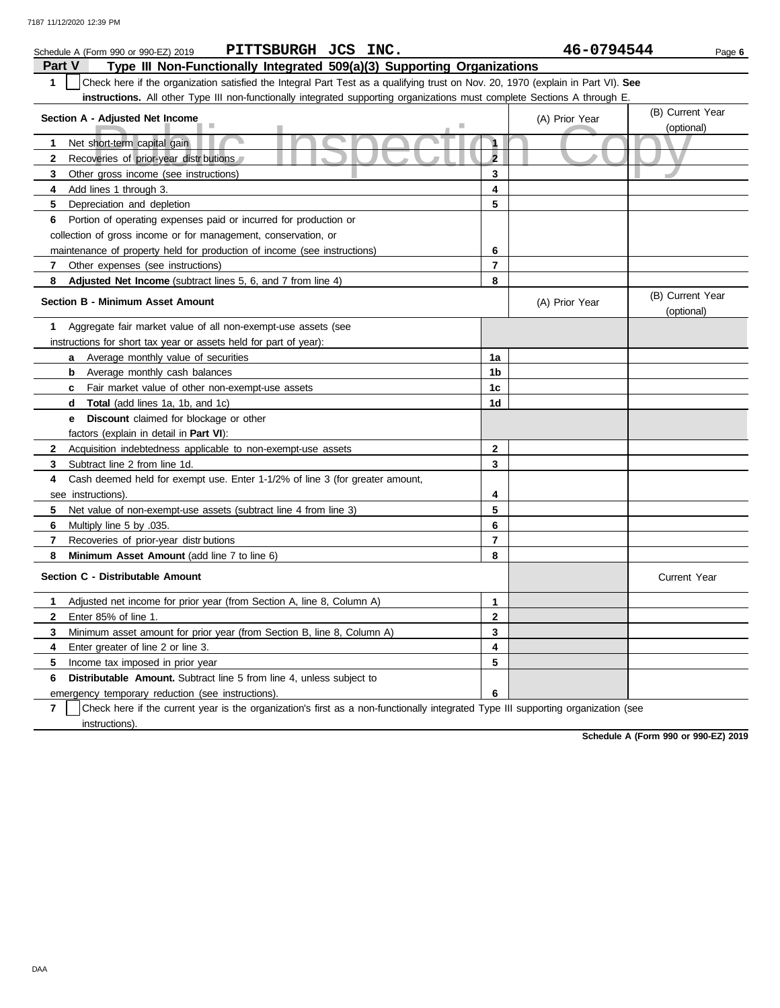| PITTSBURGH JCS INC.<br>Schedule A (Form 990 or 990-EZ) 2019                                                                                      |                         | 46-0794544     | Page 6                         |
|--------------------------------------------------------------------------------------------------------------------------------------------------|-------------------------|----------------|--------------------------------|
| Type III Non-Functionally Integrated 509(a)(3) Supporting Organizations<br><b>Part V</b>                                                         |                         |                |                                |
| $\mathbf{1}$<br>Check here if the organization satisfied the Integral Part Test as a qualifying trust on Nov. 20, 1970 (explain in Part VI). See |                         |                |                                |
| instructions. All other Type III non-functionally integrated supporting organizations must complete Sections A through E                         |                         |                |                                |
| Section A - Adjusted Net Income                                                                                                                  |                         | (A) Prior Year | (B) Current Year               |
|                                                                                                                                                  |                         |                | (optional)                     |
| Net short-term capital gain<br>1                                                                                                                 |                         |                |                                |
| $\mathbf{2}$<br>Recoveries of prior-year distributions                                                                                           | $\overline{2}$          |                |                                |
| Other gross income (see instructions)<br>3                                                                                                       | 3                       |                |                                |
| 4<br>Add lines 1 through 3.                                                                                                                      | $\overline{\mathbf{4}}$ |                |                                |
| 5<br>Depreciation and depletion                                                                                                                  | 5                       |                |                                |
| Portion of operating expenses paid or incurred for production or<br>6                                                                            |                         |                |                                |
| collection of gross income or for management, conservation, or                                                                                   |                         |                |                                |
| maintenance of property held for production of income (see instructions)                                                                         | 6                       |                |                                |
| $\mathbf{7}$<br>Other expenses (see instructions)                                                                                                | 7                       |                |                                |
| 8<br><b>Adjusted Net Income</b> (subtract lines 5, 6, and 7 from line 4)                                                                         | 8                       |                |                                |
| <b>Section B - Minimum Asset Amount</b>                                                                                                          |                         | (A) Prior Year | (B) Current Year<br>(optional) |
| 1<br>Aggregate fair market value of all non-exempt-use assets (see                                                                               |                         |                |                                |
| instructions for short tax year or assets held for part of year):                                                                                |                         |                |                                |
| <b>a</b> Average monthly value of securities                                                                                                     | 1a                      |                |                                |
| <b>b</b> Average monthly cash balances                                                                                                           | 1b                      |                |                                |
| Fair market value of other non-exempt-use assets<br>c.                                                                                           | 1c                      |                |                                |
| <b>Total</b> (add lines 1a, 1b, and 1c)<br>d                                                                                                     | 1d                      |                |                                |
| <b>Discount</b> claimed for blockage or other<br>е                                                                                               |                         |                |                                |
| factors (explain in detail in <b>Part VI)</b> :                                                                                                  |                         |                |                                |
| $\mathbf{2}$<br>Acquisition indebtedness applicable to non-exempt-use assets                                                                     | $\mathbf{2}$            |                |                                |
| 3<br>Subtract line 2 from line 1d.                                                                                                               | 3                       |                |                                |
| 4<br>Cash deemed held for exempt use. Enter 1-1/2% of line 3 (for greater amount,                                                                |                         |                |                                |
| see instructions).                                                                                                                               | 4                       |                |                                |
| 5<br>Net value of non-exempt-use assets (subtract line 4 from line 3)                                                                            | 5                       |                |                                |
| 6<br>Multiply line 5 by .035.                                                                                                                    | 6                       |                |                                |
| 7<br>Recoveries of prior-year distrbutions                                                                                                       | $\overline{7}$          |                |                                |
| 8<br>Minimum Asset Amount (add line 7 to line 6)                                                                                                 | 8                       |                |                                |
| Section C - Distributable Amount                                                                                                                 |                         |                | <b>Current Year</b>            |
| Adjusted net income for prior year (from Section A, line 8, Column A)<br>1                                                                       | $\mathbf{1}$            |                |                                |
| $\mathbf{2}$<br>Enter 85% of line 1.                                                                                                             | $\mathbf 2$             |                |                                |
| 3<br>Minimum asset amount for prior year (from Section B, line 8, Column A)                                                                      | 3                       |                |                                |
| 4<br>Enter greater of line 2 or line 3.                                                                                                          | 4                       |                |                                |
| 5<br>Income tax imposed in prior year                                                                                                            | 5                       |                |                                |
| <b>Distributable Amount.</b> Subtract line 5 from line 4, unless subject to<br>6                                                                 |                         |                |                                |
| emergency temporary reduction (see instructions).                                                                                                | 6                       |                |                                |

**7** instructions). Check here if the current year is the organization's first as a non-functionally integrated Type III supporting organization (see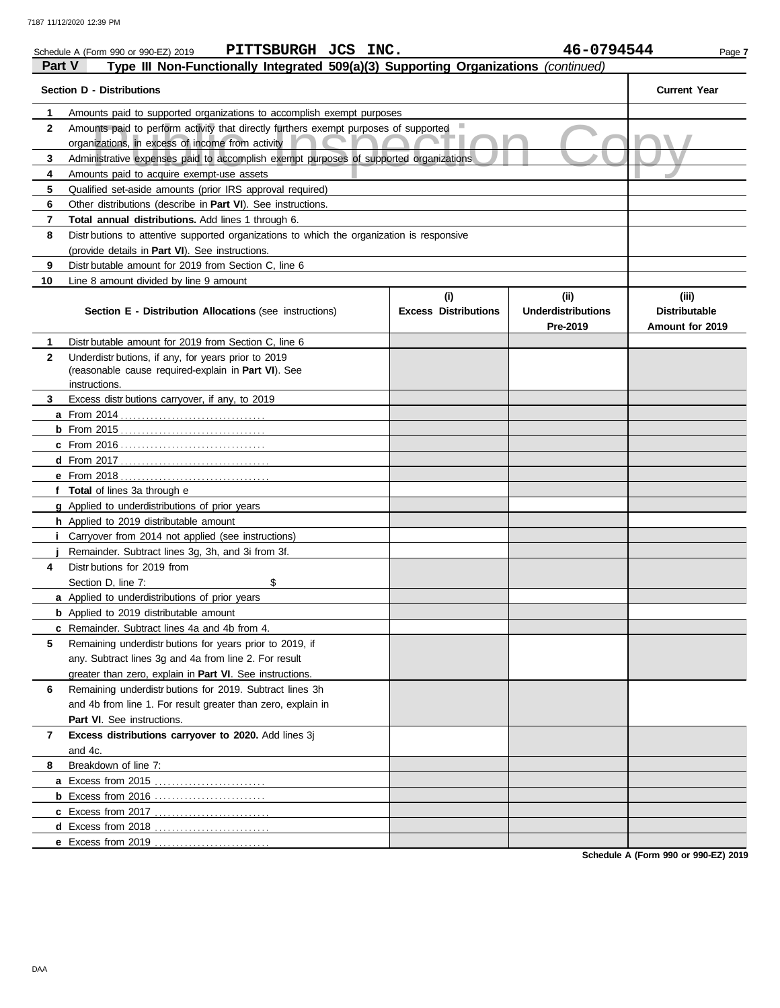| <b>Part V</b> | PITTSBURGH JCS INC.<br>Schedule A (Form 990 or 990-EZ) 2019<br>Type III Non-Functionally Integrated 509(a)(3) Supporting Organizations (continued) |                             | 46-0794544                            | Page 7                                  |
|---------------|----------------------------------------------------------------------------------------------------------------------------------------------------|-----------------------------|---------------------------------------|-----------------------------------------|
|               | <b>Section D - Distributions</b>                                                                                                                   |                             |                                       | <b>Current Year</b>                     |
| 1             | Amounts paid to supported organizations to accomplish exempt purposes                                                                              |                             |                                       |                                         |
| $\mathbf{2}$  | Amounts paid to perform activity that directly furthers exempt purposes of supported<br>organizations, in excess of income from activity           |                             |                                       |                                         |
| 3             | Administrative expenses paid to accomplish exempt purposes of supported organizations.                                                             |                             |                                       |                                         |
| 4             | Amounts paid to acquire exempt-use assets                                                                                                          |                             |                                       |                                         |
| 5             | Qualified set-aside amounts (prior IRS approval required)                                                                                          |                             |                                       |                                         |
| 6             | Other distributions (describe in Part VI). See instructions.                                                                                       |                             |                                       |                                         |
| 7             | Total annual distributions. Add lines 1 through 6.                                                                                                 |                             |                                       |                                         |
| 8             | Distr butions to attentive supported organizations to which the organization is responsive                                                         |                             |                                       |                                         |
|               | (provide details in Part VI). See instructions.                                                                                                    |                             |                                       |                                         |
| 9             | Distr butable amount for 2019 from Section C, line 6                                                                                               |                             |                                       |                                         |
| 10            | Line 8 amount divided by line 9 amount                                                                                                             |                             |                                       |                                         |
|               |                                                                                                                                                    | (i)                         | (iii)                                 | (iii)                                   |
|               | <b>Section E - Distribution Allocations (see instructions)</b>                                                                                     | <b>Excess Distributions</b> | <b>Underdistributions</b><br>Pre-2019 | <b>Distributable</b><br>Amount for 2019 |
| 1             | Distr butable amount for 2019 from Section C. line 6                                                                                               |                             |                                       |                                         |
| $\mathbf{2}$  | Underdistr butions, if any, for years prior to 2019                                                                                                |                             |                                       |                                         |
|               | (reasonable cause required-explain in Part VI). See                                                                                                |                             |                                       |                                         |
|               | instructions.                                                                                                                                      |                             |                                       |                                         |
| 3             | Excess distr butions carryover, if any, to 2019                                                                                                    |                             |                                       |                                         |
|               |                                                                                                                                                    |                             |                                       |                                         |
|               |                                                                                                                                                    |                             |                                       |                                         |
|               |                                                                                                                                                    |                             |                                       |                                         |
|               |                                                                                                                                                    |                             |                                       |                                         |
|               | e From 2018                                                                                                                                        |                             |                                       |                                         |
|               | f Total of lines 3a through e                                                                                                                      |                             |                                       |                                         |
|               | g Applied to underdistributions of prior years                                                                                                     |                             |                                       |                                         |
|               | <b>h</b> Applied to 2019 distributable amount                                                                                                      |                             |                                       |                                         |
|               | Carryover from 2014 not applied (see instructions)                                                                                                 |                             |                                       |                                         |
|               | Remainder. Subtract lines 3q, 3h, and 3i from 3f.                                                                                                  |                             |                                       |                                         |
| 4             | Distr butions for 2019 from                                                                                                                        |                             |                                       |                                         |
|               | Section D, line 7:<br>\$                                                                                                                           |                             |                                       |                                         |
|               | a Applied to underdistributions of prior years                                                                                                     |                             |                                       |                                         |
|               | <b>b</b> Applied to 2019 distributable amount                                                                                                      |                             |                                       |                                         |
|               | <b>c</b> Remainder. Subtract lines 4a and 4b from 4.                                                                                               |                             |                                       |                                         |
| 5             | Remaining underdistr butions for years prior to 2019, if                                                                                           |                             |                                       |                                         |
|               | any. Subtract lines 3g and 4a from line 2. For result                                                                                              |                             |                                       |                                         |
|               | greater than zero, explain in Part VI. See instructions.                                                                                           |                             |                                       |                                         |
| 6             | Remaining underdistr butions for 2019. Subtract lines 3h                                                                                           |                             |                                       |                                         |
|               | and 4b from line 1. For result greater than zero, explain in                                                                                       |                             |                                       |                                         |
|               | <b>Part VI.</b> See instructions.                                                                                                                  |                             |                                       |                                         |
| 7             | Excess distributions carryover to 2020. Add lines 3j                                                                                               |                             |                                       |                                         |
|               | and 4c.                                                                                                                                            |                             |                                       |                                         |
| 8             | Breakdown of line 7:                                                                                                                               |                             |                                       |                                         |
|               | a Excess from 2015<br>.                                                                                                                            |                             |                                       |                                         |
|               | <b>b</b> Excess from 2016                                                                                                                          |                             |                                       |                                         |
|               | c Excess from 2017                                                                                                                                 |                             |                                       |                                         |
|               | d Excess from 2018                                                                                                                                 |                             |                                       |                                         |
|               | e Excess from 2019                                                                                                                                 |                             |                                       |                                         |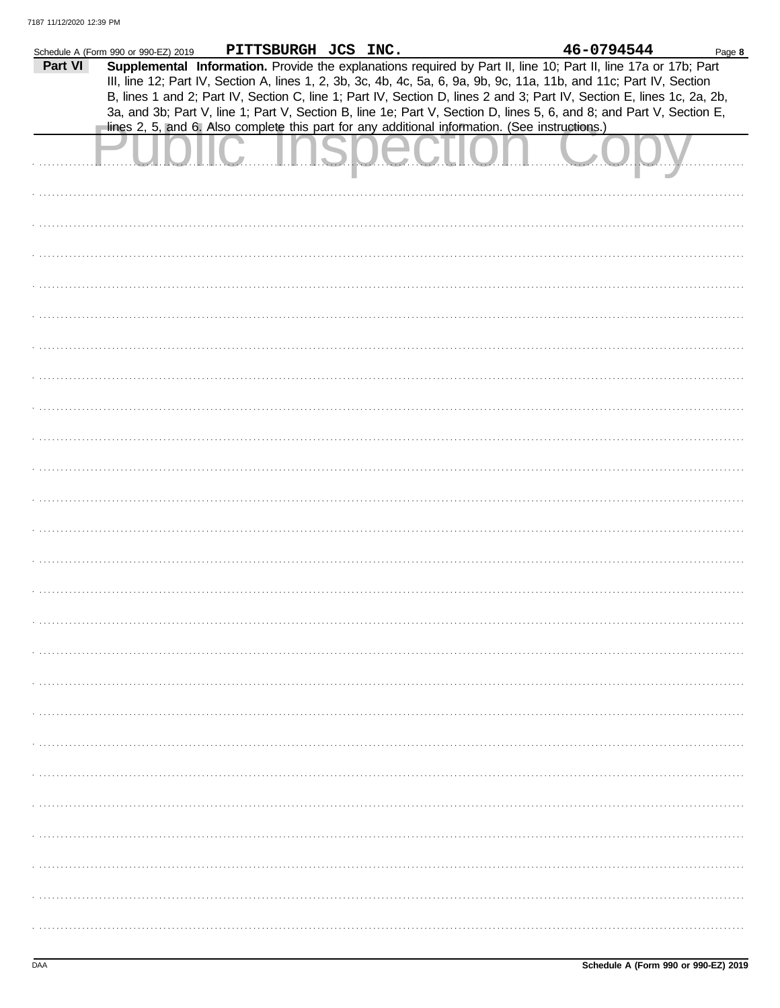|         | Schedule A (Form 990 or 990-EZ) 2019 | PITTSBURGH JCS INC.                                                                            |  | 46-0794544                                                                                                                                                                                                                                                                                                                                                        | Page 8 |
|---------|--------------------------------------|------------------------------------------------------------------------------------------------|--|-------------------------------------------------------------------------------------------------------------------------------------------------------------------------------------------------------------------------------------------------------------------------------------------------------------------------------------------------------------------|--------|
| Part VI |                                      |                                                                                                |  | Supplemental Information. Provide the explanations required by Part II, line 10; Part II, line 17a or 17b; Part<br>III, line 12; Part IV, Section A, lines 1, 2, 3b, 3c, 4b, 4c, 5a, 6, 9a, 9b, 9c, 11a, 11b, and 11c; Part IV, Section<br>B, lines 1 and 2; Part IV, Section C, line 1; Part IV, Section D, lines 2 and 3; Part IV, Section E, lines 1c, 2a, 2b, |        |
|         |                                      | lines 2, 5, and 6. Also complete this part for any additional information. (See instructions.) |  | 3a, and 3b; Part V, line 1; Part V, Section B, line 1e; Part V, Section D, lines 5, 6, and 8; and Part V, Section E,                                                                                                                                                                                                                                              |        |
|         |                                      |                                                                                                |  |                                                                                                                                                                                                                                                                                                                                                                   |        |
|         |                                      |                                                                                                |  |                                                                                                                                                                                                                                                                                                                                                                   |        |
|         |                                      |                                                                                                |  |                                                                                                                                                                                                                                                                                                                                                                   |        |
|         |                                      |                                                                                                |  |                                                                                                                                                                                                                                                                                                                                                                   |        |
|         |                                      |                                                                                                |  |                                                                                                                                                                                                                                                                                                                                                                   |        |
|         |                                      |                                                                                                |  |                                                                                                                                                                                                                                                                                                                                                                   |        |
|         |                                      |                                                                                                |  |                                                                                                                                                                                                                                                                                                                                                                   |        |
|         |                                      |                                                                                                |  |                                                                                                                                                                                                                                                                                                                                                                   |        |
|         |                                      |                                                                                                |  |                                                                                                                                                                                                                                                                                                                                                                   |        |
|         |                                      |                                                                                                |  |                                                                                                                                                                                                                                                                                                                                                                   |        |
|         |                                      |                                                                                                |  |                                                                                                                                                                                                                                                                                                                                                                   |        |
|         |                                      |                                                                                                |  |                                                                                                                                                                                                                                                                                                                                                                   |        |
|         |                                      |                                                                                                |  |                                                                                                                                                                                                                                                                                                                                                                   |        |
|         |                                      |                                                                                                |  |                                                                                                                                                                                                                                                                                                                                                                   |        |
|         |                                      |                                                                                                |  |                                                                                                                                                                                                                                                                                                                                                                   |        |
|         |                                      |                                                                                                |  |                                                                                                                                                                                                                                                                                                                                                                   |        |
|         |                                      |                                                                                                |  |                                                                                                                                                                                                                                                                                                                                                                   |        |
|         |                                      |                                                                                                |  |                                                                                                                                                                                                                                                                                                                                                                   |        |
|         |                                      |                                                                                                |  |                                                                                                                                                                                                                                                                                                                                                                   |        |
|         |                                      |                                                                                                |  |                                                                                                                                                                                                                                                                                                                                                                   |        |
|         |                                      |                                                                                                |  |                                                                                                                                                                                                                                                                                                                                                                   |        |
|         |                                      |                                                                                                |  |                                                                                                                                                                                                                                                                                                                                                                   |        |
|         |                                      |                                                                                                |  |                                                                                                                                                                                                                                                                                                                                                                   |        |
|         |                                      |                                                                                                |  |                                                                                                                                                                                                                                                                                                                                                                   |        |
|         |                                      |                                                                                                |  |                                                                                                                                                                                                                                                                                                                                                                   |        |
|         |                                      |                                                                                                |  |                                                                                                                                                                                                                                                                                                                                                                   |        |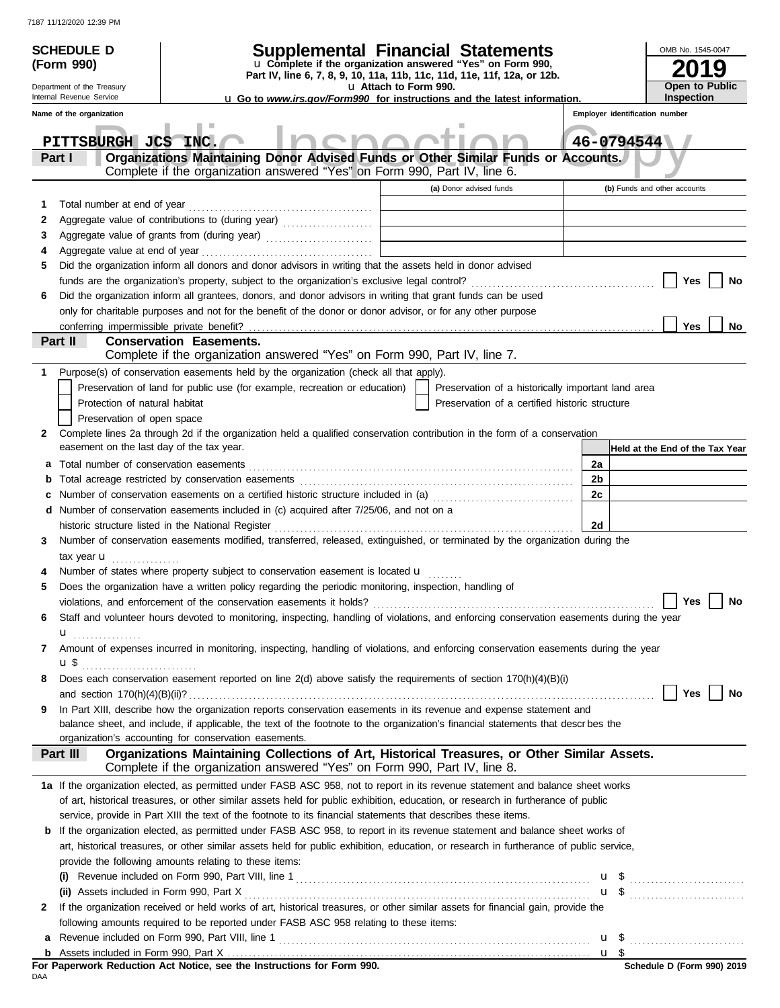| <b>SCHEDULE D</b>                              | <b>Supplemental Financial Statements</b>                                                                                                                                   |                                                                            |                                                    |    | OMB No. 1545-0047               |    |
|------------------------------------------------|----------------------------------------------------------------------------------------------------------------------------------------------------------------------------|----------------------------------------------------------------------------|----------------------------------------------------|----|---------------------------------|----|
| (Form 990)                                     | u Complete if the organization answered "Yes" on Form 990,                                                                                                                 |                                                                            |                                                    | 9  |                                 |    |
| Department of the Treasury                     | Part IV, line 6, 7, 8, 9, 10, 11a, 11b, 11c, 11d, 11e, 11f, 12a, or 12b.                                                                                                   | u Attach to Form 990.                                                      | Open to Public                                     |    |                                 |    |
| Internal Revenue Service                       | <b>u</b> Go to www.irs.gov/Form990 for instructions and the latest information.                                                                                            |                                                                            |                                                    |    | <b>Inspection</b>               |    |
| Name of the organization                       |                                                                                                                                                                            |                                                                            |                                                    |    | Employer identification number  |    |
| PITTSBURGH JCS INC.<br>Part I                  | Organizations Maintaining Donor Advised Funds or Other Similar Funds or Accounts.                                                                                          |                                                                            |                                                    |    | 46-0794544                      |    |
|                                                | Complete if the organization answered "Yes" on Form 990, Part IV, line 6.                                                                                                  |                                                                            |                                                    |    |                                 |    |
|                                                |                                                                                                                                                                            |                                                                            | (a) Donor advised funds                            |    | (b) Funds and other accounts    |    |
| 1                                              |                                                                                                                                                                            |                                                                            |                                                    |    |                                 |    |
| 2                                              | Aggregate value of contributions to (during year) [11] Aggregate value of contributions to (during year)                                                                   | the control of the control of the control of the control of the control of |                                                    |    |                                 |    |
| 3                                              | Aggregate value of grants from (during year)                                                                                                                               | the control of the control of the control of the control of the control of |                                                    |    |                                 |    |
| 4<br>5                                         | Did the organization inform all donors and donor advisors in writing that the assets held in donor advised                                                                 |                                                                            |                                                    |    |                                 |    |
|                                                |                                                                                                                                                                            |                                                                            |                                                    |    | Yes                             | No |
| 6                                              | Did the organization inform all grantees, donors, and donor advisors in writing that grant funds can be used                                                               |                                                                            |                                                    |    |                                 |    |
|                                                | only for charitable purposes and not for the benefit of the donor or donor advisor, or for any other purpose                                                               |                                                                            |                                                    |    |                                 |    |
|                                                |                                                                                                                                                                            |                                                                            |                                                    |    | <b>Yes</b>                      | No |
| Part II                                        | <b>Conservation Easements.</b>                                                                                                                                             |                                                                            |                                                    |    |                                 |    |
|                                                | Complete if the organization answered "Yes" on Form 990, Part IV, line 7.                                                                                                  |                                                                            |                                                    |    |                                 |    |
| 1                                              | Purpose(s) of conservation easements held by the organization (check all that apply).                                                                                      |                                                                            |                                                    |    |                                 |    |
|                                                | Preservation of land for public use (for example, recreation or education)                                                                                                 |                                                                            | Preservation of a historically important land area |    |                                 |    |
| Protection of natural habitat                  |                                                                                                                                                                            |                                                                            | Preservation of a certified historic structure     |    |                                 |    |
| Preservation of open space                     |                                                                                                                                                                            |                                                                            |                                                    |    |                                 |    |
| 2<br>easement on the last day of the tax year. | Complete lines 2a through 2d if the organization held a qualified conservation contribution in the form of a conservation                                                  |                                                                            |                                                    |    | Held at the End of the Tax Year |    |
|                                                |                                                                                                                                                                            |                                                                            |                                                    | 2a |                                 |    |
|                                                |                                                                                                                                                                            |                                                                            |                                                    | 2b |                                 |    |
| c                                              | Number of conservation easements on a certified historic structure included in (a) [11] Number of conservation easements on a certified historic structure included in (a) |                                                                            |                                                    | 2c |                                 |    |
|                                                | d Number of conservation easements included in (c) acquired after 7/25/06, and not on a                                                                                    |                                                                            |                                                    |    |                                 |    |
|                                                | historic structure listed in the National Register                                                                                                                         |                                                                            |                                                    | 2d |                                 |    |
| 3                                              | Number of conservation easements modified, transferred, released, extinguished, or terminated by the organization during the                                               |                                                                            |                                                    |    |                                 |    |
| tax year $\mathbf{u}$                          |                                                                                                                                                                            |                                                                            |                                                    |    |                                 |    |
|                                                | Number of states where property subject to conservation easement is located u                                                                                              |                                                                            |                                                    |    |                                 |    |
| 5                                              | Does the organization have a written policy regarding the periodic monitoring, inspection, handling of                                                                     |                                                                            |                                                    |    |                                 |    |
|                                                | violations, and enforcement of the conservation easements it holds?                                                                                                        |                                                                            |                                                    |    | <b>Yes</b>                      | No |
| 6                                              | Staff and volunteer hours devoted to monitoring, inspecting, handling of violations, and enforcing conservation easements during the year                                  |                                                                            |                                                    |    |                                 |    |
| ${\bf u}$ , , , , , , , , , , , , , , , ,<br>7 | Amount of expenses incurred in monitoring, inspecting, handling of violations, and enforcing conservation easements during the year                                        |                                                                            |                                                    |    |                                 |    |
|                                                |                                                                                                                                                                            |                                                                            |                                                    |    |                                 |    |
| 8                                              | Does each conservation easement reported on line 2(d) above satisfy the requirements of section 170(h)(4)(B)(i)                                                            |                                                                            |                                                    |    |                                 |    |
|                                                |                                                                                                                                                                            |                                                                            |                                                    |    | Yes                             | No |
| 9                                              | In Part XIII, describe how the organization reports conservation easements in its revenue and expense statement and                                                        |                                                                            |                                                    |    |                                 |    |
|                                                | balance sheet, and include, if applicable, the text of the footnote to the organization's financial statements that descrbes the                                           |                                                                            |                                                    |    |                                 |    |
|                                                | organization's accounting for conservation easements.                                                                                                                      |                                                                            |                                                    |    |                                 |    |
| Part III                                       | Organizations Maintaining Collections of Art, Historical Treasures, or Other Similar Assets.<br>Complete if the organization answered "Yes" on Form 990, Part IV, line 8.  |                                                                            |                                                    |    |                                 |    |
|                                                | 1a If the organization elected, as permitted under FASB ASC 958, not to report in its revenue statement and balance sheet works                                            |                                                                            |                                                    |    |                                 |    |
|                                                | of art, historical treasures, or other similar assets held for public exhibition, education, or research in furtherance of public                                          |                                                                            |                                                    |    |                                 |    |
|                                                | service, provide in Part XIII the text of the footnote to its financial statements that describes these items.                                                             |                                                                            |                                                    |    |                                 |    |
| b                                              | If the organization elected, as permitted under FASB ASC 958, to report in its revenue statement and balance sheet works of                                                |                                                                            |                                                    |    |                                 |    |
|                                                | art, historical treasures, or other similar assets held for public exhibition, education, or research in furtherance of public service,                                    |                                                                            |                                                    |    |                                 |    |
|                                                | provide the following amounts relating to these items:                                                                                                                     |                                                                            |                                                    |    |                                 |    |
|                                                |                                                                                                                                                                            |                                                                            |                                                    |    |                                 |    |
| 2                                              | If the organization received or held works of art, historical treasures, or other similar assets for financial gain, provide the                                           |                                                                            |                                                    |    | u \$                            |    |
|                                                | following amounts required to be reported under FASB ASC 958 relating to these items:                                                                                      |                                                                            |                                                    |    |                                 |    |
|                                                |                                                                                                                                                                            |                                                                            |                                                    |    | u <sub>s</sub>                  |    |
|                                                |                                                                                                                                                                            |                                                                            |                                                    |    |                                 |    |
|                                                | For Paperwork Peduction Act Notice, see the Instructions for Ferm 000                                                                                                      |                                                                            |                                                    |    | Schodule D (Form 000) 2010      |    |

**For Paperwork Reduction Act Notice, see the Instructions for Form 990.**<br><sub>DAA</sub>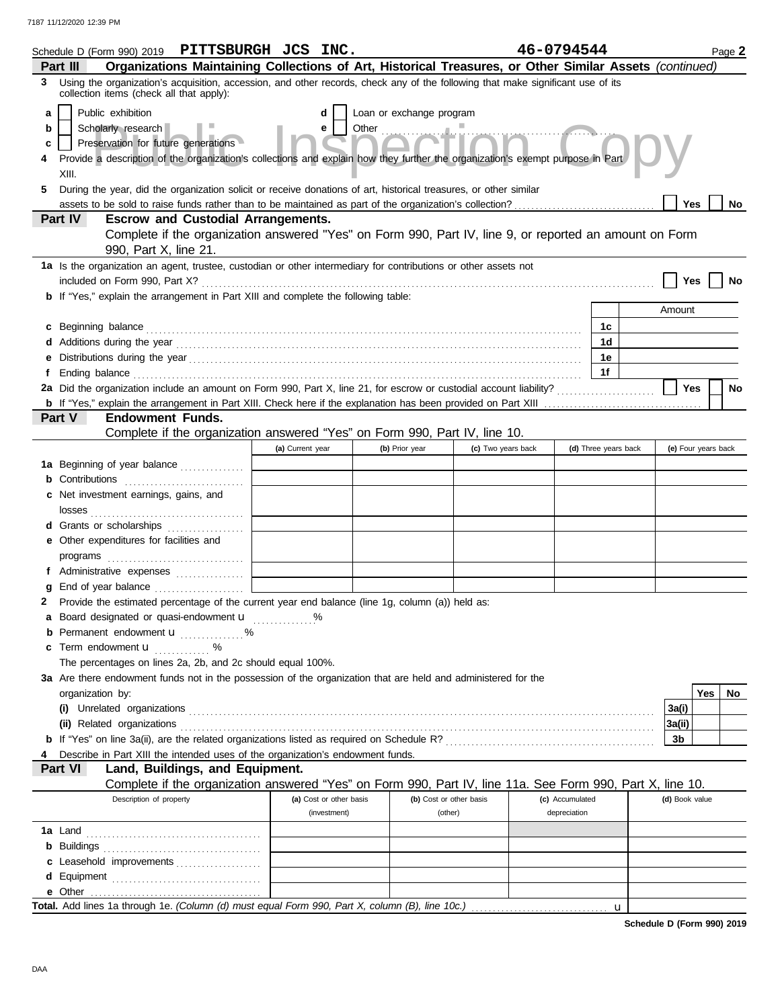| Organizations Maintaining Collections of Art, Historical Treasures, or Other Similar Assets (continued)<br>Part III<br>3 Using the organization's acquisition, accession, and other records, check any of the following that make significant use of its<br>collection items (check all that apply):<br>Public exhibition<br>Loan or exchange program<br>d<br>a<br><b>Cher Continued Continued Continued Continued Continued Continued Continued Continued Continued Continued Conti</b><br>Scholarly research<br>e<br>b<br>Preservation for future generations<br>c<br>Provide a description of the organization's collections and explain how they further the organization's exempt purpose in Part<br>XIII.<br>During the year, did the organization solicit or receive donations of art, historical treasures, or other similar<br>5<br><b>Yes</b><br><b>No</b><br>Part IV<br><b>Escrow and Custodial Arrangements.</b><br>Complete if the organization answered "Yes" on Form 990, Part IV, line 9, or reported an amount on Form<br>990, Part X, line 21.<br>1a Is the organization an agent, trustee, custodian or other intermediary for contributions or other assets not<br>Yes<br>No<br>b If "Yes," explain the arrangement in Part XIII and complete the following table:<br>Amount<br>c Beginning balance <b>contract to the contract of the set of the contract of the contract of the contract of the contract of the contract of the contract of the contract of the contract of the contract of the contract of th</b><br>1c<br>Additions during the year contains and according to the year contained and year and year and year and year and year and year and year and year and year and year and year and year and year and year and year and year and yea<br>1d<br>1е<br>е<br>1f<br>Ending balance <i>communication</i> and the contract of the contract of the contract of the contract of the contract of the contract of the contract of the contract of the contract of the contract of the contract of the contrac<br>f<br>2a Did the organization include an amount on Form 990, Part X, line 21, for escrow or custodial account liability?<br>Yes<br>No<br>Part V<br><b>Endowment Funds.</b><br>Complete if the organization answered "Yes" on Form 990, Part IV, line 10.<br>(d) Three years back<br>(e) Four years back<br>(a) Current year<br>(b) Prior year<br>(c) Two years back<br>1a Beginning of year balance<br><b>b</b> Contributions <b>contributions</b><br>c Net investment earnings, gains, and<br>d Grants or scholarships<br>e Other expenditures for facilities and<br>f Administrative expenses<br>Provide the estimated percentage of the current year end balance (line 1g, column (a)) held as:<br>2<br>a Board designated or quasi-endowment u<br>Permanent endowment <b>u</b> %<br>b<br>c Term endowment <b>u</b><br>The percentages on lines 2a, 2b, and 2c should equal 100%. |  |  |  |  |  |
|---------------------------------------------------------------------------------------------------------------------------------------------------------------------------------------------------------------------------------------------------------------------------------------------------------------------------------------------------------------------------------------------------------------------------------------------------------------------------------------------------------------------------------------------------------------------------------------------------------------------------------------------------------------------------------------------------------------------------------------------------------------------------------------------------------------------------------------------------------------------------------------------------------------------------------------------------------------------------------------------------------------------------------------------------------------------------------------------------------------------------------------------------------------------------------------------------------------------------------------------------------------------------------------------------------------------------------------------------------------------------------------------------------------------------------------------------------------------------------------------------------------------------------------------------------------------------------------------------------------------------------------------------------------------------------------------------------------------------------------------------------------------------------------------------------------------------------------------------------------------------------------------------------------------------------------------------------------------------------------------------------------------------------------------------------------------------------------------------------------------------------------------------------------------------------------------------------------------------------------------------------------------------------------------------------------------------------------------------------------------------------------------------------------------------------------------------------------------------------------------------------------------------------------------------------------------------------------------------------------------------------------------------------------------------------------------------------------------------------------------------------------------------------------------------------------------------------------------------------------------------------------------------------------------------------------|--|--|--|--|--|
|                                                                                                                                                                                                                                                                                                                                                                                                                                                                                                                                                                                                                                                                                                                                                                                                                                                                                                                                                                                                                                                                                                                                                                                                                                                                                                                                                                                                                                                                                                                                                                                                                                                                                                                                                                                                                                                                                                                                                                                                                                                                                                                                                                                                                                                                                                                                                                                                                                                                                                                                                                                                                                                                                                                                                                                                                                                                                                                                       |  |  |  |  |  |
|                                                                                                                                                                                                                                                                                                                                                                                                                                                                                                                                                                                                                                                                                                                                                                                                                                                                                                                                                                                                                                                                                                                                                                                                                                                                                                                                                                                                                                                                                                                                                                                                                                                                                                                                                                                                                                                                                                                                                                                                                                                                                                                                                                                                                                                                                                                                                                                                                                                                                                                                                                                                                                                                                                                                                                                                                                                                                                                                       |  |  |  |  |  |
|                                                                                                                                                                                                                                                                                                                                                                                                                                                                                                                                                                                                                                                                                                                                                                                                                                                                                                                                                                                                                                                                                                                                                                                                                                                                                                                                                                                                                                                                                                                                                                                                                                                                                                                                                                                                                                                                                                                                                                                                                                                                                                                                                                                                                                                                                                                                                                                                                                                                                                                                                                                                                                                                                                                                                                                                                                                                                                                                       |  |  |  |  |  |
|                                                                                                                                                                                                                                                                                                                                                                                                                                                                                                                                                                                                                                                                                                                                                                                                                                                                                                                                                                                                                                                                                                                                                                                                                                                                                                                                                                                                                                                                                                                                                                                                                                                                                                                                                                                                                                                                                                                                                                                                                                                                                                                                                                                                                                                                                                                                                                                                                                                                                                                                                                                                                                                                                                                                                                                                                                                                                                                                       |  |  |  |  |  |
|                                                                                                                                                                                                                                                                                                                                                                                                                                                                                                                                                                                                                                                                                                                                                                                                                                                                                                                                                                                                                                                                                                                                                                                                                                                                                                                                                                                                                                                                                                                                                                                                                                                                                                                                                                                                                                                                                                                                                                                                                                                                                                                                                                                                                                                                                                                                                                                                                                                                                                                                                                                                                                                                                                                                                                                                                                                                                                                                       |  |  |  |  |  |
|                                                                                                                                                                                                                                                                                                                                                                                                                                                                                                                                                                                                                                                                                                                                                                                                                                                                                                                                                                                                                                                                                                                                                                                                                                                                                                                                                                                                                                                                                                                                                                                                                                                                                                                                                                                                                                                                                                                                                                                                                                                                                                                                                                                                                                                                                                                                                                                                                                                                                                                                                                                                                                                                                                                                                                                                                                                                                                                                       |  |  |  |  |  |
|                                                                                                                                                                                                                                                                                                                                                                                                                                                                                                                                                                                                                                                                                                                                                                                                                                                                                                                                                                                                                                                                                                                                                                                                                                                                                                                                                                                                                                                                                                                                                                                                                                                                                                                                                                                                                                                                                                                                                                                                                                                                                                                                                                                                                                                                                                                                                                                                                                                                                                                                                                                                                                                                                                                                                                                                                                                                                                                                       |  |  |  |  |  |
|                                                                                                                                                                                                                                                                                                                                                                                                                                                                                                                                                                                                                                                                                                                                                                                                                                                                                                                                                                                                                                                                                                                                                                                                                                                                                                                                                                                                                                                                                                                                                                                                                                                                                                                                                                                                                                                                                                                                                                                                                                                                                                                                                                                                                                                                                                                                                                                                                                                                                                                                                                                                                                                                                                                                                                                                                                                                                                                                       |  |  |  |  |  |
|                                                                                                                                                                                                                                                                                                                                                                                                                                                                                                                                                                                                                                                                                                                                                                                                                                                                                                                                                                                                                                                                                                                                                                                                                                                                                                                                                                                                                                                                                                                                                                                                                                                                                                                                                                                                                                                                                                                                                                                                                                                                                                                                                                                                                                                                                                                                                                                                                                                                                                                                                                                                                                                                                                                                                                                                                                                                                                                                       |  |  |  |  |  |
|                                                                                                                                                                                                                                                                                                                                                                                                                                                                                                                                                                                                                                                                                                                                                                                                                                                                                                                                                                                                                                                                                                                                                                                                                                                                                                                                                                                                                                                                                                                                                                                                                                                                                                                                                                                                                                                                                                                                                                                                                                                                                                                                                                                                                                                                                                                                                                                                                                                                                                                                                                                                                                                                                                                                                                                                                                                                                                                                       |  |  |  |  |  |
|                                                                                                                                                                                                                                                                                                                                                                                                                                                                                                                                                                                                                                                                                                                                                                                                                                                                                                                                                                                                                                                                                                                                                                                                                                                                                                                                                                                                                                                                                                                                                                                                                                                                                                                                                                                                                                                                                                                                                                                                                                                                                                                                                                                                                                                                                                                                                                                                                                                                                                                                                                                                                                                                                                                                                                                                                                                                                                                                       |  |  |  |  |  |
|                                                                                                                                                                                                                                                                                                                                                                                                                                                                                                                                                                                                                                                                                                                                                                                                                                                                                                                                                                                                                                                                                                                                                                                                                                                                                                                                                                                                                                                                                                                                                                                                                                                                                                                                                                                                                                                                                                                                                                                                                                                                                                                                                                                                                                                                                                                                                                                                                                                                                                                                                                                                                                                                                                                                                                                                                                                                                                                                       |  |  |  |  |  |
|                                                                                                                                                                                                                                                                                                                                                                                                                                                                                                                                                                                                                                                                                                                                                                                                                                                                                                                                                                                                                                                                                                                                                                                                                                                                                                                                                                                                                                                                                                                                                                                                                                                                                                                                                                                                                                                                                                                                                                                                                                                                                                                                                                                                                                                                                                                                                                                                                                                                                                                                                                                                                                                                                                                                                                                                                                                                                                                                       |  |  |  |  |  |
|                                                                                                                                                                                                                                                                                                                                                                                                                                                                                                                                                                                                                                                                                                                                                                                                                                                                                                                                                                                                                                                                                                                                                                                                                                                                                                                                                                                                                                                                                                                                                                                                                                                                                                                                                                                                                                                                                                                                                                                                                                                                                                                                                                                                                                                                                                                                                                                                                                                                                                                                                                                                                                                                                                                                                                                                                                                                                                                                       |  |  |  |  |  |
|                                                                                                                                                                                                                                                                                                                                                                                                                                                                                                                                                                                                                                                                                                                                                                                                                                                                                                                                                                                                                                                                                                                                                                                                                                                                                                                                                                                                                                                                                                                                                                                                                                                                                                                                                                                                                                                                                                                                                                                                                                                                                                                                                                                                                                                                                                                                                                                                                                                                                                                                                                                                                                                                                                                                                                                                                                                                                                                                       |  |  |  |  |  |
|                                                                                                                                                                                                                                                                                                                                                                                                                                                                                                                                                                                                                                                                                                                                                                                                                                                                                                                                                                                                                                                                                                                                                                                                                                                                                                                                                                                                                                                                                                                                                                                                                                                                                                                                                                                                                                                                                                                                                                                                                                                                                                                                                                                                                                                                                                                                                                                                                                                                                                                                                                                                                                                                                                                                                                                                                                                                                                                                       |  |  |  |  |  |
|                                                                                                                                                                                                                                                                                                                                                                                                                                                                                                                                                                                                                                                                                                                                                                                                                                                                                                                                                                                                                                                                                                                                                                                                                                                                                                                                                                                                                                                                                                                                                                                                                                                                                                                                                                                                                                                                                                                                                                                                                                                                                                                                                                                                                                                                                                                                                                                                                                                                                                                                                                                                                                                                                                                                                                                                                                                                                                                                       |  |  |  |  |  |
|                                                                                                                                                                                                                                                                                                                                                                                                                                                                                                                                                                                                                                                                                                                                                                                                                                                                                                                                                                                                                                                                                                                                                                                                                                                                                                                                                                                                                                                                                                                                                                                                                                                                                                                                                                                                                                                                                                                                                                                                                                                                                                                                                                                                                                                                                                                                                                                                                                                                                                                                                                                                                                                                                                                                                                                                                                                                                                                                       |  |  |  |  |  |
|                                                                                                                                                                                                                                                                                                                                                                                                                                                                                                                                                                                                                                                                                                                                                                                                                                                                                                                                                                                                                                                                                                                                                                                                                                                                                                                                                                                                                                                                                                                                                                                                                                                                                                                                                                                                                                                                                                                                                                                                                                                                                                                                                                                                                                                                                                                                                                                                                                                                                                                                                                                                                                                                                                                                                                                                                                                                                                                                       |  |  |  |  |  |
|                                                                                                                                                                                                                                                                                                                                                                                                                                                                                                                                                                                                                                                                                                                                                                                                                                                                                                                                                                                                                                                                                                                                                                                                                                                                                                                                                                                                                                                                                                                                                                                                                                                                                                                                                                                                                                                                                                                                                                                                                                                                                                                                                                                                                                                                                                                                                                                                                                                                                                                                                                                                                                                                                                                                                                                                                                                                                                                                       |  |  |  |  |  |
|                                                                                                                                                                                                                                                                                                                                                                                                                                                                                                                                                                                                                                                                                                                                                                                                                                                                                                                                                                                                                                                                                                                                                                                                                                                                                                                                                                                                                                                                                                                                                                                                                                                                                                                                                                                                                                                                                                                                                                                                                                                                                                                                                                                                                                                                                                                                                                                                                                                                                                                                                                                                                                                                                                                                                                                                                                                                                                                                       |  |  |  |  |  |
|                                                                                                                                                                                                                                                                                                                                                                                                                                                                                                                                                                                                                                                                                                                                                                                                                                                                                                                                                                                                                                                                                                                                                                                                                                                                                                                                                                                                                                                                                                                                                                                                                                                                                                                                                                                                                                                                                                                                                                                                                                                                                                                                                                                                                                                                                                                                                                                                                                                                                                                                                                                                                                                                                                                                                                                                                                                                                                                                       |  |  |  |  |  |
|                                                                                                                                                                                                                                                                                                                                                                                                                                                                                                                                                                                                                                                                                                                                                                                                                                                                                                                                                                                                                                                                                                                                                                                                                                                                                                                                                                                                                                                                                                                                                                                                                                                                                                                                                                                                                                                                                                                                                                                                                                                                                                                                                                                                                                                                                                                                                                                                                                                                                                                                                                                                                                                                                                                                                                                                                                                                                                                                       |  |  |  |  |  |
|                                                                                                                                                                                                                                                                                                                                                                                                                                                                                                                                                                                                                                                                                                                                                                                                                                                                                                                                                                                                                                                                                                                                                                                                                                                                                                                                                                                                                                                                                                                                                                                                                                                                                                                                                                                                                                                                                                                                                                                                                                                                                                                                                                                                                                                                                                                                                                                                                                                                                                                                                                                                                                                                                                                                                                                                                                                                                                                                       |  |  |  |  |  |
|                                                                                                                                                                                                                                                                                                                                                                                                                                                                                                                                                                                                                                                                                                                                                                                                                                                                                                                                                                                                                                                                                                                                                                                                                                                                                                                                                                                                                                                                                                                                                                                                                                                                                                                                                                                                                                                                                                                                                                                                                                                                                                                                                                                                                                                                                                                                                                                                                                                                                                                                                                                                                                                                                                                                                                                                                                                                                                                                       |  |  |  |  |  |
|                                                                                                                                                                                                                                                                                                                                                                                                                                                                                                                                                                                                                                                                                                                                                                                                                                                                                                                                                                                                                                                                                                                                                                                                                                                                                                                                                                                                                                                                                                                                                                                                                                                                                                                                                                                                                                                                                                                                                                                                                                                                                                                                                                                                                                                                                                                                                                                                                                                                                                                                                                                                                                                                                                                                                                                                                                                                                                                                       |  |  |  |  |  |
|                                                                                                                                                                                                                                                                                                                                                                                                                                                                                                                                                                                                                                                                                                                                                                                                                                                                                                                                                                                                                                                                                                                                                                                                                                                                                                                                                                                                                                                                                                                                                                                                                                                                                                                                                                                                                                                                                                                                                                                                                                                                                                                                                                                                                                                                                                                                                                                                                                                                                                                                                                                                                                                                                                                                                                                                                                                                                                                                       |  |  |  |  |  |
|                                                                                                                                                                                                                                                                                                                                                                                                                                                                                                                                                                                                                                                                                                                                                                                                                                                                                                                                                                                                                                                                                                                                                                                                                                                                                                                                                                                                                                                                                                                                                                                                                                                                                                                                                                                                                                                                                                                                                                                                                                                                                                                                                                                                                                                                                                                                                                                                                                                                                                                                                                                                                                                                                                                                                                                                                                                                                                                                       |  |  |  |  |  |
|                                                                                                                                                                                                                                                                                                                                                                                                                                                                                                                                                                                                                                                                                                                                                                                                                                                                                                                                                                                                                                                                                                                                                                                                                                                                                                                                                                                                                                                                                                                                                                                                                                                                                                                                                                                                                                                                                                                                                                                                                                                                                                                                                                                                                                                                                                                                                                                                                                                                                                                                                                                                                                                                                                                                                                                                                                                                                                                                       |  |  |  |  |  |
|                                                                                                                                                                                                                                                                                                                                                                                                                                                                                                                                                                                                                                                                                                                                                                                                                                                                                                                                                                                                                                                                                                                                                                                                                                                                                                                                                                                                                                                                                                                                                                                                                                                                                                                                                                                                                                                                                                                                                                                                                                                                                                                                                                                                                                                                                                                                                                                                                                                                                                                                                                                                                                                                                                                                                                                                                                                                                                                                       |  |  |  |  |  |
|                                                                                                                                                                                                                                                                                                                                                                                                                                                                                                                                                                                                                                                                                                                                                                                                                                                                                                                                                                                                                                                                                                                                                                                                                                                                                                                                                                                                                                                                                                                                                                                                                                                                                                                                                                                                                                                                                                                                                                                                                                                                                                                                                                                                                                                                                                                                                                                                                                                                                                                                                                                                                                                                                                                                                                                                                                                                                                                                       |  |  |  |  |  |
|                                                                                                                                                                                                                                                                                                                                                                                                                                                                                                                                                                                                                                                                                                                                                                                                                                                                                                                                                                                                                                                                                                                                                                                                                                                                                                                                                                                                                                                                                                                                                                                                                                                                                                                                                                                                                                                                                                                                                                                                                                                                                                                                                                                                                                                                                                                                                                                                                                                                                                                                                                                                                                                                                                                                                                                                                                                                                                                                       |  |  |  |  |  |
|                                                                                                                                                                                                                                                                                                                                                                                                                                                                                                                                                                                                                                                                                                                                                                                                                                                                                                                                                                                                                                                                                                                                                                                                                                                                                                                                                                                                                                                                                                                                                                                                                                                                                                                                                                                                                                                                                                                                                                                                                                                                                                                                                                                                                                                                                                                                                                                                                                                                                                                                                                                                                                                                                                                                                                                                                                                                                                                                       |  |  |  |  |  |
|                                                                                                                                                                                                                                                                                                                                                                                                                                                                                                                                                                                                                                                                                                                                                                                                                                                                                                                                                                                                                                                                                                                                                                                                                                                                                                                                                                                                                                                                                                                                                                                                                                                                                                                                                                                                                                                                                                                                                                                                                                                                                                                                                                                                                                                                                                                                                                                                                                                                                                                                                                                                                                                                                                                                                                                                                                                                                                                                       |  |  |  |  |  |
|                                                                                                                                                                                                                                                                                                                                                                                                                                                                                                                                                                                                                                                                                                                                                                                                                                                                                                                                                                                                                                                                                                                                                                                                                                                                                                                                                                                                                                                                                                                                                                                                                                                                                                                                                                                                                                                                                                                                                                                                                                                                                                                                                                                                                                                                                                                                                                                                                                                                                                                                                                                                                                                                                                                                                                                                                                                                                                                                       |  |  |  |  |  |
|                                                                                                                                                                                                                                                                                                                                                                                                                                                                                                                                                                                                                                                                                                                                                                                                                                                                                                                                                                                                                                                                                                                                                                                                                                                                                                                                                                                                                                                                                                                                                                                                                                                                                                                                                                                                                                                                                                                                                                                                                                                                                                                                                                                                                                                                                                                                                                                                                                                                                                                                                                                                                                                                                                                                                                                                                                                                                                                                       |  |  |  |  |  |
|                                                                                                                                                                                                                                                                                                                                                                                                                                                                                                                                                                                                                                                                                                                                                                                                                                                                                                                                                                                                                                                                                                                                                                                                                                                                                                                                                                                                                                                                                                                                                                                                                                                                                                                                                                                                                                                                                                                                                                                                                                                                                                                                                                                                                                                                                                                                                                                                                                                                                                                                                                                                                                                                                                                                                                                                                                                                                                                                       |  |  |  |  |  |
|                                                                                                                                                                                                                                                                                                                                                                                                                                                                                                                                                                                                                                                                                                                                                                                                                                                                                                                                                                                                                                                                                                                                                                                                                                                                                                                                                                                                                                                                                                                                                                                                                                                                                                                                                                                                                                                                                                                                                                                                                                                                                                                                                                                                                                                                                                                                                                                                                                                                                                                                                                                                                                                                                                                                                                                                                                                                                                                                       |  |  |  |  |  |
| 3a Are there endowment funds not in the possession of the organization that are held and administered for the                                                                                                                                                                                                                                                                                                                                                                                                                                                                                                                                                                                                                                                                                                                                                                                                                                                                                                                                                                                                                                                                                                                                                                                                                                                                                                                                                                                                                                                                                                                                                                                                                                                                                                                                                                                                                                                                                                                                                                                                                                                                                                                                                                                                                                                                                                                                                                                                                                                                                                                                                                                                                                                                                                                                                                                                                         |  |  |  |  |  |
| Yes<br><b>No</b><br>organization by:                                                                                                                                                                                                                                                                                                                                                                                                                                                                                                                                                                                                                                                                                                                                                                                                                                                                                                                                                                                                                                                                                                                                                                                                                                                                                                                                                                                                                                                                                                                                                                                                                                                                                                                                                                                                                                                                                                                                                                                                                                                                                                                                                                                                                                                                                                                                                                                                                                                                                                                                                                                                                                                                                                                                                                                                                                                                                                  |  |  |  |  |  |
| 3a(i)                                                                                                                                                                                                                                                                                                                                                                                                                                                                                                                                                                                                                                                                                                                                                                                                                                                                                                                                                                                                                                                                                                                                                                                                                                                                                                                                                                                                                                                                                                                                                                                                                                                                                                                                                                                                                                                                                                                                                                                                                                                                                                                                                                                                                                                                                                                                                                                                                                                                                                                                                                                                                                                                                                                                                                                                                                                                                                                                 |  |  |  |  |  |
| 3a(ii)                                                                                                                                                                                                                                                                                                                                                                                                                                                                                                                                                                                                                                                                                                                                                                                                                                                                                                                                                                                                                                                                                                                                                                                                                                                                                                                                                                                                                                                                                                                                                                                                                                                                                                                                                                                                                                                                                                                                                                                                                                                                                                                                                                                                                                                                                                                                                                                                                                                                                                                                                                                                                                                                                                                                                                                                                                                                                                                                |  |  |  |  |  |
| 3b                                                                                                                                                                                                                                                                                                                                                                                                                                                                                                                                                                                                                                                                                                                                                                                                                                                                                                                                                                                                                                                                                                                                                                                                                                                                                                                                                                                                                                                                                                                                                                                                                                                                                                                                                                                                                                                                                                                                                                                                                                                                                                                                                                                                                                                                                                                                                                                                                                                                                                                                                                                                                                                                                                                                                                                                                                                                                                                                    |  |  |  |  |  |
| Describe in Part XIII the intended uses of the organization's endowment funds.                                                                                                                                                                                                                                                                                                                                                                                                                                                                                                                                                                                                                                                                                                                                                                                                                                                                                                                                                                                                                                                                                                                                                                                                                                                                                                                                                                                                                                                                                                                                                                                                                                                                                                                                                                                                                                                                                                                                                                                                                                                                                                                                                                                                                                                                                                                                                                                                                                                                                                                                                                                                                                                                                                                                                                                                                                                        |  |  |  |  |  |
| Part VI<br>Land, Buildings, and Equipment.                                                                                                                                                                                                                                                                                                                                                                                                                                                                                                                                                                                                                                                                                                                                                                                                                                                                                                                                                                                                                                                                                                                                                                                                                                                                                                                                                                                                                                                                                                                                                                                                                                                                                                                                                                                                                                                                                                                                                                                                                                                                                                                                                                                                                                                                                                                                                                                                                                                                                                                                                                                                                                                                                                                                                                                                                                                                                            |  |  |  |  |  |
| Complete if the organization answered "Yes" on Form 990, Part IV, line 11a. See Form 990, Part X, line 10.                                                                                                                                                                                                                                                                                                                                                                                                                                                                                                                                                                                                                                                                                                                                                                                                                                                                                                                                                                                                                                                                                                                                                                                                                                                                                                                                                                                                                                                                                                                                                                                                                                                                                                                                                                                                                                                                                                                                                                                                                                                                                                                                                                                                                                                                                                                                                                                                                                                                                                                                                                                                                                                                                                                                                                                                                            |  |  |  |  |  |
| Description of property<br>(b) Cost or other basis<br>(a) Cost or other basis<br>(c) Accumulated<br>(d) Book value<br>(investment)<br>(other)<br>depreciation                                                                                                                                                                                                                                                                                                                                                                                                                                                                                                                                                                                                                                                                                                                                                                                                                                                                                                                                                                                                                                                                                                                                                                                                                                                                                                                                                                                                                                                                                                                                                                                                                                                                                                                                                                                                                                                                                                                                                                                                                                                                                                                                                                                                                                                                                                                                                                                                                                                                                                                                                                                                                                                                                                                                                                         |  |  |  |  |  |
|                                                                                                                                                                                                                                                                                                                                                                                                                                                                                                                                                                                                                                                                                                                                                                                                                                                                                                                                                                                                                                                                                                                                                                                                                                                                                                                                                                                                                                                                                                                                                                                                                                                                                                                                                                                                                                                                                                                                                                                                                                                                                                                                                                                                                                                                                                                                                                                                                                                                                                                                                                                                                                                                                                                                                                                                                                                                                                                                       |  |  |  |  |  |
|                                                                                                                                                                                                                                                                                                                                                                                                                                                                                                                                                                                                                                                                                                                                                                                                                                                                                                                                                                                                                                                                                                                                                                                                                                                                                                                                                                                                                                                                                                                                                                                                                                                                                                                                                                                                                                                                                                                                                                                                                                                                                                                                                                                                                                                                                                                                                                                                                                                                                                                                                                                                                                                                                                                                                                                                                                                                                                                                       |  |  |  |  |  |
|                                                                                                                                                                                                                                                                                                                                                                                                                                                                                                                                                                                                                                                                                                                                                                                                                                                                                                                                                                                                                                                                                                                                                                                                                                                                                                                                                                                                                                                                                                                                                                                                                                                                                                                                                                                                                                                                                                                                                                                                                                                                                                                                                                                                                                                                                                                                                                                                                                                                                                                                                                                                                                                                                                                                                                                                                                                                                                                                       |  |  |  |  |  |
| c Leasehold improvements                                                                                                                                                                                                                                                                                                                                                                                                                                                                                                                                                                                                                                                                                                                                                                                                                                                                                                                                                                                                                                                                                                                                                                                                                                                                                                                                                                                                                                                                                                                                                                                                                                                                                                                                                                                                                                                                                                                                                                                                                                                                                                                                                                                                                                                                                                                                                                                                                                                                                                                                                                                                                                                                                                                                                                                                                                                                                                              |  |  |  |  |  |
| e Other                                                                                                                                                                                                                                                                                                                                                                                                                                                                                                                                                                                                                                                                                                                                                                                                                                                                                                                                                                                                                                                                                                                                                                                                                                                                                                                                                                                                                                                                                                                                                                                                                                                                                                                                                                                                                                                                                                                                                                                                                                                                                                                                                                                                                                                                                                                                                                                                                                                                                                                                                                                                                                                                                                                                                                                                                                                                                                                               |  |  |  |  |  |
| $\mathbf{u}$                                                                                                                                                                                                                                                                                                                                                                                                                                                                                                                                                                                                                                                                                                                                                                                                                                                                                                                                                                                                                                                                                                                                                                                                                                                                                                                                                                                                                                                                                                                                                                                                                                                                                                                                                                                                                                                                                                                                                                                                                                                                                                                                                                                                                                                                                                                                                                                                                                                                                                                                                                                                                                                                                                                                                                                                                                                                                                                          |  |  |  |  |  |

**Schedule D (Form 990) 2019**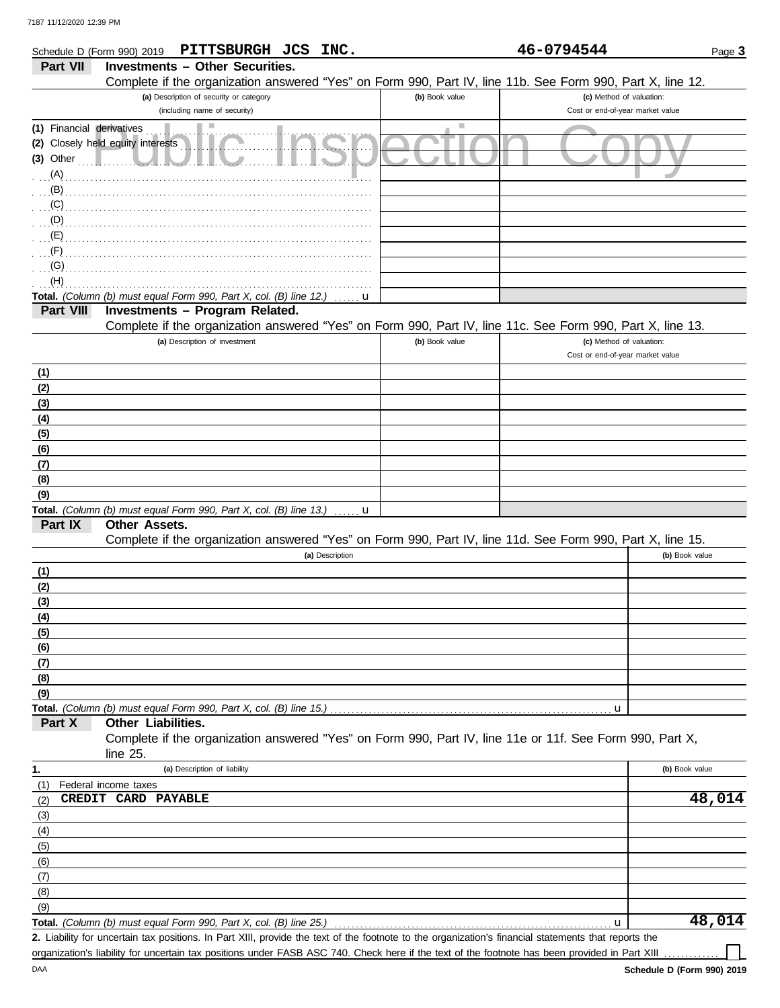|                           | Schedule D (Form 990) 2019                  | PITTSBURGH JCS INC.                                                |                 |                | 46-0794544                                                                                                 | Page 3         |
|---------------------------|---------------------------------------------|--------------------------------------------------------------------|-----------------|----------------|------------------------------------------------------------------------------------------------------------|----------------|
| Part VII                  |                                             | <b>Investments - Other Securities.</b>                             |                 |                |                                                                                                            |                |
|                           |                                             |                                                                    |                 |                | Complete if the organization answered "Yes" on Form 990, Part IV, line 11b. See Form 990, Part X, line 12. |                |
|                           |                                             | (a) Description of security or category                            |                 | (b) Book value | (c) Method of valuation:                                                                                   |                |
|                           |                                             | (including name of security)                                       |                 |                | Cost or end-of-year market value                                                                           |                |
| (1) Financial derivatives |                                             |                                                                    |                 | ш              |                                                                                                            |                |
|                           | (2) Closely held equity interests           |                                                                    |                 |                |                                                                                                            |                |
|                           |                                             |                                                                    |                 |                |                                                                                                            |                |
|                           | (A)                                         |                                                                    |                 |                |                                                                                                            |                |
| $\mathbf{B}$              |                                             |                                                                    |                 |                |                                                                                                            |                |
| (C)                       |                                             |                                                                    |                 |                |                                                                                                            |                |
| $\mathcal{L}(\mathsf{D})$ |                                             |                                                                    |                 |                |                                                                                                            |                |
| (E)                       |                                             |                                                                    |                 |                |                                                                                                            |                |
| (F)                       |                                             |                                                                    |                 |                |                                                                                                            |                |
| (G)                       |                                             |                                                                    |                 |                |                                                                                                            |                |
| (H)                       |                                             |                                                                    |                 |                |                                                                                                            |                |
|                           |                                             | Total. (Column (b) must equal Form 990, Part X, col. (B) line 12.) | u               |                |                                                                                                            |                |
| Part VIII                 |                                             | Investments - Program Related.                                     |                 |                |                                                                                                            |                |
|                           |                                             |                                                                    |                 |                | Complete if the organization answered "Yes" on Form 990, Part IV, line 11c. See Form 990, Part X, line 13. |                |
|                           |                                             | (a) Description of investment                                      |                 | (b) Book value | (c) Method of valuation:<br>Cost or end-of-year market value                                               |                |
|                           |                                             |                                                                    |                 |                |                                                                                                            |                |
| (1)                       |                                             |                                                                    |                 |                |                                                                                                            |                |
| (2)                       |                                             |                                                                    |                 |                |                                                                                                            |                |
| (3)                       |                                             |                                                                    |                 |                |                                                                                                            |                |
| (4)                       |                                             |                                                                    |                 |                |                                                                                                            |                |
| (5)                       |                                             |                                                                    |                 |                |                                                                                                            |                |
| (6)<br>(7)                |                                             |                                                                    |                 |                |                                                                                                            |                |
| (8)                       |                                             |                                                                    |                 |                |                                                                                                            |                |
| (9)                       |                                             |                                                                    |                 |                |                                                                                                            |                |
|                           |                                             | Total. (Column (b) must equal Form 990, Part X, col. (B) line 13.) | u               |                |                                                                                                            |                |
| Part IX                   | Other Assets.                               |                                                                    |                 |                |                                                                                                            |                |
|                           |                                             |                                                                    |                 |                | Complete if the organization answered "Yes" on Form 990, Part IV, line 11d. See Form 990, Part X, line 15. |                |
|                           |                                             |                                                                    | (a) Description |                |                                                                                                            | (b) Book value |
| (1)                       |                                             |                                                                    |                 |                |                                                                                                            |                |
| (2)                       |                                             |                                                                    |                 |                |                                                                                                            |                |
| (3)                       |                                             |                                                                    |                 |                |                                                                                                            |                |
| (4)                       |                                             |                                                                    |                 |                |                                                                                                            |                |
| (5)                       |                                             |                                                                    |                 |                |                                                                                                            |                |
| (6)                       |                                             |                                                                    |                 |                |                                                                                                            |                |
| <u>(7)</u>                |                                             |                                                                    |                 |                |                                                                                                            |                |
| (8)                       |                                             |                                                                    |                 |                |                                                                                                            |                |
| (9)                       |                                             |                                                                    |                 |                |                                                                                                            |                |
|                           |                                             | Total. (Column (b) must equal Form 990, Part X, col. (B) line 15.) |                 |                | u                                                                                                          |                |
| Part X                    | Other Liabilities.                          |                                                                    |                 |                |                                                                                                            |                |
|                           |                                             |                                                                    |                 |                | Complete if the organization answered "Yes" on Form 990, Part IV, line 11e or 11f. See Form 990, Part X,   |                |
|                           | line 25.                                    |                                                                    |                 |                |                                                                                                            |                |
| 1.                        |                                             | (a) Description of liability                                       |                 |                |                                                                                                            | (b) Book value |
| (1)                       | Federal income taxes<br>CREDIT CARD PAYABLE |                                                                    |                 |                |                                                                                                            | 48,014         |
| (2)                       |                                             |                                                                    |                 |                |                                                                                                            |                |
| (3)                       |                                             |                                                                    |                 |                |                                                                                                            |                |
| (4)                       |                                             |                                                                    |                 |                |                                                                                                            |                |
| (5)<br>(6)                |                                             |                                                                    |                 |                |                                                                                                            |                |
| (7)                       |                                             |                                                                    |                 |                |                                                                                                            |                |
| (8)                       |                                             |                                                                    |                 |                |                                                                                                            |                |
| (9)                       |                                             |                                                                    |                 |                |                                                                                                            |                |
|                           |                                             | Total. (Column (b) must equal Form 990, Part X, col. (B) line 25.) |                 |                | u                                                                                                          | 48,014         |

**Total.** *(Column (b) must equal Form 990, Part X, col. (B) line 25.)* ..

Liability for uncertain tax positions. In Part XIII, provide the text of the footnote to the organization's financial statements that reports the **2.** organization's liability for uncertain tax positions under FASB ASC 740. Check here if the text of the footnote has been provided in Part XIII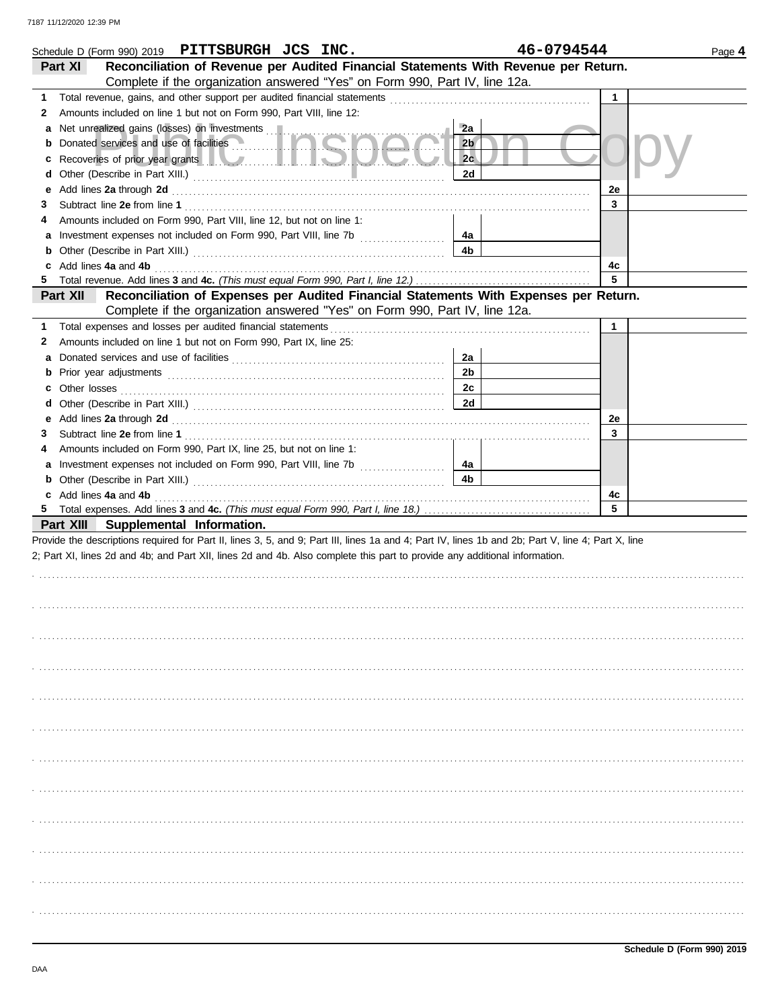| Schedule D (Form 990) 2019 PITTSBURGH JCS INC.                           |                                                                                                                                                                                                                                |                | 46-0794544   | Page 4 |
|--------------------------------------------------------------------------|--------------------------------------------------------------------------------------------------------------------------------------------------------------------------------------------------------------------------------|----------------|--------------|--------|
| Part XI                                                                  | Reconciliation of Revenue per Audited Financial Statements With Revenue per Return.                                                                                                                                            |                |              |        |
|                                                                          | Complete if the organization answered "Yes" on Form 990, Part IV, line 12a.                                                                                                                                                    |                |              |        |
| 1                                                                        | Total revenue, gains, and other support per audited financial statements                                                                                                                                                       |                | $\mathbf{1}$ |        |
| Amounts included on line 1 but not on Form 990, Part VIII, line 12:<br>2 |                                                                                                                                                                                                                                |                |              |        |
| Net unrealized gains (losses) on investments<br>a                        |                                                                                                                                                                                                                                | 2a             |              |        |
| b                                                                        |                                                                                                                                                                                                                                | 2 <sub>b</sub> |              |        |
| с                                                                        | Recoveries of prior year grants <b>The Community of the Community of the Community Community</b>                                                                                                                               | 2c<br>2d       |              |        |
| d                                                                        |                                                                                                                                                                                                                                |                |              |        |
| е                                                                        | Add lines 2a through 2d [11, 20] [12, 20] [12, 20] [12, 20] [12, 20] [12, 20] [12, 20] [12, 20] [12, 20] [12, 20] [12, 20] [12, 20] [12, 20] [12, 20] [12, 20] [12, 20] [12, 20] [12, 20] [12, 20] [12, 20] [12, 20] [12, 20]  |                | 2e<br>3      |        |
| 3                                                                        | Amounts included on Form 990, Part VIII, line 12, but not on line 1:                                                                                                                                                           |                |              |        |
|                                                                          |                                                                                                                                                                                                                                | 4a             |              |        |
| b                                                                        |                                                                                                                                                                                                                                | 4 <sub>b</sub> |              |        |
| c Add lines 4a and 4b                                                    |                                                                                                                                                                                                                                |                | 4c           |        |
| 5.                                                                       |                                                                                                                                                                                                                                |                | 5            |        |
| Part XII                                                                 | Reconciliation of Expenses per Audited Financial Statements With Expenses per Return.                                                                                                                                          |                |              |        |
|                                                                          | Complete if the organization answered "Yes" on Form 990, Part IV, line 12a.                                                                                                                                                    |                |              |        |
| 1 Total expenses and losses per audited financial statements             |                                                                                                                                                                                                                                |                | $\mathbf{1}$ |        |
| Amounts included on line 1 but not on Form 990, Part IX, line 25:<br>2   |                                                                                                                                                                                                                                |                |              |        |
| а                                                                        |                                                                                                                                                                                                                                | 2a             |              |        |
| b                                                                        |                                                                                                                                                                                                                                | 2 <sub>b</sub> |              |        |
| Other losses<br>с                                                        |                                                                                                                                                                                                                                | 2c             |              |        |
| d                                                                        |                                                                                                                                                                                                                                | 2d             |              |        |
| е                                                                        | Add lines 2a through 2d [11, 12] Add [12] Add lines 2a through 2d [12] Add lines 2a through 2d [12] Add lines 20 through 2d [12] Additional Additional Additional Additional Additional Additional Additional Additional Addit |                | 2e           |        |
| 3                                                                        |                                                                                                                                                                                                                                |                | 3            |        |
| Amounts included on Form 990, Part IX, line 25, but not on line 1:       |                                                                                                                                                                                                                                |                |              |        |
|                                                                          |                                                                                                                                                                                                                                | 4a             |              |        |
| b                                                                        |                                                                                                                                                                                                                                | 4 <sub>b</sub> |              |        |
| c Add lines 4a and 4b                                                    |                                                                                                                                                                                                                                |                | 4c           |        |
|                                                                          |                                                                                                                                                                                                                                |                | 5            |        |
| Part XIII Supplemental Information.                                      |                                                                                                                                                                                                                                |                |              |        |
|                                                                          | Provide the descriptions required for Part II, lines 3, 5, and 9; Part III, lines 1a and 4; Part IV, lines 1b and 2b; Part V, line 4; Part X, line                                                                             |                |              |        |
|                                                                          | 2; Part XI, lines 2d and 4b; and Part XII, lines 2d and 4b. Also complete this part to provide any additional information.                                                                                                     |                |              |        |
|                                                                          |                                                                                                                                                                                                                                |                |              |        |
|                                                                          |                                                                                                                                                                                                                                |                |              |        |
|                                                                          |                                                                                                                                                                                                                                |                |              |        |
|                                                                          |                                                                                                                                                                                                                                |                |              |        |
|                                                                          |                                                                                                                                                                                                                                |                |              |        |
|                                                                          |                                                                                                                                                                                                                                |                |              |        |
|                                                                          |                                                                                                                                                                                                                                |                |              |        |
|                                                                          |                                                                                                                                                                                                                                |                |              |        |
|                                                                          |                                                                                                                                                                                                                                |                |              |        |
|                                                                          |                                                                                                                                                                                                                                |                |              |        |
|                                                                          |                                                                                                                                                                                                                                |                |              |        |
|                                                                          |                                                                                                                                                                                                                                |                |              |        |
|                                                                          |                                                                                                                                                                                                                                |                |              |        |
|                                                                          |                                                                                                                                                                                                                                |                |              |        |
|                                                                          |                                                                                                                                                                                                                                |                |              |        |
|                                                                          |                                                                                                                                                                                                                                |                |              |        |
|                                                                          |                                                                                                                                                                                                                                |                |              |        |
|                                                                          |                                                                                                                                                                                                                                |                |              |        |
|                                                                          |                                                                                                                                                                                                                                |                |              |        |
|                                                                          |                                                                                                                                                                                                                                |                |              |        |
|                                                                          |                                                                                                                                                                                                                                |                |              |        |
|                                                                          |                                                                                                                                                                                                                                |                |              |        |
|                                                                          |                                                                                                                                                                                                                                |                |              |        |
|                                                                          |                                                                                                                                                                                                                                |                |              |        |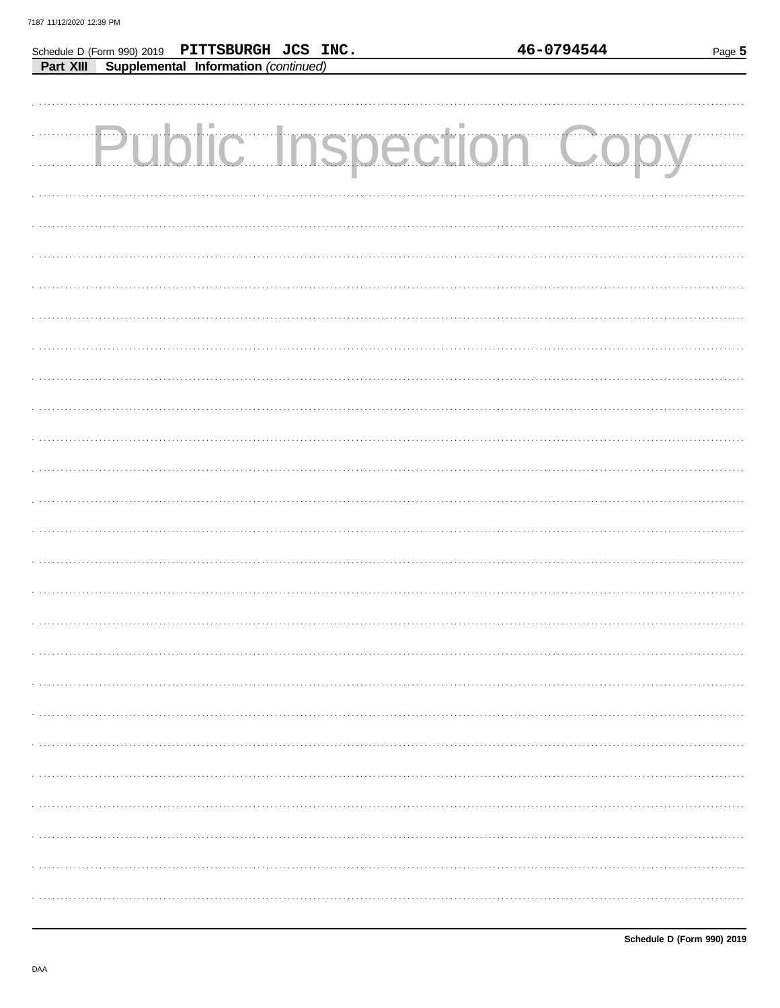|  | Schedule D (Form 990) 2019 PITTSBURGH JCS INC.<br>Part XIII Supplemental Information (continued) |  | 46-0794544                    | Page 5 |
|--|--------------------------------------------------------------------------------------------------|--|-------------------------------|--------|
|  |                                                                                                  |  |                               |        |
|  |                                                                                                  |  | <b>Public Inspection Copy</b> |        |
|  |                                                                                                  |  |                               |        |
|  |                                                                                                  |  |                               |        |
|  |                                                                                                  |  |                               |        |
|  |                                                                                                  |  |                               |        |
|  |                                                                                                  |  |                               |        |
|  |                                                                                                  |  |                               |        |
|  |                                                                                                  |  |                               |        |
|  |                                                                                                  |  |                               |        |
|  |                                                                                                  |  |                               |        |
|  |                                                                                                  |  |                               |        |
|  |                                                                                                  |  |                               |        |
|  |                                                                                                  |  |                               |        |
|  |                                                                                                  |  |                               |        |
|  |                                                                                                  |  |                               |        |
|  |                                                                                                  |  |                               |        |
|  |                                                                                                  |  |                               |        |
|  |                                                                                                  |  |                               |        |
|  |                                                                                                  |  |                               |        |
|  |                                                                                                  |  |                               |        |
|  |                                                                                                  |  |                               |        |